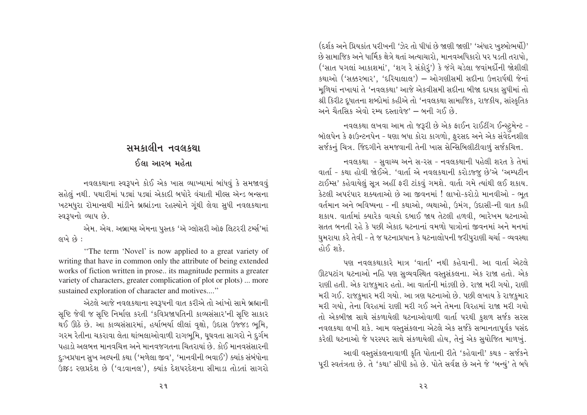(દર્શક અને પ્રિયકાંત પરીખની 'ઝેર તો પીધાં છે જાણી જાણી' 'અંધાર ખુશ્બોભર્યો)' છે સામાજિક અને ધાર્મિક ક્ષેત્રે થતાં અત્યાચારો. માનવઅધિકારો પર પડતી તરાપો. ('સાત પગલાં આકાશમાં', 'શગ રે સંકોરૂં') કે જંગે ચડેલા જવાંમર્દીની જોશીલી કથાઓ ('સક્કરબાર', 'દરિયાલાલ') – ઓગણીસમી સદીના ઉત્તરાર્ધથી જેનાં મળિયાં નખાયાં તે 'નવલકથા' આજે એકવીસમી સદીના બીજા દાયકા સુધીમાં તો શ્રી કિરીટ દ્ધાતના શબ્દોમાં કહીએ તો 'નવલકથા સામાજિક, રાજકીય, સાંસ્કૃતિક અને ચૈતસિક એવો રમ્ય દસ્તાવેજ' – બની ગઈ છે.

નવલકથા લખવા આમ તો જરૂરી છે એક ફાઈન રાઈટીંગ ઈન્સ્ટ્રમેન્ટ -બૉલપેન કે ફાઉન્ટનપેન - ઘણા બધા કોરા કાગળો, ફુરસદ અને એક સંવેદનશીલ સર્જકનું ચિત્ર. જિંદગીને સમજવાની તેની ખાસ સેન્સિબિલીટીવાળું સર્જકચિત્ત.

નવલકથા - સુવાચ્ય અને સ-રસ - નવલકથાની પહેલી શરત કે તેમાં વાર્તા - કથા હોવી જોઈએ. 'વાર્તા એ નવલકથાની કરોડજ્જુ છે'એ 'અમ્પટીન ટાઈમ્સ' કહેવાયેલું સૂત્ર અહીં ફરી ટાંકવું ગમશે. વાર્તા ગમે ત્યાંથી લઈ શકાય. કેટલી અપરંપાર શક્યતાઓ છે આ જીવનમાં ! લાખો-કરોડો માનવીઓ - ભત વર્તમાન અને ભવિષ્યના - ની કથાઓ, વ્યથાઓ, ઉમંગ, ઉદાસી-ની વાત કહી શકાય. વાર્તામાં ક્યારેક વાચકો દબાઈ જાય તેટલી હળવી, ભારેખમ ઘટનાઓ સતત બનતી રહે કે પછી એકાદ ઘટનાનાં વમળો પાત્રોનાં જીવનમાં અને મનમાં ઘુમરાયા કરે તેવી - તે જ ઘટનાપ્રધાન કે ઘટનાલોપની જરીપુરાણી ચર્ચા - વ્યવસ્થા होई शके

પણ નવલકથાકારે માત્ર 'વાર્તા' નથી કહેવાની. આ વાર્તા એટલે ઊટપટાંગ ઘટનાઓ નહિ પણ સુવ્યવસ્થિત વસ્તુસંકલના. એક રાજા હતો. એક રાણી હતી. એક રાજકુમાર હતો. આ વાર્તાની માંડણી છે. રાજા મરી ગયો, રાણી મરી ગઈ. રાજકુમાર મરી ગયો. આ ત્રણ ઘટનાઓ છે. પછી લખાય કે રાજકુમાર મરી ગયો, તેના વિરહમાં રાણી મરી ગઈ અને તેમના વિરહમાં રાજા મરી ગયો તો એકબીજા સાથે સંકળાયેલી ઘટનાઓવાળી વાર્તા પરથી કુશળ સર્જક સરસ નવલકથા લખી શકે. આમ વસ્તુસંકલના એટલે એક સર્જકે સભાનતાપૂર્વક પસંદ કરેલી ઘટનાઓ જે પરસ્પર સાથે સંકળાયેલી હોય, તેનું એક સુયોજિત માળખું.

આવી વસ્તસંકલનાવાળી કૃતિ પોતાની રીતે 'કહેવાની' કથક - સર્જકને પૂરી સ્વતંત્રતા છે. તે 'કથા' સીધી કહે છે. પોતે સર્વજ્ઞ છે અને જે 'બન્યું' તે બધે

२२

# સમકાલીન નવલકથા

# ઈલા આરબ મહેતા

નવલકથાના સ્વરૂપને કોઈ એક ખાસ વ્યાખ્યામાં બાંધવું કે સમજાવવું સહેલું નથી. પથારીમાં પડ્યાં પડ્યાં એકાદી બપોરે વંચાતી મીલ્સ ઍન્ડ બન્સના ખટમધુરા રૉમાન્સથી માંડીને બ્રહ્માંડના રહસ્યોને ગૂંથી લેવા સુધી નવલકથાના સ્વરૂપનો વ્યાપ છે.

એમ. એચ. અબ્રામ્સ એમના પુસ્તક 'ઍ ગ્લૉસરી ઑફ લિટરરી ટર્મ્સ'માં લખે છે:

"The term 'Novel' is now applied to a great variety of writing that have in common only the attribute of being extended works of fiction written in prose.. its magnitude permits a greater variety of characters, greater complication of plot or plots) ... more sustained exploration of character and motives...."

એટલે આજે નવલકથાના સ્વરૂપની વાત કરીએ તો આંખો સામે બ્રહ્માની સૃષ્ટિ જેવી જ સૃષ્ટિ નિર્માણ કરતી 'કવિપ્રજાપતિની કાવ્યસંસાર'ની સૃષ્ટિ સાકાર થઈ ઊઠે છે. આ કાવ્યસંસારમાં, હર્યાભર્યા લીલાં વૃક્ષો, ઉદાસ ઉજ્જડ ભૂમિ, ગરમ રેતીના ચકરાવા લેતા થાંભલાઓવાળી રાગભૂમિ, ઘૃઘવતા સાગરો ને દુર્ગમ પહાડો અલબત્ત માનવચિત્ત અને માનવજગતના ચિતરાયાં છે. કોઈ માનવસંસારની ્દુઃખપ્રધાન સુખ અલ્પની કથા ('મળેલા જીવ', 'માનવીની ભવાઈ') ક્યાંક સંબંધોના ઉક્ષ્ટડ રણપ્રદેશ છે ('વડવાનલ'), ક્યાંક દેશપરદેશના સીમાડા તોડતાં સાગરો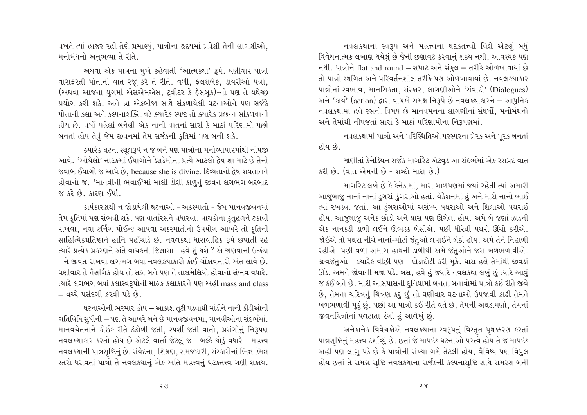વખતે ત્યાં હાજર રહી તેણે પ્રમાણ્યું, પાત્રોના હૃદયમાં પ્રવેશી તેની લાગણીઓ, મનોમંથનો અનુભવ્યા તે રીતે.

અથવા એક પાત્રના મુખે કહેવાતી 'આત્મકથા' રૂપે. ઘણીવાર પાત્રો વારાફરતી પોતાની વાત રજ કરે તે રીતે. વળી, ફ્લૅશબેક, ડાયરીઓ પત્રો, (અથવા આજના યુગમાં એસએમએસ, ટ્વીટર કે ફેસબુક)-નો પણ તે યથેચ્છ પ્રયોગ કરી શકે. અને હા એકબીજા સાથે સંકળાયેલી ઘટનાઓને પણ સર્જકે पोतानी કલા અને કલ્પનાશક્તિ વડે ક્યારેક સ્પષ્ટ તો ક્યારેક પ્રછન્ન સાંકળવાની હોય છે. વર્ષો પહેલાં બનેલી એક નાની વાતનાં સારાં કે માઠાં પરિણામો પછી બનતાં હોય તેવું જેમ જીવનમાં તેમ સર્જકની કૃતિમાં પણ બની શકે.

ક્યારેક ઘટના સ્થલરૂપે ન જ બને પણ પાત્રોના મનોવ્યાપારમાંથી નીપજી આવે. 'ઓથેલો' નાટકમાં ઈયાગોને ડેસડેમોના પ્રત્યે આટલો દેષ શા માટે છે તેનો જવાબ ઈયાગો જ આપે છે, because she is divine. દિવ્યતાનો દ્વેષ શયતાનને હોવાનો જ. 'માનવીની ભવાઈ'માં માલી ડોશી કાળુનું જીવન લગભગ બરબાદ જ કરે છે. કારણ ઈર્ષા.

કાર્યકારણથી ન જોડાયેલી ઘટનાઓ - અકસ્માતો - જેમ માનવજીવનમાં તેમ કુતિમાં પણ સંભવી શકે. પણ વાર્તારસને વધારવા, વાચકોના કુતુહલને ટકાવી રાખવા, નવા ટર્નિંગ પોઈન્ટ આપવા અકસ્માતોનો ઉપયોગ આખરે તો કુતિની સાહિત્યિકપ્રતિષ્ઠાને હાનિ પહોંચાડે છે. નવલકથા ધારાવાહિક રૂપે છપાતી રહે ત્યારે પ્રત્યેક પ્રકરણને અંતે વાચકની જિજ્ઞાસા - હવે શું થશે ? એ જાણવાની ઉત્કંઠા - ને જીવંત રાખવા લગભગ બધા નવલકથાકારો કોઈ ચોંકાવનારો અંત લાવે છે. ઘણીવાર તે નૈસર્ગિક હોય તો સહ્ય બને પણ તે તાલમેલિયો હોવાનો સંભવ વધારે. ત્યારે લગભગ બધાં કલાસ્વરૂપોની માફક કલાકારને પણ અહીં mass and class – વચ્ચે પસંદગી કરવી પડે છે.

ઘટનાઓની ભરમાર હોય – આકાશ તૂટી પડવાથી માંડીને નાની કીડીઓની ગતિવિધિ સુધીની – પણ તે આખરે બને છે માનવજીવનમાં, માનવીઓના સંદર્ભમાં. માનવચેતનાને કોઈક રીતે ઢંઢોળી જતી, સ્પર્શી જતી વાતો, પ્રસંગોનું નિરૂપણ નવલકથાકાર કરતો હોય છે એટલે વાર્તા જેટલું જ - બલ્કે થોડું વધારે - મહત્ત્વ નવલકથાની પાત્રસૃષ્ટિનું છે. સંવેદના, શિક્ષણ, સમજદારી, સંસ્કારોનાં ભિન્ન ભિન્ન સ્તરો ધરાવતાં પાત્રો તે નવલકથાનું એક અતિ મહત્ત્વનું ઘટકતત્ત્વ ગણી શકાય.

નવલકથાના સ્વરૂપ અને મહત્ત્વનાં ઘટકતત્ત્વો વિશે એટલું બધું વિવેચનાત્મક લખાણ થયેલું છે જેની છણાવટ કરવાનું શક્ય નથી, આવશ્યક પણ નથી. પાત્રોને flat and round – સપાટ અને સંકલ – તરીકે ઓળખાવાયાં છે તો પાત્રો સ્થગિત અને પરિવર્તનશીલ તરીકે પણ ઓળખાવાયાં છે. નવલકથાકાર પાત્રોનાં સ્વભાવ, માનસિકતા, સંસ્કાર, લાગણીઓને 'સંવાદો' (Dialogues) અને 'કાર્ય' (action) દ્વારા વાચકો સમક્ષ નિરૂપે છે નવલકથાકારને – આધુનિક નવલકથામાં હવે રસનો વિષય છે માનવમનના લાગણીનાં સંઘર્ષો, મનોમંથનો અને તેમાંથી નીપજતાં સારાં કે માઠાં પરિણામોના નિરૂપણમાં.

નવલકથામાં પાત્રો અને પરિસ્થિતિઓ પરસ્પરના પ્રેરક અને પરક બનતાં હોય છે.

જાણીતાં કેનેડિયન સર્જક માર્ગારેટ ઍટવડ આ સંદર્ભમાં એક રસપ્રદ વાત કરી છે. (વાત એમની છે - શબ્દો મારા છે.)

માર્ગારેટ લખે છે કે કેનેડામાં. મારા બાળપણમાં જ્યાં રહેતી ત્યાં અમારી આજુબાજુ નાનાં નાનાં ડુગરાં-ડુંગરીઓ હતાં. વૅકેશનમાં હું અને મારો નાનો ભાઈ ત્યાં રખડવા જતાં. આ ડુંગરાઓમાં અસંખ્ય પથરાઓ અને શિલાઓ પથરાઈ હોય. આજુબાજુ અનેક છોડો અને ઘાસ પણ ઊગેલાં હોય. અમે બે જણાં ઝાડની એક નાનકડી ડાળી લઈને ઊભડક બેસીએ. પછી ધીરેથી પથરો ઊંચો કરીએ. જોઈએ તો પથરા નીચે નાનાં-મોટાં જંતુઓ લપાઈને બેઠાં હોય. અમે તેને નિહાળી રહીએ. પછી વળી અમારા હાથની ડાળીથી અમે જંતુઓને જરા ખળભળાવીએ. જીવજંતુઓ - ક્યારેક વીંછી પણ - દોડાદોડી કરી મૂકે. ઘાસ હલે તેમાંથી જીવડાં ઊડે. અમને જોવાની મજા પડે. બસ, હવે હું જ્યારે નવલકથા લખું છું ત્યારે આવું જ કંઈ બને છે. મારી આસપાસની દુનિયામાં બનતા બનાવોમાં પાત્રો કઈ રીતે જીવે છે, તેમના ચરિત્રનું ચિત્રણ કરું છું તો ઘણીવાર ઘટનાઓ ઉપજાવી કાઢી તેમને ખળભળાવી મૂકું છું. પછી આ પાત્રો કઈ રીતે વર્તે છે, તેમની અથડામણો, તેમનાં જીવનચિત્રોનાં પલટાતા રંગો હું આલેખું છું.

અનેકાનેક વિવેચકોએ નવલકથાના સ્વરૂપનું વિસ્તૃત પૃથક્કરણ કરતાં પાત્રસૃષ્ટિનું મહત્ત્વ દર્શાવ્યું છે. છતાં જે માપદંડ ઘટનાઓ પરત્વે હોય તે જ માપદંડ અહીં પણ લાગુ પડે છે કે પાત્રોની સંખ્યા ગમે તેટલી હોય, વૈવિધ્ય પણ વિપુલ હોય છતાં તે સમગ્ર સૃષ્ટિ નવલકથાના સર્જકની કલ્પનાસૃષ્ટિ સાથે સમરસ બની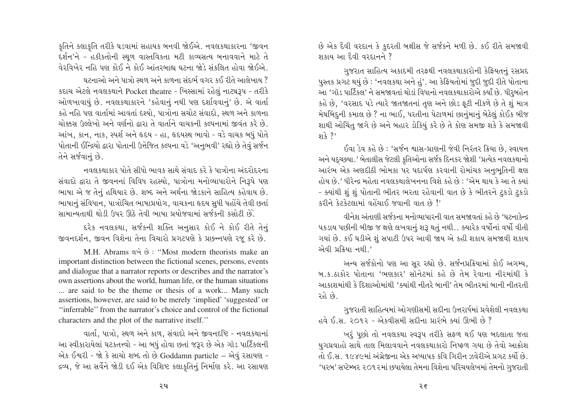કૃતિને કલાકૃતિ તરીકે ઘડવામાં સહાયક બનવી જોઈએ. નવલકથાકારના 'જીવન દર્શન'ને - હકીકતોની સ્થળ વાસ્તવિકતા મટી કાવ્યસત્ય બનાવવાને માટે તે વેરવિખેર નહિ પણ કોઈ ને કોઈ આંતરબાહ્ય ઘટના જોડે સંકલિત હોવા જોઈએ

ઘટનાઓ અને પાત્રો સ્થળ અને કાળના સંદર્ભ વગર કઈ રીતે આલેખાય ? કદાચ એટલે નવલકથાને Pocket theatre - ખિસ્સામાં રહેલું નાટ્યરૂપ - તરીકે ઓળખાવાયું છે. નવલકથાકારને 'કહેવાનું નથી પણ દર્શાવવાનું' છે. એ વાર્તા કહે નહિ પણ વાર્તામાં આવતાં દેશ્યો, પાત્રોના સચોટ સંવાદો, સ્થળ અને કાળના ચોક્કસ ઉલ્લેખો અને વર્ણનો દ્વારા તે વાર્તાને વાચકની કલ્પનામાં જીવંત કરે છે. આંખ, કાન, નાક, સ્પર્શ અને હૃદય - હા, હૃદયસ્થ ભાવો - વડે વાચક બધું પોતે પોતાની ઈન્દ્રિયો દ્વારા પોતાની ઉત્તેજિત કલ્પના વડે 'અનુભવી' રહ્યો છે તેવું સર્જન તેને સર્જવાનું છે.

નવલકશાકાર પોતે સીધો ભાવક સાથે સંવાદ કરે કે પાત્રોના અંદરોદરના સંવાદો દ્વારા તે જીવનનાં વિવિધ રહસ્યો. પાત્રોના મનોવ્યાપારોને નિરૂપે પણ ભાષા એ જ તેનું હથિયાર છે. શબ્દ અને અર્થના જોડકાને સાહિત્ય કહેવાય છે. ભાષાનું સંવિધાન, પાત્રોચિત ભાષાપ્રયોગ, વાચકના હૃદય સુધી પહોંચે તેવી છતાં સામાન્યતાથી થોડી ઉપર ઊઠે તેવી ભાષા પ્રયોજવામાં સર્જકની કસોટી છે.

દરેક નવલકથા, સર્જકની શક્તિ અનુસાર કોઈ ને કોઈ રીતે તેનું જીવનદર્શન, જીવન વિશેના તેના વિચારો પ્રગટપણે કે પ્રછન્નપણે રજૂ કરે છે.

M.H. Abrams eve  $\dot{\vartheta}$ : "Most modern theorists make an important distinction between the fictional scenes, persons, events and dialogue that a narrator reports or describes and the narrator's own assertions about the world, human life, or the human situations ... are said to be the theme or thesis of a work... Many such assertions, however, are said to be merely 'implied' 'suggested' or "inferrable" from the narrator's choice and control of the fictional characters and the plot of the narrative itself."

વાર્તા, પાત્રો, સ્થળ અને કાળ, સંવાદો અને જીવનદષ્ટિ - નવલકથાનાં આ સ્વીકારાયેલાં ઘટકતત્ત્વો - આ બધું હોવા છતાં જરૂર છે એક ગૉડ પાર્ટિકલની એક ઈશ્વરી - જો કે સાચો શબ્દ તો છે Goddamn particle – એવું રસાયણ -દ્રવ્ય, જે આ સર્વેને જોડી દઈ એક વિશિષ્ટ કલાકૃતિનું નિર્માણ કરે. આ રસાયણ છે એક દૈવી વરદાન કે કુદરતી બક્ષીસ જે સર્જકને મળી છે. કઈ રીતે સમજાવી शंक्षय આ દૈવી વરદાનને ?

ગુજરાત સાહિત્ય અકાદમી તરફથી નવલકથાકારોની કેફિયતનું રસપ્રદ પુસ્તક પ્રગટ થયું છે : 'નવલકથા અને હું'. આ કેફિયતોમાં જુદી જુદી રીતે પોતાના આ 'ગૉડ પાર્ટિકલ' ને સમજાવતાં થોડાં વિધાનો નવલકથાકારોએ કર્યાં છે. ધીરબહેન કહે છે, 'વરસાદ પડે ત્યારે જાતજાતનાં તુણ અને છોડ ફટી નીકળે છે તે શું માત્ર મેઘબિંદની કમાલ છે ? ના ભાઈ, ધરતીના પેટાળમાં છાનુંમાનું બેઠેલું કોઈક બીજ શાથી ઓચિંત જાગે છે અને બહાર ડોકિયું કરે છે તે કોણ સમજી શકે કે સમજાવી  $913.2$ 

ઈવા ડેવ કહે છે : 'સર્જન શ્વાસ-પ્રાણની જેવી નિરંતર ક્રિયા છે. સ્વાયત્ત અને યદુચ્છયા.' બેતાલીસ જેટલી કુતિઓના સર્જક દિનકર જોશી 'પ્રત્યેક નવલકથાનો આરંભ એક અણદીઠી ભોમકા પર પદાર્પણ કરવાની રોમાંચક અનભતિની ક્ષણ હોય છે.' ધીરેન્દ્ર મહેતા નવલકથાલેખનના વિશે કહે છે : 'એમ થાય કે આ તે ક્યાં - ક્યાંથી શું શું પોતાની ભીતર ભરતા રહેવાની વાત છે કે ભીતરને ટુકડો ટુકડો <u>કરીને કેટકેટલામાં વહેંચાઈ જવાની વાત છે!'</u>

વીનેશ અંતાણી સર્જકના મનોવ્યાપારની વાત સમજાવતાં કહે છે 'ઘટનાકેન્દ્ર પકડાય પછીની બીજી જ ક્ષણે લખવાનું શરૂ થતું નથી.. ક્યારેક વર્ષોનાં વર્ષો વીતી ગયાં છે. કઈ ઘડીએ શું સપાટી ઉપર આવી જાય એ કહી શકાય સમજાવી શકાય એવી પ્રક્રિયા નથી.'

અન્ય સર્જકોનો પણ આ સર રહ્યો છે. સર્જનપ્રક્રિયામાં કોઈ અગમ્ય, બ ક ઠાકોર પોતાના 'ભણકાર' સૉનેટમાં કહે છે તેમ રેવાના નીરમાંથી કે આકાશમાંથી કે દિશાઓમાંથી 'ક્યાંથી નીતરે બાની' તેમ ભીતરમાં બાની નીતરતી રહે છે.

ગુજરાતી સાહિત્યમાં ઓગણીસમી સદીના ઉત્તરાર્ધમાં પ્રવેશેલી નવલકથા હવે ઈ.સ. ૨૦૧૨ - એકવીસમી સદીના પ્રારંભે ક્યાં ઊભી છે ?

ખરૂં પૂછો તો નવલકથા સ્વરૂપ તરીકે સફળ થઈ પણ બદલાતા જતા યગપ્રવાહો સાથે તાલ મિલાવવાને નવલકથાકારો નિષ્ફળ ગયા છે તેવો આક્રોશ તો ઈ.સ. ૧૯૪૯માં અંગ્રેજીના એક અધ્યાપક કવિ ગિરીન ઝવેરીએ પ્રગટ કર્યો છે. 'પરબ' સપ્ટેમ્બર ૨૦૧૨માં છપાયેલા તેમના વિશેના પરિચયલેખમાં તેમનો ગુજરાતી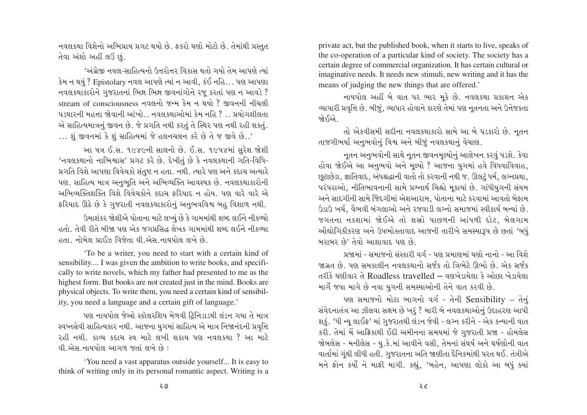નવલકથા વિશેનો અભિપ્રાય પ્રગટ થયો છે. ફકરો ઘણો મોટો છે. તેમાંથી પ્રસ્તુત તેવા અંશો અહીં લઉં છં.

'અંગ્રેજી નવલ-સાહિત્યનો ઉત્તરોત્તર વિકાસ થતો ગયો તેમ આપણે ત્યાં કેમ ન થયું ? Epistolary નવલ આપણે ત્યાં ન આવી, કંઈ નહિ... પણ આપણા નવલકથાકારોને ગુજરાતનાં ભિન્ન ભિન્ન જીવનાંગોને રજૂ કરતાં પણ ન આવડે ? stream of consciousness નવલનો જન્મ કેમ ન થયો ? જીવનની નીચલી પડથારની મહત્તા જોવાની આંખો.. નવલકથાઓમાં કેમ નહિ ? .. પ્રયોગશીલતા એ સાહિત્યમાત્રનું જીવન છે. જે પ્રગતિ નથી કરતું તે સ્થિર પણ નથી રહી શકતું. ... શું જીવનમાં કે શું સાહિત્યમાં જે હલનચલન કરે છે તે જ જીવે છે..'

આ પત્ર ઈ.સ. ૧૯૪૯ની સાલનો છે. ઈ.સ. ૧૯૫૪માં સુરેશ જોશી 'નવલકથાનો નાભિશ્વાસ' પ્રગટ કરે છે. દેખીતું છે કે નવલકથાની ગતિ-વિધિ-પ્રગતિ વિશે આપણા વિવેચકો સંતુષ્ટ ન હતા. નથી. ત્યારે પણ અને કદાચ અત્યારે પણ. સાહિત્ય માત્ર અનુભૂતિ અને અભિવ્યક્તિ આવશ્યક છે. નવલકથાકારોની અભિવ્યક્તિશક્તિ વિશે વિવેચકોને કદાચ ફરિયાદ ન હોય. પણ વારે વારે એ ફરિયાદ ઊઠે છે કે ગુજરાતી નવલકથાકારોનું અનુભવવિશ્વ બહુ વિશાળ નથી.

ઉમાશંકર જોશીએ પોતાના માટે લખ્યું છે કે ગામમાંથી શબ્દ લઈને નીકળ્યો હતો. તેવી રીતે બીજા પણ એક જગપ્રસિદ્ધ લેખક ગામમાંથી શબ્દ લઈને નીકળ્યા હતા. નોબેલ પ્રાઈઝ વિજેતા વી.એસ.નાયપોલ લખે છે.

'To be a writer, you need to start with a certain kind of sensibility.... I was given the ambition to write books, and specifically to write novels, which my father had presented to me as the highest form. But books are not created just in the mind. Books are physical objects. To write them, you need a certain kind of sensibility, you need a language and a certain gift of language.'

પણ નાયપોલ જેઓ સ્કૉલરશિપ મેળવી ટ્રિનિડાડથી લંડન ગયા તે માત્ર સ્વપ્નસેવી સાહિત્યકાર નથી. આજના યુગમાં સાહિત્ય એ માત્ર નિજાનંદની પ્રવૃત્તિ રહી નથી. કાવ્ય કદાચ સ્વ માટે લખી શકાય પણ નવલકથા ? આ માટે વી એસ.નાયપોલ આગળ જતાં લખે છે:

'You need a vast apparatus outside yourself... It is easy to think of writing only in its personal romantic aspect. Writing is a

private act, but the published book, when it starts to live, speaks of the co-operation of a particular kind of society. The society has a certain degree of commercial organization. It has certain cultural or imaginative needs. It needs new stimuli, new writing and it has the means of judging the new things that are offered.'

નાયપોલ અહીં બે વાત પર ભાર મકે છે. નવલકથા પ્રકાશન એક વ્યાપારી પ્રવૃત્તિ છે. બીજું, વ્યાપાર હોવાને કારણે તેમાં પણ નતનતા અને ઉત્તેજકતા જોઈએે.

તો એકવીસમી સદીના નવલકથાકારો સામે આ બે પડકારો છે. નતન તાજગીભર્યા અનુભવોનું વિશ્વ અને બીજું નવલકથાનું વેચાણ.

નૃતન અનુભવોની સાથે નૃતન જીવનમૃલ્યોનું આલેખન કરવું પડશે. કેવા હોવા જોઈએ આ અનુભવો અને મુલ્યો ? આજના યુગમાં હવે વિધવાવિવાહ, છુટાછેડા, જ્ઞાતિવાદ, અંધશ્રદ્ધાની વાતો તો કરવાની નથી જ. ઊલટું ધર્મ, લગ્નપ્રથા, પરંપરાઓ, નીતિભાવનાની સામે પ્રશ્નાર્થ ચિહ્નો મકાયાં છે. ગાંધીયુગની સંયમ અને સાદગીની સામે જિંદગીમાં એશઆરામ, પોતાના માટે કરવામાં આવતો બેફામ ઉડાઉ ખર્ચ. વૈભવી બંગલાઓ અને રજવાડી લગ્નો સમાજમાં સ્વીકાર્ય બન્યાં છે. જગતના નકશામાં જોઈએ તો શસ્રો પાછળની આંધળી દોટ, બેલગામ ઔદ્યોગિકીકરણ અને ઉપભોક્તાવાદ આજની તારીખે સમસ્યારૂપ છે છતાં 'બધું બરાબર છે' તેવો આશાવાદ પણ છે.

પ્રજામાં - સમાજનો સંસ્કારી વર્ગ - પણ પ્રમાણમાં ઘણો નાનો - આ વિશે જાગ્રત છે. પણ સમકાલીન નવલકથાનો સર્જક તો ત્રિભેટે ઊભો છે. એક સર્જક તરીકે ઘણીવાર તે Roadless travelled – વણખેડાયેલા કે ઓછા ખેડાયેલા માર્ગે જવા માગે છે નવા યુગની સમસ્યાઓની તેને વાત કરવી છે.

પણ સમાજનો મોટા ભાગનો વર્ગ - તેની Sensibility – તેનું સંવેદનાતંત્ર આ ઝીલવા સક્ષમ છે ખરૂં ? મારી બે નવલકથાઓનું ઉદાહરણ આપી શૂકું. 'ધી ન્યૂ લાઈફ' માં ગુજરાતથી લંડન જેવી - લગ્ન કરીને - એક કન્યાની વાત કરી. તેમાં મેં આફ્રિકાથી ઈદી અમીનના સમયમાં જે ગુજરાતી પ્રજા - હોમલેસ જોબલેસ - મનીલેસ - યુ.કે.માં આવીને વસી, તેમનાં સંઘર્ષ અને ઘર્ષણોની વાત વાર્તામાં ગુંથી લીધી હતી. ગુજરાતના અતિ જાણીતા દૈનિકમાંથી પરત થઈ. તંત્રીએ મને ફોન કર્યો ને માફી માગી. કહ્યું, 'બહેન, આપણા લોકો આ બધું ક્યાં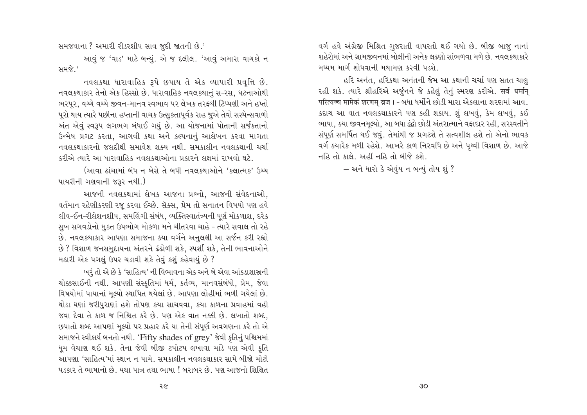સમજવાના ? અમારી રીડરશીપ સાવ જુદી જાતની છે.'

આવું જ 'વાડ' માટે બન્યું. એ જ દલીલ. 'આવું અમારા વાચકો ન સમજે.'

નવલકથા ધારાવાહિક રૂપે છપાય તે એક વ્યાપારી પ્રવૃત્તિ છે. નવલકથાકાર તેનો એક હિસ્સો છે. ધારાવાહિક નવલકથાનં સ-રસ. ઘટનાઓથી ભરપૂર, વચ્ચે વચ્ચે જીવન-માનવ સ્વભાવ પર લેખક તરફથી ટિપ્પણી અને હપ્તો પરો થાય ત્યારે પછીના હપ્તાની વાચક ઉત્સુકતાપર્વક રાહ જુએ તેવો સસ્પેન્સવાળો અંત એવું સ્વરૂપ લગભગ બંધાઈ ગયું છે. આ યોજનામાં પોતાની સર્જકતાનો ઉન્મેષ પ્રગટ કરતા, આગવી કથા અને કલ્પનાનું આલેખન કરવા માગતા નવલકથાકારનો જલદીથી સમાવેશ શક્ય નથી. સમકાલીન નવલકથાની ચર્ચા કરીએ ત્યારે આ ધારાવાહિક નવલકથાઓના પ્રકારને લક્ષમાં રાખવો ઘટે.

(આવા ઢાંચામાં બંધ ન બેસે તે બધી નવલકથાઓને 'કલાત્મક' ઉચ્ચ પાયરીની ગણવાની જરૂર નથી.)

આજની નવલકથામાં લેખક આજના પ્રશ્નો. આજની સંવેદનાઓ. વર્તમાન રહેણીકરણી રજૂ કરવા ઈચ્છે. સૅક્સ, પ્રેમ તો સનાતન વિષયો પણ હવે લીવ-ઈન-રીલેશનશીપ, સમલિંગી સંબંધ, વ્યક્તિસ્વાતંત્ર્યની પૂર્ણ મોકળાશ, દરેક સુખ સગવડોનો મુક્ત ઉપભોગ મોકળા મને ચીતરવા ચાહે - ત્યારે સવાલ તો રહે છે. નવલકથાકાર આપણા સમાજના ક્યા વર્ગને અનુલક્ષી આ સર્જન કરી રહ્યો છે ? વિશાળ જનસમુદાયના અંતરને ઢંઢોળી શકે, સ્પર્શી શકે, તેની ભાવનાઓને મઠારી એક પગલું ઉપર ચડાવી શકે તેવું કશું કહેવાયું છે ?

ખરૂં તો એ છે કે 'સાહિત્ય' ની વિભાવના એક અને બે એવા આંકડાશાસ્રની ચોક્કસાઈની નથી. આપણી સંસ્કૃતિમાં ધર્મ, કર્તવ્ય, માનવસંબંધો, પ્રેમ, જેવા વિષયોમાં પાયાનાં મુલ્યો સ્થાપિત થયેલાં છે. આપણા લોહીમાં ભળી ગયેલાં છે. થોડા ઘણાં જરીપુરાણાં હશે તોપણ કયા સાચવવા, કયા કાળના પ્રવાહમાં વહી જવા દેવા તે કાળ જ નિશ્ચિત કરે છે. પણ એક વાત નક્કી છે. લખાતો શબ્દ, છપાતો શબ્દ આપણાં મલ્યો પર પ્રહાર કરે યા તેની સંપર્ણ અવગણના કરે તો એ સમાજને સ્વીકાર્ય બનતો નથી. 'Fifty shades of grey' જેવી કૃતિનું પશ્ચિમમાં ધૂમ વેચાણ થઈ શકે. તેના જેવી બીજી ટપોટપ લખાવા માંડે પણ એવી કૃતિ આપણા 'સાહિત્ય'માં સ્થાન ન પામે. સમકાલીન નવલકથાકાર સામે બીજો મોટો પડકાર તે ભાષાનો છે. યથા પાત્ર તથા ભાષા ! બરાબર છે. પણ આજનો શિક્ષિત

વર્ગ હવે અંગ્રેજી મિશ્રિત ગુજરાતી વાપરતો થઈ ગયો છે. બીજી બાજુ નાનાં શહેરોમાં અને ગ્રામજીવનમાં બોલીની અનેક લઢણો સાંભળવા મળે છે. નવલકથાકારે મધ્યમ માર્ગ શોધવાની મથામણ કરવી પડશે

હરિ અનંત. હરિકથા અનંતની જેમ આ કથાની ચર્ચા પણ સતત ચાલ રહી શકે. ત્યારે શ્રીહરિએ અર્જુનને જે કહેલું તેનું સ્મરણ કરીએ. सर्व धर्मान् परित्यज्य मामेकं शरणम् व्रज। - બધા ધર્મોને છોડી મારા એકલાના શરણમાં આવ. કદાચ આ વાત નવલકથાકારને પણ કહી શકાય. શું લખવું, કેમ લખવું, કઈ ભાષા, ક્યા જીવનમુલ્યો, આ બધા દંદ્રો છોડી અંતરાત્માને વફાદાર રહી, સરસ્વતીને સંપૂર્ણ સમર્પિત થઈ જવું. તેમાંથી જ પ્રગટશે તે સત્વશીલ હશે તો એનો ભાવક વર્ગ ક્યારેક મળી રહેશે. આખરે કાળ નિરવધિ છે અને પૃથ્વી વિશાળ છે. આજે નહિ તો કાલે. અહીં નહિ તો બીજે કશે.

– અને ધારો કે એવુંય ન બન્યું તોય શું ?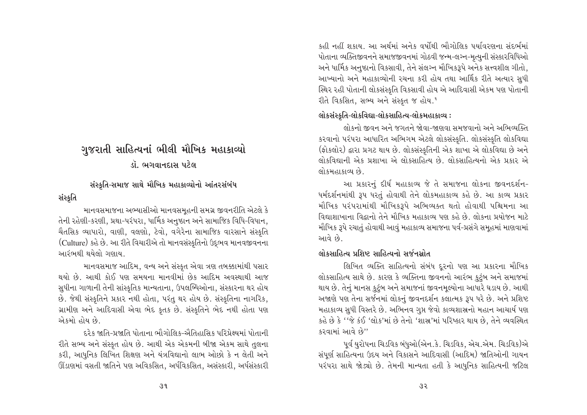# ગુજરાતી સાહિત્યનાં ભીલી મૌખિક મહાકાવ્યો ડૉ. ભગવાનદાસ પટેલ

# સંસ્કૃતિ-સમાજ સાથે મૌખિક મહાકાવ્યોનો આંતરસંબંધ

# સંસ્ક્રતિ

માનવસમાજના અભ્યાસીઓ માનવસમહની સમગ્ર જીવનરીતિ એટલે કે તેની રહેણી-કરણી, પ્રથા-પરંપરા, ધાર્મિક અનુષ્ઠાન અને સામાજિક વિધિ-વિધાન, ચૈતસિક વ્યાપારો, વાણી, વલણો, ટેવો, વગેરેના સામાજિક વારસાને સંસ્કૃતિ (Culture) કહે છે. આ રીતે વિચારીએ તો માનવસંસ્કૃતિનો ઉદ્ભવ માનવજીવનના આરંભથી થયેલો ગણાય.

માનવસમાજ આદિમ, વન્ય અને સંસ્કૃત એવા ત્રણ તબક્કામાંથી પસાર થયો છે. આથી કોઈ પણ સમયના માનવીમાં છેક આદિમ અવસ્થાથી આજ સુધીના ગાળાની તેની સાંસ્કૃતિક માન્યતાના, ઉપલબ્ધિઓના, સંસ્કારના થર હોય છે. જેથી સંસ્કૃતિને પ્રકાર નથી હોતા, પરંતુ થર હોય છે. સંસ્કૃતિના નાગરિક, ગ્રામીણ અને આદિવાસી એવા ભેદ કૃતક છે. સંસ્કૃતિને ભેદ નથી હોતા પણ એકમો હોય છે.

દરેક જાતિ-પ્રજાતિ પોતાના ભૌગોલિક-ઐતિહાસિક પરિપ્રેક્ષ્યમાં પોતાની રીતે સભ્ય અને સંસ્કૃત હોય છે. આથી એક એકમની બીજા એકમ સાથે તુલના કરી, આધુનિક લિખિત શિક્ષણ અને યંત્રવિદ્યાનો લાભ ઓછો કે ન લેતી અને ઊંડાણમાં વસતી જાતિને પણ અવિકસિત, અર્ધવિકસિત, અસંસ્કારી, અર્ધસંસ્કારી

કહી નહીં શકાય. આ અર્થમાં અનેક વર્ષોથી ભૌગોલિક પર્યાવરણના સંદર્ભમાં પોતાના વ્યક્તિજીવનને સમાજજીવનમાં ગોઠવી જન્મ-લગ્ન-મૃત્યુની સંસ્કારવિધિઓ અને ધાર્મિક અનુષ્ઠાનો વિકસાવી, તેને સંલગ્ન મૌખિકરૂપે અનેક સત્ત્વશીલ ગીતો. આખ્યાનો અને મહાકાવ્યોની રચના કરી હોય તથા આર્થિક રીતે અત્યાર સુધી સ્થિર રહી પોતાની લોકસંસ્કૃતિ વિકસાવી હોય એ આદિવાસી એકમ પણ પોતાની રીતે વિકસિત, સભ્ય અને સંસ્કૃત જ હોય.<sup>1</sup>

# લોકસંસ્કૃતિ-લોકવિદ્યા-લોકસાહિત્ય-લોકમહાકાવ્ય :

લોકનો જીવન અને જગતને જોવા-જાણવા સમજવાનો અને અભિવ્યક્તિ કરવાનો પરંપરા આધારિત અભિગમ એટલે લોકસંસ્કૃતિ. લોકસંસ્કૃતિ લોકવિદ્યા (ફોકલોર) દ્વારા પ્રગટ થાય છે. લોકસંસ્કૃતિની એક શાખા એ લોકવિદ્યા છે અને લોકવિદ્યાની એક પ્રશાખા એ લોકસાહિત્ય છે. લોકસાહિત્યનો એક પ્રકાર એ લોકમહાકાવ્ય છે.

આ પ્રકારનું દીર્ઘ મહાકાવ્ય જે તે સમાજના લોકના જીવનદર્શન-ધર્મદર્શનમાંથી રૂપ ધરતું હોવાથી તેને લોકમહાકાવ્ય કહે છે. આ કાવ્ય પ્રકાર મૌખિક પરંપરામાંથી મૌખિકરૂપે અભિવ્યક્ત થતો હોવાથી પશ્ચિમના આ વિદ્યાશાખાના વિદ્વાનો તેને મૌખિક મહાકાવ્ય પણ કહે છે. લોકના પ્રયોજન માટે મૌખિક રૂપે રચાતું હોવાથી આવું મહાકાવ્ય સમાજના પર્વ-પ્રસંગે સમહમાં માણવામાં આવે છે.

# લોકસાહિત્ય પ્રશિષ્ટ સાહિત્યનો સર્જનસ્રોત

લિખિત વ્યક્તિ સાહિત્યનો સંબંધ દૂરનો પણ આ પ્રકારના મૌખિક લોકસાહિત્ય સાથે છે. કારણ કે વ્યક્તિના જીવનનો આરંભ કુટુંબ અને સમાજમાં થાય છે. તેનું માનસ કુટુંબ અને સમાજનાં જીવનમૂલ્યોના આધારે ઘડાય છે. આથી અજાણે પણ તેના સર્જનમાં લોકનું જીવનદર્શન કલાત્મક રૂપ ધરે છે. અને પ્રશિષ્ટ મહાકાવ્ય સુધી વિસ્તરે છે. અભિનવ ગુપ્ત જેવો કાવ્યશાસ્રનો મહાન આચાર્ય પણ કહે છે કે ''જે કંઈ 'લોક'માં છે તેનો 'શાસ્ર'માં પરિષ્કાર થાય છે, તેને વ્યવસ્થિત કરવામાં આવે છે"

પૂર્વ યુરોપના ચિડવિક બંધુઓ(એન.કે. ચિડવિક, એચ.એમ. ચિડવિક)એ સંપૂર્ણ સાહિત્યના ઉદય અને વિકાસને આદિવાસી (આદિમ) જાતિઓની ગાયન પરંપરા સાથે જોડ્યો છે. તેમની માન્યતા હતી કે આધુનિક સાહિત્યની જટિલ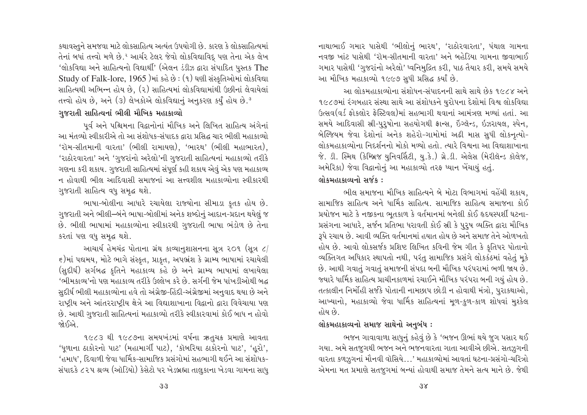કથાવસ્તુને સમજવા માટે લોકસાહિત્ય અત્યંત ઉપયોગી છે. કારણ કે લોકસાહિત્યમાં તેનાં બધાં તત્ત્વો મળે છે.<sup>ર</sup> આર્ચર ટેલર જેવો લોકવિદ્યાવિદ્ પણ તેના એક લેખ 'લોકવિદ્યા અને સાહિત્યનો વિદ્યાર્થી' (એલન ડંડીઝ દ્વારા સંપાદિત પસ્તક The Study of Falk-lore,  $1965$  )માં કહે છે: (૧) ઘણી સંસ્કૃતિઓમાં લોકવિદ્યા સાહિત્યથી અભિન્ન હોય છે. (૨) સાહિત્યમાં લોકવિદ્યામાંથી ઉછીનાં લેવાયેલાં તત્ત્વો હોય છે, અને (૩) લેખકોએ લોકવિદ્યાનું અનુકરણ કર્યું હોય છે.<sup>૩</sup>

# <mark>ગજરાતી સાહિત્યનાં ભીલી મૌખિક મહાકાવ્યો</mark>

પૂર્વ અને પશ્ચિમના વિદ્વાનોનાં મૌખિક અને લિખિત સાહિત્ય અંગેનાં આ મંતવ્યો સ્વીકારીએ તો આ સંશોધક-સંપાદક દ્વારા પ્રસિદ્ધ ચાર ભીલી મહાકાવ્યો.  $'$ રૉમ-સીતમાની વારતા' (ભીલી રામાયણ), 'ભારથ' (ભીલી મહાભારત), 'રાઠોરવારતા' અને 'ગુજરાંનો અરેલો'ની ગુજરાતી સાહિત્યનાં મહાકાવ્યો તરીકે ગણના કરી શકાય. ગુજરાતી સાહિત્યમાં સંપર્ણ કહી શકાય એવું એક પણ મહાકાવ્ય ન હોવાથી ભીલ આદિવાસી સમાજનાં આ સત્ત્વશીલ મહાકાવ્યોના સ્વીકારથી ગુજરાતી સાહિત્ય વધુ સમૃદ્ધ થશે.

ભાષા-બોલીના આધારે રચાયેલા રાજ્યોના સીમાડા કૃતક હોય છે. ગુજરાતી અને ભીલી–બંને ભાષા-બોલીમાં અનેક શબ્દોનું આદાન-પ્રદાન થયેલું જ છે. ભીલી ભાષામાં મહાકાવ્યોના સ્વીકારથી ગુજરાતી ભાષા ભંડોળ છે તેના કરતાં પણ વધુ સમૃદ્ધ થશે.

આચાર્ય હેમચંદ્ર પોતાના ગ્રંથ કાવ્યાનુશાસનના સૂત્ર ૨૦૧ (સૂત્ર  $\epsilon/$  $\epsilon$ )માં પદ્યમય, મોટે ભાગે સંસ્કૃત, પ્રાકૃત, અપભ્રંશ કે ગ્રામ્ય ભાષામાં રચાયેલી (સુદીર્ઘ) સર્ગબદ્ધ કૃતિને મહાકાવ્ય કહે છે અને ગ્રામ્ય ભાષામાં લખાયેલા 'ભીમકાવ્ય'નો પણ મહાકાવ્ય તરીકે ઉલ્લેખ કરે છે. સર્ગની જેમ પાંખડીઓથી બદ્ધ સુદીર્ઘ ભીલી મહાકાવ્યોના હવે તો અંગ્રેજી-હિંદી-અંગ્રેજીમાં અનુવાદ થયા છે અને રાષ્ટ્રીય અને આંતરરાષ્ટ્રીય ક્ષેત્રે આ વિદ્યાશાખાના વિદ્વાનો દ્વારા વિવેચાયા પણ છે. આથી ગુજરાતી સાહિત્યનાં મહાકાવ્યો તરીકે સ્વીકારવામાં કોઈ બાધ ન હોવો જો ઈિએ

૧૯૮૩ થી ૧૯૮૭ના સમયખંડમાં વર્ષના ઋતુચક્ર પ્રમાણે આવતા 'ધૂળાના ઠાકોરનો પાટ' (મહામાર્ગી પાટ), 'કૉબરિયા ઠાકોરનો પાટ', 'હૂરો', 'હમાધ', દિવાળી જેવા ધાર્મિક-સામાજિક પ્રસંગોમાં સહભાગી થઈને આ સંશોધક-સંપાદકે ૮૨૫ શ્રવ્ય (ઑડિયો) કેસેટો પર ખેડબ્રહ્મા તાલુકાના ખેડવા ગામના સાધુ નાથાભાઈ ગમાર પાસેથી 'ભીલોનું ભારથ', 'રાઠોરવારતા', પંથાલ ગામના નવજી ખાંટ પાસેથી 'રૉમ-સીતમાની વારતા' અને બહેડિયા ગામના જીવાભાઈ ગમાર પાસેથી 'ગુજરાંનો અરેલો' ધ્વનિમુદ્રિત કરી, પાઠ તૈયાર કરી, સમયે સમયે આ મૌખિક મહાકાવ્યો ૧૯૯૭ સુધી પ્રસિદ્ધ કર્યાં છે.

આ લોકમહાકાવ્યોના સંશોધન-સંપાદનની સાથે સાથે છેક ૧૯૮૪ અને ૧૯૮૭માં રંગબહાર સંસ્થા સાથે આ સંશોધકને યુરોપના દેશોમાં વિશ્વ લોકવિદ્યા Gત્સવ(વર્ડ કોકલોર કેસ્ટિવલ)માં સહભાગી થવાનાં આમંત્રણ મળ્યાં હતાં. આ સમયે આદિવાસી સ્રી-પુરૃષોના સહયોગથી ફ્રાન્સ, ઇંગ્લૅન્ડ, ઇઝરાયલ, સ્પેન, બેલ્જિયમ જેવા દેશોનાં અનેક શહેરો-ગામોમાં અઢી માસ સધી લોકનત્યો-<u>લોકમહાકાવ્યોના નિદર્શનનો મોકો મળ્યો હતો. ત્યારે વિશ્વના આ વિદ્યાશાખાના</u>  $\delta$ .  $\Omega$ . સ્મિથ (કેમ્બ્રિજ યુનિવર્સિટી, યુ.કે.) ગ્રે. $\Omega$ . એલેસ (મેરીલૅન્ડ કૉલેજ, અમેરિકા) જેવા વિદ્વાનોનું આ મહાકાવ્યો તરફ ધ્યાન ખેંચાયું હતું. લોકમહાકાવ્યનો સર્જક**:** 

ભીલ સમાજના મૌખિક સાહિત્યને બે મોટા વિભાગમાં વહેંચી શકાય. સામાજિક સાહિત્ય અને ધાર્મિક સાહિત્ય. સામાજિક સાહિત્ય સમાજના કોઈ પ્રયોજન માટે કે નજીકના ભુતકાળ કે વર્તમાનમાં બનેલી કોઈ હૃદયસ્પર્શી ઘટના-પ્રસંગના આધારે, સર્જન પ્રતિભા ધરાવતી કોઈ સ્રી કે પુરૂષ વ્યક્તિ દ્વારા મૌખિક 3પે રચાય છે. આવી વ્યક્તિ વર્તમાનમાં હયાત હોય છે અને સમાજ તેને ઓળખતો હોય છે. આવો લોકસર્જક પ્રશિષ્ટ લિખિત કવિની જેમ ગીત કે કુતિપર પોતાનો વ્યક્તિગત અધિકાર સ્થાપતો નથી, પરંતુ સામાજિક પ્રસંગે લોકકંઠમાં વહેતું મુકે છે. આથી ગવાતું ગવાતું સમાજની સંપદા બની મૌખિક પરંપરામાં ભળી જાય છે. જ્યારે ધાર્મિક સાહિત્ય પ્રાચીનકાળમાં રચાઈને મૌખિક પરંપરા બની ગયું હોય છે. તત્કાલીન નિર્મોહી સર્જકે પોતાની નામછાપ છોડી ન હોવાથી મંત્રો, પુરાકથાઓ, આખ્યાનો, મહાકાવ્યો જેવા ધાર્મિક સાહિત્યનાં મૂળ-કુળ-કાળ શોધવાં મુશ્કેલ હોય છે.

# લોકમહાકાવ્યનો સમાજ સાથેનો અનુબંધ **:**

ભજન ગાવાવાળા સાધુનું કહેવું છે કે 'ભજન ઊભાં થયે જુગ પસાર થઈ ગયા. અમે સતજુગથી ભજન અને ભજનવારતા ગાતા આવીએ છીએ. સતઝુગની વારતા કળઝ઼ગનાં મૌનવી વૉસિયે…' મહાકાવ્યોમાં આવતાં ઘટના-પ્રસંગો-ચરિત્રો એમના મત પ્રમાણે સતજુગમાં બન્યાં હોવાથી સમાજ તેમને સત્ય માને છે. જેથી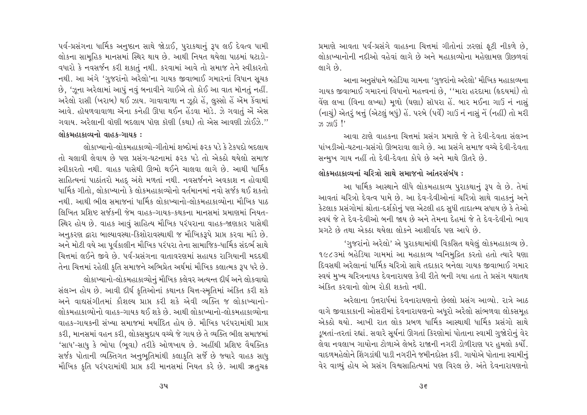પર્વ-પ્રસંગના ધાર્મિક અનુષ્ઠાન સાથે જોડાઈ, પુરાકથાનું રૂપ લઈ દેવત્વ પામી લોકના સામહિક માનસમાં સ્થિર થાય છે. આથી નિયત થયેલા પાઠમાં ઘટાડો-વધારો કે નવસર્જન કરી શકાતું નથી. કરવામાં આવે તો સમાજ તેને સ્વીકારતો નથી. આ અંગે 'ગુજરાંનો અરેલો'ના ગાયક જીવાભાઈ ગમારનાં વિધાન સૂચક છે, 'ઝૂના અરેલામાં આપું નવું બનાવીને ગાઈએ તો કોઈ આ વાત મૉનતું નહીં. અરેલો રાસી (ખરાબ) થઈ ઝાય. ગાવાવાળા ન ઝૂઠો હે, લુસ્સો હે એમ કેવામાં આવે. હૉયળવાવાળા ઍેના કનેહી ઊપા થઈન હેંડવા મૉડે. ઝે ગવાતું ઍે એસ ગવાય. અરેલાની વૉણી બદલાય પૉણ કૉણી (કથા) તો એસ આવણી ઝોઈઝે " લોકમહાકાવ્યનો વાહક-ગાયક:

લોકાખ્યાનો-લોકમહાકાવ્યો-ગીતોમાં શબ્દોમાં ફરૂક પડે કે ટેકપદો બદલાય તો ચલાવી લેવાય છે પણ પ્રસંગ-ઘટનામાં કરક પડે તો એકઠો થયેલો સમાજ સ્વીકારતો નથી. વાહક પાસેથી ઊભો થઈને ચાલવા લાગે છે. આથી ધાર્મિક સાહિત્યનાં પાઠાંતરો મહદુ અંશે મળતાં નથી. નવસર્જનને અવકાશ ન હોવાથી ધાર્મિક ગીતો. લોકાખ્યાનો કે લોકમહાકાવ્યોનો વર્તમાનમાં નવો સર્જક થઈ શકતો નથી. આથી ભીલ સમાજનાં ધાર્મિક લોકાખ્યાનો-લોકમહાકાવ્યોના મૌખિક પાઠ લિખિત પ્રશિષ્ટ સર્જકની જેમ વાહક-ગાયક-કથકના માનસમાં પ્રમાણમાં નિયત-સ્થિર હોય છે. વાહક આવું સાહિત્ય મૌખિક પરંપરાના વાહક-જાણકાર પાસેથી અનુકરણ દ્વારા બાલ્યાવસ્થા-કિશોરાવસ્થાથી જ મૌખિકરૂપે પ્રાપ્ત કરવા માંડે છે. અને મોટી વયે આ પૂર્વકાલીન મૌખિક પરંપરા તેના સામાજિક-ધાર્મિક સંદર્ભ સાથે ચિત્તમાં લઈને જીવે છે. પર્વ-પ્રસંગના વાતાવરણમાં સહાયક રાગિયાની મદદથી તેના ચિત્તમાં રહેલી કૃતિ સમાજને અભિપ્રેત અર્થમાં મૌખિક કલાત્મક રૂપ ધરે છે.

લોકાખ્યાનો-લોકમહાકાવ્યોનું મૌખિક કલેવર અત્યન્ત દીર્ઘ અને લોકવાદ્યો સંલગ્ન હોય છે. આવી દીર્ઘ કૃતિઓનાં કથાનક ચિત્ત-સ્મૃતિમાં અંકિત કરી શકે અને વાઘસંગીતમાં કૌશલ્ય પ્રાપ્ત કરી શકે એવી વ્યક્તિ જ લોકાખ્યાનો-લોકમહાકાવ્યોનો વાહક-ગાયક થઈ શકે છે. આથી લોકાખ્યાનો-લોકમહાકાવ્યોના વાહક-ગાયકની સંખ્યા સમાજમાં મર્યાદિત હોય છે. મૌખિક પરંપરામાંથી પ્રાપ્ત કરી, માનસમાં વહન કરી, લોકસમુદાય વચ્ચે જે ગાય છે તે વ્યક્તિ ભીલ સમાજમાં 'સાધ'-સાધુ કે ભોપા (ભવા) તરીકે ઓળખાય છે. અહીંથી પ્રશિષ્ટ વૈયક્તિક સર્જક પોતાની વ્યક્તિગત અનુભૂતિમાંથી કલાકૃતિ સર્જે છે જ્યારે વાહક સાધુ મૌખિક કૃતિ પરંપરામાંથી પ્રાપ્ત કરી માનસમાં નિયત કરે છે. આથી ઋતુચક્ર

પ્રમાણે આવતા પર્વ-પ્રસંગે વાહકના ચિત્તમાં ગીતોનાં ઝરણાં ફટી નીકળે છે, લોકાખ્યાનોની નદીઓ વહેવાં લાગે છે અને મહાકાવ્યોના મહેણામણ ઊછળવાં લાગે છે

આના અનસંધાને બહેડિયા ગામના 'ગજરાંનો અરેલો' મૌખિક મહાકાવ્યના ગાયક જીવાભાઈ ગમારનાં વિધાનો મહત્ત્વનાં છે. ''મારા હરદામા (હૃદયમાં) તો વેંશ લખા (વિના લખ્યા) મળો (ઘણા) સૉપરા હેં. બાર મઈના ગાઉં નં નાસું (નાચું) એતરૂં બત્તું (એટલું બધું) હેં. પરબે (પર્વે) ગાઉં નં નાસું નેં (નહીં) તો મરી  $33,31(3)$  !'

આવા ટાણે વાહકના ચિત્તમાં પ્રસંગ પ્રમાણે જે તે દેવી-દેવતા સંલગ્ન પાંખડીઓ-ઘટના-પ્રસંગો ઊભરાવા લાગે છે. આ પ્રસંગે સમાજ વચ્ચે દેવી-દેવતા સન્મુખ ગાય નહીં તો દેવી-દેવતા કોપે છે અને માથે ઊતરે છે.

# લોકમહાકાવ્યનાં ચરિત્રો સાથે સમાજનો આંતરસંબંધ :

આ ધાર્મિક આસ્થાને લીધે લોકમહાકાવ્ય પુરાકથાનું રૂપ લે છે. તેમાં આવતાં ચરિત્રો દેવત્વ પામે છે. આ દેવ-દેવીઓનાં ચરિત્રો સાથે વાહકનું અને કેટલાક પ્રસંગોમાં શ્રોતા-દર્શકોનું પણ એટલી હદ સુધી તાદાત્મ્ય સધાય છે કે તેઓ સ્વયં જે તે દેવ-દેવીઓ બની જાય છે અને તેમના દેહમાં જે તે દેવ-દેવીનો ભાવ પ્રગટે છે તથા એકઠા થયેલા લોકને આશીર્વાદ પણ આપે છે.

'ગુજરાંનો અરેલો' એ પુરાકથામાંથી વિકસિત થયેલું લોકમહાકાવ્ય છે. ૧૯૮૩માં બહેડિયા ગામમાં આ મહાકાવ્ય ધ્વનિમુદ્રિત કરતો હતો ત્યારે ઘણા દિવસથી અરેલાનાં ધાર્મિક ચરિત્રો સાથે તદાકાર બનેલા ગાયક જીવાભાઈ ગમાર સ્વયં મુખ્ય ચરિત્રનાયક દેવનારાયણ કેવી રીતે બની ગયા હતા તે પ્રસંગ યથાતથ અંકિત કરવાનો લોભ રોકી શકતો નથી

અરેલાના ઉત્તરાર્ધમાં દેવનારાયણનો છેલ્લો પ્રસંગ આવ્યો. રાત્રે આઠ વાગે જીવાકાકાની ઓસરીમાં દેવનારાયણનો અધરો અરેલો સાંભળવા લોકસમહ એકઠો થયો. આખી રાત લોક પ્રબળ ધાર્મિક આસ્થાથી ધાર્મિક પ્રસંગો સાથે ડૂબતાં-તરતાં રહ્યાં. સવારે સૂર્યનાં ઊગતાં કિરણોમાં પોતાના સ્વામી ગુજોરોનું વેર લેવા નવલાખ ગાયોના ટોળાએ લેબદે રાજાની નગરી ડોળીરાણ પર હુમલો કર્યો. વાદળમહેલોને શિંગડાંથી પાડી નગરીને જમીનદોસ્ત કરી. ગાયોએ પોતાના સ્વામીનું વેર વાળ્યું હોય એ પ્રસંગ વિશ્વસાહિત્યમાં પણ વિરલ છે. અંતે દેવનારાયણનો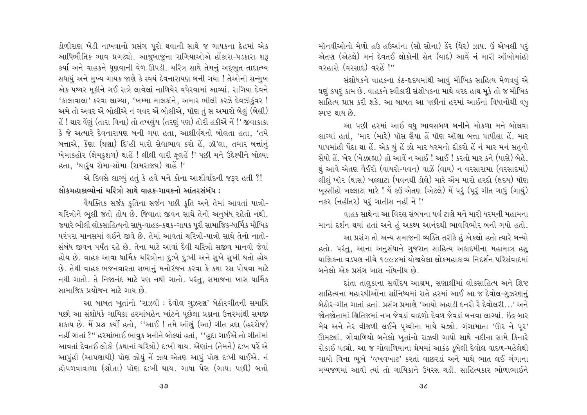ડોળીરાણ ખેડી નાખવાનો પ્રસંગ પુરો થવાની સાથે જ ગાયકના દેહમાં એક આધિભૌતિક ભાવ પ્રગટ્યો. આજબાજના રાગિયાઓએ હોંકારા-પડકારા શરૂ કર્યા અને વાહકને ધણવાની વેળ ઊપડી. ચરિત્ર સાથે તેમનં અદભત તાદાત્મ્ય સધાયું અને મુખ્ય ગાયક જાણે કે સ્વયં દેવનારાયણ બની ગયા ! તેઓની સન્મુખ એક પથ્થર મકીને ગઈ રાત્રે લાવેલાં નાળિયેર વધેરવામાં આવ્યાં. રાગિયા દેવને 'કાલાવાલા' કરવા લાગ્યા, 'ખમ્મા માલકાંને, અમાર ભીલી કરઝે દેવઝીકુંવર ! અમે તો અવર એં બોલીએ નં ગવર એં બોલીએ, પૉણ તું સ અમારો બેલું (બેલી) હેં ! થાર વેંણું (તારા વિના) તો તખલુંય (તરણું પણ) તોરી હકીએં નેં !' જીવાકાકા કે જે અત્યારે દેવનારાયણ બની ગયા હતા, આશીર્વચનો બોલતા હતા, 'તમે બત્તાએ, કેંણા (ઘણા) દિ'હી મારો સેવાભાવ કરો હે, ઝૉ'લા, તમાર બત્તાંનું ખેમાકહોર (ક્ષેમકુશળ) થાહેં ! લીલી વારી ફુલહેં !' પછી મને ઉદ્દેશ્યીને બોલ્યા હતા, 'થારૂંય રૉમા-સૉમા (રામરાજ્ય) થાહેં !'

એ દિવસે લાગ્યું હતું કે હવે મને કોના આશીર્વાદની જરૂર હતી ?! લોકમહાકાવ્યોનાં ચરિત્રો સાથે વાહક-ગાયકનો આંતરસંબંધ :

વૈયક્તિક સર્જક કૃતિના સર્જન પછી કૃતિ અને તેમાં આવતાં પાત્રો-ચરિત્રોને ભૂલી જતો હોય છે. જિવાતા જીવન સાથે તેનો અનુબંધ રહેતો નથી. જયારે ભીલી લોકસાહિત્યનો સાધુ-વાહક-કથક-ગાયક પુરી સામાજિક-ધાર્મિક મૌખિક પરંપરા માનસમાં લઈને જીવે છે. તેમાં આવતાં ચરિત્રો-પાત્રો સાથે તેનો નાતો-સંબંધ જીવન પર્યંત રહે છે. તેના માટે આવાં દૈવી ચરિત્રો સજીવ માનવો જેવાં હોય છે. વાહક આવા ધાર્મિક ચરિત્રોના દુઃખે દુઃખી અને સુખે સુખી થતો હોય છે. તેથી વાહક ભજનવારતા સભાનું મનોરંજન કરવા કે કથા રસ પોષવા માટે નથી ગાતો. તે નિજાનંદ માટે પણ નથી ગાતો. પરંતુ, સમાજના ખાસ ધાર્મિક સામાજિક પ્રયોજન માટે ગાય છે.

આ બાબત ખતાંનો 'રાઝવી : દેવોલ ગુઝરણ' બેઠોરગીતની સમાપ્તિ પછી આ સંશોધકે ગાયિકા હરમાંબહેન ખાંટને પછેલા પ્રશ્નના ઉત્તરમાંથી સમજી શકાય છે. મેં પ્રશ્ન કર્યો હતો, ''આઈ ! તમે ઑર્ણુ (આ) ગીત હદા (હરરોજ) નહીં ગાતાં ?'' હરમાંભાઈ ભાવુક બનીને બોલ્યાં હતાં, ''હુદા ગાઈએં તો ગીતાંમાં આવતાં દેવતઈ લોકો (કથાનાં ચરિત્રો) દઃખી થાય. એંણાંન (તેમને) દઃખ પરેં એ આપુંહી (આપણાથી) પૉણ ઝોયું નેં ઝાય એતણ આપું પૉણ દઃખી થાઈએ. નં હૉપળવાવાળા (શ્રોતા) પૉણ દ:ખી થાય. ગાધા પેસ (ગાયા પછી) બત્તો મૉનવીઓનો મેળો હઉ હઉઆંના (સૌ સોના) કેર (ઘેર) ઝાય. ઉં એખલી પર્ એતણ (એટલે) મનું દેવતઈ લોકોની સેતુ (યાદ) આવે નું મારી ઑખોમાંહી 

સંશોધકને વાહકના કંઠ-હૃદયમાંથી આવું મૌખિક સાહિત્ય મેળવવું એ ઘણું કપરું કામ છે. વાહકને સ્વીકારી સંશોધકના માથે વરદ હાથ મકે તો જ મૌખિક સાહિત્ય પ્રાપ્ત કરી શકે. આ બાબત આ પછીનાં હરમાં આઈનાં વિધાનોથી વધુ સ્પષ્ટ થાય છે.

આ પછી હરમાં આઈ વધુ ભાવસબળ બનીને મોકળા મને બોલવા લાગ્યાં હતાં, 'માર (મારે) પૉસ સૈયા હેં પૉણ ઑણા બત્તા પાપીલા હેં. માર પાપમાંહી પેંદા થા હે. એક યું હે ઝો માર ધરમનો દીકરો હેં નં માર મનં સતુનો સૈયો હેં. ખેર (ખેડબ્રહ્મા) હો આવે ન આઈ ! આઈ ! કરતો માર કને (પાસે) બેહે. થું આવે એતણ વૈઈરો (વાયરો-પવન) વાઝેં (વાય) ન વરસારામા (વરસાદમાં) લીલું ખૉર (ઘાસ) ખલ્લાટા (પવનથી ડોલે) મારે એમ મારો હરદો (હૃદય) પૉણ ખૂસ્સીહો ખલ્લાટા મારે ! થે કઉં એતણ (એટલે) મેં પરૂં (પૂરું ગીત ગાધું (ગાયું) નકર (નહીંતર) પર ગાતીસ નહીં ને !'

વાહક સાથેના આ વિરલ સંબંધના પર્વ ટાણે મને મારી ધરમની મહામના માનાં દર્શન થયાં હતાં અને હું અકથ્ય આનંદથી ભાવવિભોર બની ગયો હતો. આ પ્રસંગ તો અન્ય સમાજની વ્યક્તિ તરીકે હું એકલો હતો ત્યારે બન્યો હતો. પરંતુ, આના અનુસંધાને ગુજરાત સાહિત્ય અકાદમીના મહામાત્ર હસુ યાજ્ઞિકના વડપણ નીચે ૧૯૯૪માં યોજાયેલા લોકમહાકાવ્ય નિદર્શન પરિસંવાદમાં બનેલો એક પ્રસંગ ખાસ નોંધનીય છે.

દાંતા તાલુકાના સર્વોદય આશ્રમ, સણાલીમાં લોકસાહિત્ય અને શિષ્ટ સાહિત્યના મહારથીઓના સાંનિધ્યમાં રાતે હરમાં આઈ આ જ દેવોલ-ગુઝરણનું બેઠોર-ગીત ગાતાં હતાં. પ્રસંગ પ્રમાણે 'આયો અહાડી દનરો રે દેવોલરી...' અને જોતજોતામાં ક્ષિતિજમાં નખ જેવડાં વાદળો દેવળ જેવડાં બનવા લાગ્યાં. ઇંદ્ર બાર મેઘ અને તેર વીજળી લઈને પૃથ્વીના માથે ચડ્યો. ગંગામાતા 'ઊર ને પર' ઊમટ્યાં. ગોવાળિયો બનેલો ખૂતાંનો રાઝવી ગાયો સાથે નદીના સામે કિનારે રોકાઈ પડ્યો. આ જ ગોવાળિયાના પ્રેમમાં આકંઠ ડુબેલી દેવોલ વાદળ-મહેલેથી ગાયો વિના ભૂખે 'વખવખાટ' કરતાં વાછરડાં અને માથે ભાત લઈ ગંગાના भध्यश्रणमां आवी त्यां तो गायिद्दाने ઉधरस चड़ी, साहित्यद्दार लोणालार्धने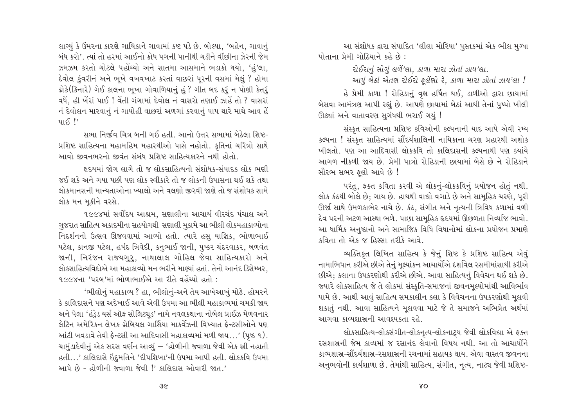લાગ્યું કે ઉમરના કારણે ગાયિકાને ગાવામાં કષ્ટ પડે છે. બોલ્યા, 'બહેન, ગાવાનું બંધ કરો'. ત્યાં તો હરમાં આઈનો ક્રોધ પગની પાનીથી ચડીને વીંછીના ઝેરની જેમ ઝમઝમ કરતો ચોટલે પહોંચ્યો અને સાતમા આસમાને ભડાકો થયો. 'હં'લા. દેવોલ કુંવરીનં અને ભૂખે વખવખાટ કરતાં વાછરાં પૂરની વસમાં મેલું ? હૉમા ઢોકે(કિનારે) ગેઈ કાલના ભૂખા ગોવાળિયાનું હું ? ગીત બદ કરૂં ન પૉણી કેતરૂં વધે, હી ખેરાં પાઈ ! વેંતી ગંગામાં દેવોલ નં વાસરો તણાઈ ઝાહેં તો ? વાસરાં નં દેવોલન મારવાનું નં ગાયોહી વાછરાં અળગાં કરવાનું પાપ થારે માથે આવ હેં  $415$ 

સભા નિર્જાવ ચિત્ર બની ગઈ હતી. આનો ઉત્તર સભામાં બેઠેલા શિષ્ટ-પ્રશિષ્ટ સાહિત્યના મહામહિમ મહારથીઓ પાસે નહોતો. કૃતિનાં ચરિત્રો સાથે આવો જીવનભરનો જીવંત સંબંધ પ્રશિષ્ટ સાહિત્યકારને નથી હોતો

હૃદયમાં જોગ લાગે તો જ લોકસાહિત્યનો સંશોધક-સંપાદક લોક ભણી જઈ શકે અને ગયા પછી પણ લોક સ્વીકારે તો જ લોકની ઉપાસના થઈ શકે તથા લોકમાનસની માન્યતાઓના ખ્યાલો અને વલણો જીરવી જાણે તો જ સંશોધક સામે લોક મન મૂકીને વરસે.

૧૯૯૪માં સર્વોદય આશ્રમ. સણાલીના આચાર્ય વીરચંદ પંચાલ અને ગુજરાત સાહિત્ય અકાદમીના સહયોગથી સણાલી મુકામે આ ભીલી લોકમહાકાવ્યોના નિદર્શનનો ઉત્સવ ઊજવવામાં આવ્યો હતો. ત્યારે હસૂ યાજ્ઞિક, ભોળાભાઈ પટેલ, કાનજી પટેલ, હર્ષદ ત્રિવેદી, કનુભાઈ જાની, પુષ્કર ચંદરવાકર, બળવંત જાની, નિરંજન રાજ્યગુરૂ, નાથાલાલ ગોહિલ જેવા સાહિત્યકારો અને લોકસાહિત્યવિદોએ આ મહાકાવ્યો મન ભરીને માણ્યાં હતાં. તેનો આનંદ ડિસેમ્બર, ૧૯૯૪ના 'પરબ'માં ભોળાભાઈએ આ રીતે વહેંચ્યો હતો :

'ભીલોનું મહાકાવ્ય ? હા, ભીલોનું-અને તેય આખેઆખું મોઢે. હોમરને કે કાલિદાસને પણ અદેખાઈ આવે એવી ઉપમા આ ભીલી મહાકાવ્યમાં ચમકી જાય અને પેલા 'હંડેડ યર્સ ઑફ સોલિટ્ચડ' નામે નવલકથાના નોબેલ પ્રાઈઝ મેળવનાર લેટિન અમેરિકન લેખક ગ્રેબિયલ ગાર્સિયા માકર્વેઝની વિખ્યાત ફ્રેન્ટસીઓને પણ આંટી ખવડાવે તેવી ફેન્ટસી આ આદિવાસી મહાકાવ્યમાં મળી જાય…' (પૃષ્ઠ ૧). ચામુંડાદેવીનું એક સરસ વર્ણન આવ્યું – 'હોળીની જવાળા જેવી એક સ્રી નહાતી હતી...' કાલિદાસે ઇંદુમતિને 'દીપશિખા'ની ઉપમા આપી હતી. લોકકવિ ઉપમા આપે છે - હોળીની જવાળા જેવી !' કાલિદાસ ઓવારી જાત.'

આ સંશોધક દ્વારા સંપાદિત 'લીલા મોરિયા' પુસ્તકમાં એક ભીલ મુગ્ધા પોતાના પ્રેમી ગોઠિયાને કહે છે:

રોઈરાનું સોગું લળેં'લા, કાળા મારા ઝોતાં ઝાય'લા.

આપું બેઠાં એતણ રોઈરો ફ્લેંણો રે. કાળા મારા ઝોતાં ઝાય'લા !

હે પ્રેમી કાળા ! રોહિડાનું વૃક્ષ હર્ષિત થઈ, ડાળીઓ દ્વારા છાયામાં બેસવા આમંત્રણ આપી રહ્યું છે. આપણે છાયામાં બેઠાં આથી તેનાં પુષ્પો ખીલી ઊઠ્યાં અને વાતાવરણ સુગંધથી ભરાઈ ગયું !

સંસ્કૃત સાહિત્યના પ્રશિષ્ટ કવિઓની કલ્પનાની યાદ આપે એવી રમ્ય કલ્પના ! સંસ્કૃત સાહિત્યમાં સૌંદર્યશાલિની નાયિકાના ચરણ પ્રહારથી અશોક ખીલતો. પણ આ આદિવાસી લોકકવિ તો કાલિદાસની કલ્પનાથી પણ ક્યાંયે આગળ નીકળી જાય છે. પ્રેમી પાત્રો રોહિડાની છાયામાં બેસે છે ને રોહિડાને સૌરભ સભર ફલો આવે છે !

પરંતુ, ફક્ત કવિતા કરવી એ લોકનું-લોકકવિનું પ્રયોજન હોતું નથી. લોક કંઠથી બોલે છે; ગાય છે. હાથથી વાદ્યો વગાડે છે અને સામુહિક ચરણે, પુરી ઊર્જા સાથે ઉમળકાભેર નાચે છે. કંઠ, સંગીત અને નૃત્યની ત્રિવિધ કળામાં વળી દેવ પરની અટળ આસ્થા ભળે. પાછા સામુહિક હૃદયમાં ઊછળતા નિર્વ્યાજ ભાવો. આ ધાર્મિક અનુષ્ઠાનો અને સામાજિક વિધિ વિધાનોમાં લોકના પ્રયોજન પ્રમાણે કવિતા તો એક જ હિસ્સા તરીકે આવે.

વ્યક્તિકૃત લિખિત સાહિત્ય કે જેનું શિષ્ટ કે પ્રશિષ્ટ સાહિત્ય એવું નામાભિધાન કરીએ છીએ તેનું મૂલ્યાંકન આચાર્યોએ દર્શાવેલ રસમીમાંસાથી કરીએ છીએ: કલાના ઉપકરણોથી કરીએ છીએ. આવા સાહિત્યનું વિવેચન થઈ શકે છે. જ્યારે લોકસાહિત્ય જે તે લોકમાં સંસ્કૃતિ-સમાજનાં જીવનમૂલ્યોમાંથી આવિર્ભાવ પામે છે. આથી આવું સાહિત્ય સમકાલીન કલા કે વિવેચનના ઉપકરણોથી મુલવી શકાતું નથી. આવા સાહિત્યને મુલવવા માટે જે તે સમાજને અભિપ્રેત અર્થમાં આગવા કાવ્યશાસ્ત્રની આવશ્યકતા રહે

લોકસાહિત્ય-લોકસંગીત-લોકનૃત્ય-લોકનાટ્ય જેવી લોકવિદ્યા એ ફક્ત રસશાસની જેમ કાવ્યમાં જ રસાનંદ લેવાનો વિષય નથી. આ તો આચાર્યોને કાવ્યશાસ-સૌંદર્યશાસ્ર-રસશાસ્રની રચનામાં સહાયક થાય. એવા વાસ્તવ જીવનના અનુભવોની કાર્યશાળા છે. તેમાંથી સાહિત્ય, સંગીત, નૃત્ય, નાટ્ય જેવી પ્રશિષ્ટ-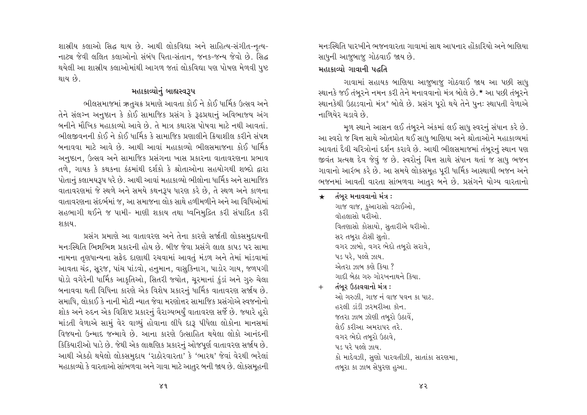શાસ્રીય કલાઓ સિદ્ધ થાય છે. આથી લોકવિદ્યા અને સાહિત્ય-સંગીત-નૃત્ય-નાટ્ય જેવી લલિત કલાઓનો સંબંધ પિતા-સંતાન. જનક-જન્ય જેવો છે. સિદ્ધ થયેલી આ શાસ્રીય કલાઓમાંથી આગળ જતાં લોકવિદ્યા પણ પોષણ મેળવી પષ્ટ થાય છે.

# મહાકાવ્યોનું બાહ્યસ્વરૂપ

ભીલસમાજમાં ઋતુચક્ર પ્રમાણે આવતા કોઈ ને કોઈ ધાર્મિક ઉત્સવ અને તેને સંલગ્ન અનુષ્ઠાન કે કોઈ સામાજિક પ્રસંગ કે રૂઢપ્રથાનું અવિભાજ્ય અંગ બનીને મૌખિક મહાકાવ્યો આવે છે. તે માત્ર કથારસ પોષવા માટે નથી આવતાં. ભીલજીવનની કોઈ ને કોઈ ધાર્મિક કે સામાજિક પ્રણાલીને ક્રિયાશીલ કરીને સંપન્ન બનાવવા માટે આવે છે. આથી આવાં મહાકાવ્યો ભીલસમાજના કોઈ ધાર્મિક અનુષ્ઠાન, ઉત્સવ અને સામાજિક પ્રસંગના ખાસ પ્રકારના વાતાવરણના પ્રભાવ તળે, ગાયક કે કથકના કંઠમાંથી દર્શકો કે શ્રોતાઓના સહયોગથી શબ્દો દ્વારા પોતાનું કલામયરૂપ ધરે છે. આથી આવાં મહાકાવ્યો ભીલોના ધાર્મિક અને સામાજિક વાતાવરણમાં જે સ્થળે અને સમયે કથનરૂપ ધારણ કરે છે, તે સ્થળ અને કાળના વાતાવરણના સંદર્ભમાં જ, આ સમાજના લોક સાથે હળીમળીને અને આ વિધિઓમાં સહભાગી થઈને જ પામી- માણી શકાય તથા ધ્વનિમુદ્રિત કરી સંપાદિત કરી श क्षय ।

પ્રસંગ પ્રમાણે આ વાતાવરણ અને તેના કારણે સર્જાતી લોકસમુદાયની મનઃસ્થિતિ ભિન્નભિન્ન પ્રકારની હોય છે. બીજ જેવા પ્રસંગે લાલ કાપડ પર સામા નામના તુણધાન્યના સફેદ દાણાથી રચવામાં આવતું મંડળ અને તેમાં માંડવામાં આવતા ચંદ્ર, સૂરજ, પાંચ પાંડવો, હનુમાન, વાસુકિનાગ, પાડોર ગાય, જળપગી ઘોડો વગેરેની ધાર્મિક આકૃતિઓ, સિતરી જયોત, ચરમાનાં કુંડાં અને ગુરુ ચેલા બનાવવા થતી વિધિના કારણે એક વિશેષ પ્રકારનું ધાર્મિક વાતાવરણ સર્જાય છે. સમાધિ, લોકાઈ કે નાની મોટી ન્યાત જેવા મરણોત્તર સામાજિક પ્રસંગોએ સ્વજનોનો શોક અને રુદન એક વિશિષ્ટ પ્રકારનું વૈરાગ્યભર્યું વાતાવરણ સર્જે છે. જ્યારે હરો માંડતી વેળાએ સામું વેર વાળ્યું હોવાના લીધે દારૂ પીધેલા લોકોના માનસમાં વિજયનો ઉન્માદ જન્માવે છે. આના કારણે ઉત્સાહિત થયેલા લોકો આનંદની કિકિયારીઓ પાડે છે. જેથી એક લાક્ષણિક પ્રકારનું ઓજપૂર્ણ વાતાવરણ સર્જાય છે. આથી એકઠો થયેલો લોકસમુદાય 'રાઠોરવારતા' કે 'ભારથ' જેવાં વેરથી ભરેલાં મહાકાવ્યો કે વારતાઓ સાંભળવા અને ગાવા માટે આતુર બની જાય છે. લોકસમૂહની

મન:સ્થિતિ પારખીને ભજનવારતા ગાવામાં સાથ આપનાર હોંકારિયો અને બાણિયા. સાધુની આજુબાજુ ગોઠવાઈ જાય છે.

# મહાકાવ્યો ગાવાની પદ્ધતિ

ગાવામાં સહાયક બાણિયા આજુબાજુ ગોઠવાઈ જાય આ પછી સાધુ સ્થાનકે જઈ તંબરને નમન કરી તેને મનાવવાનો મંત્ર બોલે છે.\* આ પછી તંબરને સ્થાનકેથી ઉઠાડવાનો મંત્ર<sup>+</sup> બોલે છે. પ્રસંગ પરો થયે તેને પુનઃ સ્થાપતી વેળાએ નાળિયેર ચડાવે છે.

મળ સ્થાને આસન લઈ તંબરને અંકમાં લઈ સાધુ સ્વરનું સંધાન કરે છે. આ સ્વરો જ ચિત્ત સાથે ઓતપ્રોત થઈ સાધુ બાણિયા અને શ્રોતાઓને મહાકાવ્યમાં આવતાં દૈવી ચરિત્રોનાં દર્શન કરાવે છે. આથી ભીલસમાજમાં તંબુરનું સ્થાન પણ જીવંત પ્રત્યક્ષ દેવ જેવું જ છે. સ્વરોનું ચિત્ત સાથે સંધાન થતાં જ સાધુ ભજન ગાવાનો આરંભ કરે છે. આ સમયે લોકસમહ પરી ધાર્મિક આસ્થાથી ભજન અને ભજનમાં આવતી વારતા સાંભળવા આતર બને છે. પ્રસંગને યોગ્ય વારતાનો

#### તંબર મનાવવાનો મંત્ર :  $\star$

ગાજ વાજ, કુઆરાસો વટાઈઓ. વૉહલાસો ઘરીઓ વિતણાસો કોસાયો, સુતારીએ ઘરીઓ. સર તબુરા ટોસી સુતો. વગર ઝાબો, વગર ભેદો તબરો સરાવે, પડ પરે. પલ્લે ઝાય. એતરા ઝાબ ક્ષ્ણે કિયા ? ગાદી બેઠા ગરુ ગોરખનાથને કિયા.

#### તંબુર ઉઠાવવાનો મંત્ર :  $+$

ઓ ગુરુઝી, ગાજ નું વાજ પવન કા પાટ. હરલી ડાંડી ઝરમરીઆ કૉન જતરા ઝાબ ઝૉણી તબૂરો ઉઠાવે, લેઈ કરીઆ અમરાપર તરે. વગર ભેદો તબુરો ઉઠાવે, ૫૩ ૫રે ૫૯લે ઝાય કો માદેવઝી, સુણો પારવતીઝી, સાતાંકા સરણમા, તબૂરા કા ઝાબ સેપુરણ હુઆ.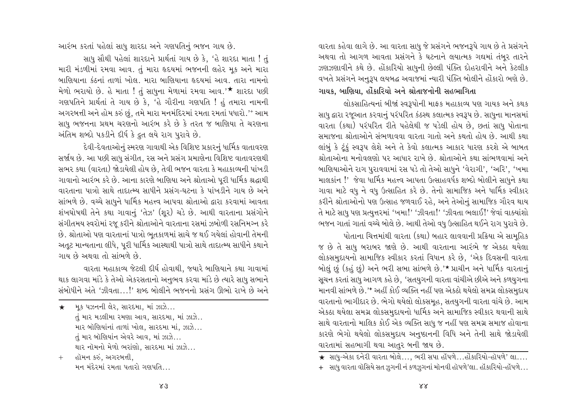વારતા કહેવા લાગે છે. આ વારતા સાધુ જે પ્રસંગને ભજનરૂપે ગાય છે તે પ્રસંગને અથવા તો આગળ આવતા પ્રસંગને કે ઘટનાને લયાત્મક ગદ્યમાં તંબુર તારને ઝણઝણાવીને કથે છે. હોંકારિયો સાધની છેલ્લી પંક્તિ દોહરાવીને અને કેટલીક વખતે પ્રસંગને અનુરૂપ લયબદ્ધ અવાજમાં ન્યારી પંક્તિ બોલીને હોંકારો ભણે છે. ગાયક, બાણિયા, હોંકારિયો અને શ્રોતાજનોની સહભાગિતા

લોકસાહિત્યનાં બીજાં સ્વરૂપોની માફક મહાકાવ્ય પણ ગાયક અને કથક સાધુ દ્વારા રજૂઆત કરવાનું પરંપરિત કંઠસ્થ કલાત્મક સ્વરૂપ છે. સાધુના માનસમાં વારતા (કથા) પરંપરિત રીતે પહેલેથી જ પડેલી હોય છે, છતાં સાધુ પોતાના સમાજના શ્રોતાઓને સંભળાવવા વારતા ગાતો અને કથતો હોય છે. આથી કથા લાંબું કે ટૂંકું સ્વરૂપ લેશે અને તે કેવો કલાત્મક આકાર ધારણ કરશે એ બાબત શ્રોતાઓના મનોવલણો પર આધાર રાખે છે. શ્રોતાઓને કથા સાંભળવામાં અને બાણિયાઓને રાગ પુરાવવામાં રસ પડે તો તેઓ સાધુને 'વેરાગી', 'અરિ', 'ખમા માલકાંન !' જેવા ધાર્મિક મહત્ત્વ આપતા ઉત્સાહવર્ધક શબ્દો બોલીને સાધુને કથા ગાવા માટે વધુ ને વધુ ઉત્સાહિત કરે છે. તેનો સામાજિક અને ધાર્મિક સ્વીકાર કરીને શ્રોતાઓનો પણ ઉત્સાહ જળવાઈ રહે, અને તેઓનું સામાજિક ગૌરવ થાય તે માટે સાધુ પણ પ્રત્યુત્તરમાં 'ખમા!' 'ઝીવતા!' 'ઝીવતા ભલાઈ!' જેવાં વાક્યાંશો ભજન ગાતાં ગાતાં વચ્ચે બોલે છે. આથી તેઓ વધુ ઉત્સાહિત થઈને રાગ પુરાવે છે.

પોતાના ચિત્તમાંથી વારતા (કથા) બહાર લાવવાની પ્રક્રિયા એ સામહિક જ છે તે સાધુ બરાબર જાણે છે. આથી વારતાના આરંભે જ એકઠા થયેલા લોકસમુદાયનો સામાજિક સ્વીકાર કરતાં વિધાન કરે છે, 'એક દિવસની વારતા બોલું છું (કહું છું) અને ભરી સભા સાંભળે છે.'\* પ્રાચીન અને ધાર્મિક વારતાનું સૂચન કરતાં સાધુ આગળ કહે છે, 'સતયુગની વારતા વાંચીએ છીએ અને કળયુગના માનવી સાંભળે છે.'\* અહીં કોઈ વ્યક્તિ નહીં પણ એકઠો થયેલો સમગ્ર લોકસમુદાય વારતાનો ભાગીદાર છે. ભેગો થયેલો લોકસમૂહ, સતયુગની વારતા વાંચે છે. આમ એકઠા થયેલા સમગ્ર લોકસમુદાયનો ધાર્મિક અને સામાજિક સ્વીકાર થવાની સાથે સાથે વારતાનો માલિક કોઈ એક વ્યક્તિ સાધુ જ નહીં પણ સમગ્ર સમાજ હોવાના કારણે ભેગો થયેલો લોકસમુદાય અનુષ્ઠાનની વિધિ અને તેની સાથે જોડાયેલી વારતામાં સહભાગી થવા આતુર બની જાય છે.

\_<br>★ સાધ-એકા દનેરી વારતા બોલે..., ભરી સપા હૉપળે...હોંકારિયો-હૉપળે' લા....

+ સાધુ વારતા વૉસિયે સત ઝુગની નં કળઝુગનાં મૉનવી હૉપળે'લા. હૉકારિયો-હૉપળે...

આરંભ કરતાં પહેલાં સાધુ શારદા અને ગણપતિનું ભજન ગાય છે.

સાધુ સૌથી પહેલાં શારદાને પ્રાર્થતાં ગાય છે કે, 'હે શારદા માતા ! તું મારી મંડળીમાં રમવા આવ. તું મારા હૃદયમાં ભજનની લહેર મૂક અને મારા બાણિયાના કંઠનાં તાળાં ખોલ. મારા બાણિયાના હૃદયમાં આવ. તારા નામનો મેળો ભરાયો છે. હે માતા ! તું સાધુના મેળામાં રમવા આવ.' $\star$  શારદા પછી ગણપતિને પ્રાર્થતાં તે ગાય છે કે, 'હે ગૌરીના ગણપતિ ! હું તમારા નામની અગરબત્તી અને હોમ કરું છું, તમે મારા મનમંદિરમાં રમતા રમતાં પધારો.'<sup>+</sup> આમ સાધુ ભજનના પ્રથમ ચરણનો આરંભ કરે છે કે તરત જ બાણિયા તે ચરણના અંતિમ શબ્દો પકડીને દીર્ધ કે દ્રુત લયે રાગ પુરાવે છે.

દેવી-દેવતાઓનું સ્મરણ ગાવાથી એક વિશિષ્ટ પ્રકારનું ધાર્મિક વાતાવરણ સર્જાય છે. આ પછી સાધુ સંગીત, રસ અને પ્રસંગ પ્રમાણેના વિશિષ્ટ વાતાવરણથી સભર કથા (વારતા) જોડાયેલી હોય છે. તેવી ભજન વારતા કે મહાકાવ્યની પાંખડી ગાવાનો આરંભ કરે છે. આના કારણે બાણિયા અને શ્રોતાઓ પુરી ધાર્મિક શ્રદ્ધાથી વારતાના પાત્રો સાથે તાદાત્મ્ય સાધીને પ્રસંગ-ઘટના કે પાંખડીને ગાય છે અને સાંભળે છે. વચ્ચે સાધુને ધાર્મિક મહત્ત્વ આપવા શ્રોતાઓ દ્વારા કરવામાં આવતા શંખઘોષથી તેને કથા ગાવાનું 'તેઝ' (શૂર) ચડે છે. આથી વારતાના પ્રસંગોને સંગીતમય સ્વરોમાં રજૂ કરીને શ્રોતાઓને વારતાના રસમાં ઝબોળી રસનિમગ્ન કરે છે. શ્રોતાઓ પણ વારતાનાં પાત્રો ભુતકાળમાં સાચે જ થઈ ગયેલાં હોવાની તેમની અતૂટ માન્યતાના લીધે, પૂરી ધાર્મિક આસ્થાથી પાત્રો સાથે તાદાત્મ્ય સાધીને કથાને ગાય છે અથવા તો સાંભળે છે.

વારતા મહાકાવ્ય જેટલી દીર્ઘ હોવાથી, જ્યારે બાણિયાને કથા ગાવામાં થાક લાગવા માંડે કે તેઓ એકરસતાનો અનુભવ કરવા માંડે છે ત્યારે સાધુ સભાને સંબોધીને અંતે 'ઝીવતા...!' શબ્દ બોલીને ભજનનો પ્રસંગ ઊભો રાખે છે અને

\* भुक्ष पञ्जननी खेर, सारहमा, भां अछे... તું માર મડલીમા રમણા આવ, સારદમા, માં ઝાઝે.. માર બૉણિયાંનાં તાળાં ખોલ, સારદમા માં, ઝાઝે... તું માર બૉણિયાંન એવરે આવ, માં ઝાઝે... થાર નૉમનો મેળો ભરાંણો, સારદમા માં ઝાઝે...

હૉમન કરું, અગરબત્તી,  $+$ મન મંદેરમાં રમતા પતારો ગણપતિ...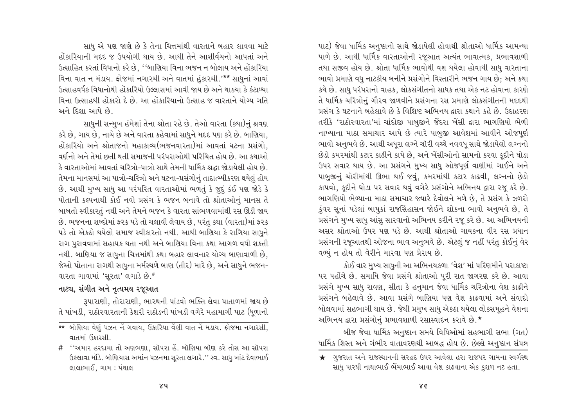સાધુ એ પણ જાણે છે કે તેના ચિત્તમાંથી વારતાને બહાર લાવવા માટે હોંકારિયાની મદદ જ ઉપયોગી થાય છે. આથી તેને આશીર્વચનો આપતાં અને ઉત્સાહિત કરતાં વિધાનો કરે છે. ''બાણિયા વિના ભજન ન બોલાય અને હોંકારિયા વિના વાત ન મંડાય. ફોજમાં નગારચી અને વાતમાં હુંકારચી.'\*\* સાધુનાં આવાં ઉત્સાહવર્ધક વિધાનોથી હોંકારિયો ઉલ્લાસમાં આવી જાય છે અને થાક્યા કે કંટાળ્યા વિના ઉત્સાહથી હોંકારો દે છે. આ હોંકારિયાનો ઉત્સાહ જ વારતાને યોગ્ય ગતિ અને દિશા આપે છે. સાધુની સન્મુખ હંમેશાં તેના શ્રોતા રહે છે. તેઓ વારતા (કથા)નું શ્રવણ

કરે છે. ગાય છે. નાચે છે અને વારતા કહેવામાં સાધને મદદ પણ કરે છે. બાણિયા. હોંકારિયો અને શ્રોતાજનો મહાકાવ્ય(ભજનવારતા)માં આવતાં ઘટના પ્રસંગો. વર્ણનો અને તેમાં છતી થતી સમાજની પરંપરાઓથી પરિચિત હોય છે. આ કથાઓ કે વારતાઓમાં આવતાં ચરિત્રો-પાત્રો સાથે તેમની ધાર્મિક શ્રદ્ધા જોડાયેલી હોય છે. તેમના માનસમાં આ પાત્રો-ચરિત્રો અને ઘટના-પ્રસંગોનું તાદાત્મ્યીકરણ થયેલું હોય છે. આથી મુખ્ય સાધુ આ પરંપરિત વારતાઓમાં ભળતું કે જુદું કંઈ પણ જોડે કે પોતાની કલ્પનાથી કોઈ નવો પ્રસંગ કે ભજન બનાવે તો શ્રોતાઓનું માનસ તે બાબતો સ્વીકારતું નથી અને તેમને ભજન કે વારતા સાંભળવામાંથી રસ ઊડી જાય છે. ભજનના શબ્દોમાં ફરક પડે તો ચલાવી લેવાય છે, પરંતુ કથા (વારતા)માં ફરક પડે તો એકઠો થયેલો સમાજ સ્વીકારતો નથી. આથી બાણિયા કે રાગિયા સાધુને રાગ પુરાવવામાં સહાયક થતા નથી અને બાણિયા વિના કથા આગળ વધી શકતી નથી. બાણિયા જ સાધુના ચિત્તમાંથી કથા બહાર લાવનાર યોગ્ય બાણાવાળી છે. જેઓ પોતાના રાગથી સાધુના મર્મસ્થળે બાણ (તીર) મારે છે. અને સાધુને ભજન-વારતા ગાવામાં 'સુરતા' લગાડે છે.#

#### નાટ્ય, સંગીત અને નૃત્યમય રજૂઆત

રૂપારાણી, તોરારાણી, ભારથની પાંડવો ભક્તિ લેવા પાતાળમાં જાય છે તે પાંખડી, રાઠોરવારતાની કેશરી રાઠોડની પાંખડી વગેરે મહામાર્ગી પાટ (ધૂળાનો પાટ) જેવા ધાર્મિક અનુષ્ઠાનો સાથે જોડાયેલી હોવાથી શ્રોતાઓ ધાર્મિક આમન્યા પાળે છે. આથી ધાર્મિક વારતાઓની રજૂઆત અત્યંત ભાવાત્મક, પ્રભાવશાળી તથા સજીવ હોય છે. શ્રોતા ધાર્મિક ભાવોથી વશ થયેલા હોવાથી સાધ વારતાના ભાવો પ્રમાણે વધુ નાટકીય બનીને પ્રસંગોને વિસ્તારીને ભજન ગાય છે; અને કથા કથે છે. સાધુ પરંપરાનો વાહક, લોકસંગીતનો સાધક તથા એક નટ હોવાના કારણે તે ધાર્મિક ચરિત્રોનું ગૌરવ જાળવીને પ્રસંગના રસ પ્રમાણે લોકસંગીતની મદદથી પ્રસંગ કે ઘટનાને બહેલાવે છે કે વિશિષ્ટ અભિનય દ્વારા કથાને કહે છે. ઉદાહરણ તરીકે 'રાઠોરવારતા'માં ચાંદોજી પાબજીને જેંદરા ખેંસી દ્વારા ભાગણિયો ભેળી નાખ્યાના માઠા સમાચાર આપે છે ત્યારે પાબુજી આવેશમાં આવીને ઓજપૂર્ણ ભાવો અનુભવે છે. આથી અધરા લગ્ને ચૉરી વચ્ચે નવવધુ સાથે જોડાયેલો લગ્નનો છેડો કમરમાંથી કટાર કાઢીને કાપે છે, અને ખેંસીઓનો સામનો કરવા કુદીને ઘોડા ઉપર સવાર થાય છે. આ પ્રસંગને મુખ્ય સાધુ ઓજપુર્ણ વાણીમાં ગાઈને અને પાબુજીનું ચૉરીમાંથી ઊભા થઈ જવું, કમરમાંથી કટાર કાઢવી, લગ્નનો છેડો કાપવો, કૂદીને ઘોડા પર સવાર થવું વગેરે પ્રસંગોને અભિનય દ્વારા રજૂ કરે છે. ભાગણિયો ભેળ્યાના માઠા સમાચાર જ્યારે દેવોલને મળે છે, તે પ્રસંગ કે ઝળરો ડુંવર સુનાં પડેલાં બાપુકાં રાજસિંહાસન જોઈને શોકના ભાવો અનુભવે છે, તે પ્રસંગને મુખ્ય સાધુ આંસુ સારવાનો અભિનય કરીને રજૂ કરે છે. આ અભિનયની અસર શ્રોતાઓ ઉપર પણ પડે છે. આથી શ્રોતાઓ ગાયકના વીર રસ પ્રધાન પ્રસંગની રજૂઆતથી ઓજના ભાવ અનુભવે છે. એટલું જ નહીં પરંતુ કોઈનું વેર વળ્યું ન હોય તો વેરીને મારવા પણ પ્રેરાય છે.

કોઈ વાર મુખ્ય સાધુની આ અભિનયકળા 'વેશ' માં પરિણમીને પરાકાષ્ટા પર પહોંચે છે. સમાધિ જેવા પ્રસંગે શ્રોતાઓ પુરી રાત જાગરણ કરે છે. આવા પ્રસંગે મુખ્ય સાધુ રાવણ, સીતા કે હનુમાન જેવા ધાર્મિક ચરિત્રોના વેશ કાઢીને પ્રસંગને બહેલાવે છે. આવા પ્રસંગે બાણિયા પણ વેશ કાઢવામાં અને સંવાદો બોલવામાં સહભાગી થાય છે. જેથી પ્રમુખ સાધુ એકઠા થયેલા લોકસમૂહને વેશના અભિનય દ્વારા પ્રસંગોનું પ્રભાવશાળી રસાસ્વાદન કરાવે છે.\*

બીજ જેવા ધાર્મિક અનુષ્ઠાન સમયે વિધિઓમાં સહભાગી સભા (ગત) ધાર્મિક શિસ્ત અને ગંભીર વાતાવરણથી આબદ્ધ હોય છે. છેલ્લે અનુષ્ઠાન સંપન્ન

<sup>\*\*</sup> બૉણિયા વેણું પઝન નેં ગવાય, ઉંકારિયા વેંણી વાત નેં મડાય. ફોજમા નગારસી, વાતમાં ઉકારસી

<sup># &#</sup>x27;'અમાર હરદામા તો અણભણા, સૉપરા હે. બૉણિયા બૉણ કરે તોસ આ સૉપરા ઉકલાવા મૉડે. બૉણિયાસ અમાંન પઝનમા સૂરતા લગારે.'' સ્વ. સાધુ ખાંટ દેવાભાઈ લાલાભાઈ, ગામ : પંથાલ

<sup>★</sup> ગુજરાત અને રાજસ્થાનની સરહદ ઉપર આવેલા હરા રાજપર ગામના સ્વર્ગસ્થ સાધુ પારઘી નાથાભાઈ ભેંમાભાઈ આવા વેશ કાઢવાના એક કુશળ નટ હતા.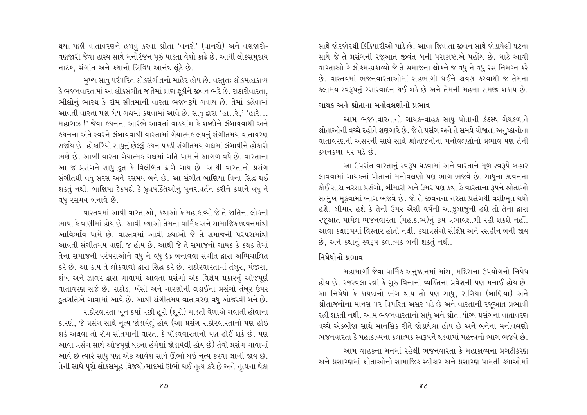થયા પછી વાતાવરણને હળવું કરવા શ્રોતા 'વનરો' (વાનરો) અને વણજારો-વણજારી જેવા હાસ્ય સાથે મનોરંજન પુરું પાડતા વેશો કાઢે છે. આથી લોકસમુદાય નાટક. સંગીત અને કથાનો ત્રિવિધ આનંદ લંટે છે.

મખ્ય સાધ પરંપરિત લોકસંગીતનો માહેર હોય છે. વસ્તતઃ લોકમહાકાવ્ય કે ભજનવારતામાં આ લોકસંગીત જ તેમાં પ્રાણ ફંકીને જીવન ભરે છે. રાઠારોવારતા. ભીલોનું ભારથ કે રૉમ સીતમાની વારતા ભજનરૂપે ગવાય છે. તેમાં કહેવામાં આવતી વારતા પણ ગેય ગદ્યમાં કથવામાં આવે છે. સાધુ દ્વારા 'હા…રે,' 'હારે… મહારાઝ!' જેવા કથનના આરંભે આવતાં વાક્યાંશ કે શબ્દોને લંબાવવાથી અને કથનના અંતે સ્વરને લંબાવવાથી વારતામાં ગેયાત્મક લયનં સંગીતમય વાતાવરણ સર્જાય છે. હોંકારિયો સાધુનું છેલ્લું કથન પકડી સંગીતમય ગદ્યમાં લંબાવીને હોંકારો ભણે છે. આખી વારતા ગેયાત્મક ગદ્યમાં ગતિ પામીને આગળ વધે છે. વારતાના આ જ પ્રસંગને સાધુ દ્રુત કે વિલંબિત ઢાળે ગાય છે. આથી વારતાનો પ્રસંગ સંગીતથી વધુ સરસ અને રસમય બને છે. આ સંગીત બાણિયા વિના સિદ્ધ થઈ શકતું નથી. બાણિયા ટેકપદો કે ધ્રુવપંક્તિઓનું પુનરાવર્તન કરીને કથાને વધુ ને વધુ રસમય બનાવે છે.

વાસ્તવમાં આવી વારતાઓ. કથાઓ કે મહાકાવ્યો જે તે જાતિના લોકની ભાષા કે વાણીમાં હોય છે. આવી કથાઓ તેમના ધાર્મિક અને સામાજિક જીવનમાંથી આવિર્ભાવ પામે છે. વાસ્તવમાં આવી કથાઓ જે તે સમાજની પરંપરામાંથી આવતી સંગીતમય વાણી જ હોય છે. આથી જે તે સમાજનો ગાયક કે કથક તેમાં તેના સમાજની પરંપરાઓને વધુ ને વધુ દેઢ બનાવવા સંગીત દ્વારા અભિચાલિત કરે છે. આ કાર્ય તે લોકવાઘો દ્વારા સિદ્ધ કરે છે. રાઠોરવારતામાં તંબૂર, મંજીરા, શંખ અને ઝાલર દ્વારા ગાવામાં આવતા પ્રસંગો એક વિશેષ પ્રકારનું ઓજપૂર્ણ વાતાવરણ સર્જે છે. રાઠોડ, ખેંસી અને ચારણોની લડાઈના પ્રસંગો તંબૂર ઉપર ુદ્રતગતિએ ગાવામાં આવે છે. આથી સંગીતમય વાતાવરણ વધુ ઓજસ્વી બને છે.

રાઠોરવારતા ખુન કર્યા પછી હરો (શુરો) માંડતી વેળાએ ગવાતી હોવાના કારણે, જે પ્રસંગ સાથે નૃત્ય જોડાયેલું હોય (આ પ્રસંગ રાઠોરવારતાનો પણ હોઈ શકે અથવા તો રૉમ સીતમાની વારતા કે પૉંડવવારતાનો પણ હોઈ શકે છે. પણ આવા પ્રસંગ સાથે ઓજપર્ણ ઘટના હંમેશાં જોડાયેલી હોય છે) તેવો પ્રસંગ ગાવામાં આવે છે ત્યારે સાધુ પણ એક આવેશ સાથે ઊભો થઈ નૃત્ય કરવા લાગી જાય છે. તેની સાથે પૂરો લોકસમૂહ વિજયોન્માદમાં ઊભો થઈ નૃત્ય કરે છે અને નૃત્યના થેકા

સાથે જોરજોરથી કિકિયારીઓ પાડે છે. આવા જિવાતા જીવન સાથે જોડાયેલી ઘટના સાથે જે તે પ્રસંગની રજૂઆત જીવંત બની પરાકાષ્ટાએ પહોંચ છે. માટે આવી વારતાઓ કે લોકમહાકાવ્યો જે તે સમાજના લોકને જ વધ ને વધ રસ નિમગ્ન કરે છે. વાસ્તવમાં ભજનવારતાઓમાં સહભાગી થઈને શ્રવણ કરવાથી જ તેમના કલામય સ્વરૂપનું રસાસ્વાદન થઈ શકે છે અને તેમની મહત્તા સમજી શકાય છે.

# ગાયક અને શ્રોતાના મનોવલણોનો પ્રભાવ

આમ ભજનવારતાનો ગાયક-વાહક સાધુ પોતાની કંઠસ્થ ગેયકળાને શ્રોતાઓની વચ્ચે રહીને શણગારે છે. જે તે પ્રસંગ અને તે સમયે યોજાતાં અનુષ્ઠાનોના વાતાવરણની અસરની સાથે સાથે શ્રોતાજનોના મનોવલણોનો પ્રભાવ પણ તેની  $$84 + $91$   $12$   $13$   $6$ 

આ ઉપરાંત વારતાનું સ્વરૂપ ઘડવામાં અને વારતાને મૂળ સ્વરૂપે બહાર લાવવામાં ગાયકનાં પોતાનાં મનોવલણો પણ ભાગ ભજવે છે. સાધુના જીવનના કોઈ સારા નરસા પ્રસંગો, બીમારી અને ઉંમર પણ કથા કે વારતાના રૂપને શ્રોતાઓ સન્મુખ મૂકવામાં ભાગ ભજવે છે. જો તે જીવનના નરસા પ્રસંગથી વશીભૂત થયો હશે, બીમાર હશે કે તેની ઉંમર એંસી વર્ષની આજુબાજુની હશે તો તેના દ્વારા રજૂઆત પામેલ ભજનવારતા (મહાકાવ્ય)નું રૂપ પ્રભાવશાળી રહી શકશે નહીં. આવા કથારૂપમાં વિસ્તાર હોતો નથી. કથાપ્રસંગો સંક્ષિપ્ત અને રસહીન બની જાય છે, અને કથાનું સ્વરૂપ કલાત્મક બની શકતું નથી.

# નિષેધોનો પ્રભાવ

મહામાર્ગી જેવા ધાર્મિક અનુષ્ઠાનમાં માંસ, મદિરાના ઉપયોગનો નિષેધ હોય છે. રજસ્વલા સ્ત્રી કે ગુરુ વિનાની વ્યક્તિના પ્રવેશની પણ મનાઈ હોય છે. આ નિષેધો કે કાયદાનો ભંગ થાય તો પણ સાધુ, રાગિયા (બાણિયા) અને શ્રોતાજનોના માનસ પર વિપરિત અસર પડે છે અને વારતાની રજૂઆત પ્રભાવી રહી શકતી નથી. આમ ભજનવારતાનો સાધુ અને શ્રોતા યોગ્ય પ્રસંગના વાતાવરણ વચ્ચે એકબીજા સાથે માનસિક રીતે જોડાયેલા હોય છે અને બંનેનાં મનોવલણો ભજનવારતા કે મહાકાવ્યના કલાત્મક સ્વરૂપને ઘડવામાં મહત્ત્વનો ભાગ ભજવે છે.

આમ વાહકના મનમાં રહેલી ભજનવારતા કે મહાકાવ્યના પ્રગટીકરણ અને પ્રસારણમાં શ્રોતાઓનો સામાજિક સ્વીકાર અને પ્રસારણ પામતી કથાઓમાં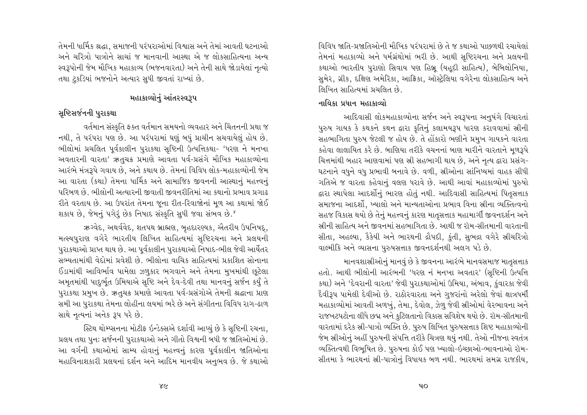તેમની ધાર્મિક શ્રદ્ધા, સમાજની પરંપરાઓમાં વિશ્વાસ અને તેમાં આવતી ઘટનાઓ અને ચરિત્રો પાત્રોને સાચાં જ માનવાની આસ્થા એ જ લોકસાહિત્યના અન્ય સ્વરૂપોની જેમ મૌખિક મહાકાવ્ય (ભજનવારતા) અને તેની સાથે જોડાયેલાં નૃત્યો તથા ટુકડિયાં ભજનોને અત્યાર સુધી જીવતાં રાખ્યાં છે.

# મહાકાવ્યોનું આંતરસ્વરૂપ

# સુષ્ટિસર્જનની પુરાકથા

વર્તમાન સંસ્કૃતિ ફક્ત વર્તમાન સમયનો વ્યવહાર અને ચિંતનની પ્રથા જ નથી, તે પરંપરા પણ છે. આ પરંપરામાં ઘણું બધું પ્રાચીન સચવાયેલું હોય છે. ભીલોમાં પ્રચલિત પર્વકાલીન પુરાકથા સૃષ્ટિની ઉત્પત્તિકથા- 'ધરણ ને મનખા અવતારની વારતા' ઋતુચક્ર પ્રમાણે આવતા પર્વ-પ્રસંગે મૌખિક મહાકાવ્યોના આરંભે મંત્રરૂપે ગવાય છે, અને કથાય છે. તેમનાં વિવિધ લોક-મહાકાવ્યોની જેમ આ વારતા (કથા) તેમના ધાર્મિક અને સામાજિક જીવનની આસ્થાનં મહત્ત્વનં પરિબળ છે. ભીલોની અત્યારની જીવાતી જીવનરીતિમાં આ કથાનો પ્રભાવ પ્રગાઢ રીતે વરતાય છે. આ ઉપરાંત તેમના જના રીત-રિવાજોનાં મળ આ કથામાં જોઈ શકાય છે, જેમનું પગેરૂં છેક નિષાદ સંસ્કૃતિ સુધી જવા સંભવ છે.<sup>જ</sup>

ઋગ્વેદ, અથર્વવેદ, શતપથ બ્રાહ્મણ, બુહદારણ્યક, ઐતરીય ઉપનિષદ્ મત્સ્યપુરાણ વગેરે ભારતીય લિખિત સાહિત્યમાં સૃષ્ટિરચના અને પ્રલયની પુરાકથાઓ પ્રાપ્ત થાય છે. આ પૂર્વકાલીન પુરાકથાઓ નિષાદ-ભીલ જેવી આર્યેતર સભ્યતામાંથી વેદોમાં પ્રવેશી છે. ભીલોના વાચિક સાહિત્યમાં પ્રકાશિત સોનાના ઈંડામાંથી આવિર્ભાવ પામેલા ઝળુકાર ભગવાને અને તેમના મુખમાંથી છૂટેલા અમૃતમાંથી પાદુર્ભૂત ઉમિયાએ સૃષ્ટિ અને દેવ-દેવી તથા માનવનું સર્જન કર્યું તે પુરાકથા પ્રમુખ છે. ઋતુચક્ર પ્રમાણે આવતા પર્વ-પ્રસંગોએ તેમની શ્રદ્ધાના પ્રાણ સમી આ પુરાકથા તેમના લોહીના લયમાં ભરે છે અને સંગીતના વિવિધ રાગ-ઢાળ સાથે નૃત્યનાં અનેક રૂપ ધરે છે.

સ્ટિથ થોમ્પ્સનના મોટીફ ઇન્ડેક્સએ દર્શાવી આપ્યું છે કે સષ્ટિની રચના. પ્રલય તથા પુનઃ સર્જનની પુરાકથાઓ અને ગીતો વિશ્વની બધી જ જાતિઓમાં છે. આ વર્ગની કથાઓમાં સામ્ય હોવાનું મહત્ત્વનું કારણ પૂર્વકાલીન જાતિઓના મહાવિનાશકારી પ્રલયનાં દર્શન અને આદિમ માનવીય અનુભવ છે. જે કથાઓ

વિવિધ જાતિ-પ્રજાતિઓની મૌખિક પરંપરામાં છે તે જ કથાઓ પાછળથી રચાયેલાં તેમનાં મહાકાવ્યો અને ધર્મગ્રંથોમાં ભરી છે. આથી સૃષ્ટિરચના અને પ્રલયની કથાઓ ભારતીય પરાણો સિવાય પણ હિબ્ર (યહદી સાહિત્ય). બેબિલોનિયા. સુમેર, ગ્રીક, દક્ષિણ અમેરિકા, આર્કિકા, ઑસ્ટ્રેલિયા વગેરેના લોકસાહિત્ય અને લિખિત સાહિત્યમાં પ્રચલિત છે.

# નાયિકા પ્રધાન મહાકાવ્યો

આદિવાસી લોકમહાકાવ્યોના સર્જન અને સ્વરૂપના અનુષંગે વિચારતાં પુરુષ ગાયક કે કથકને કથન દ્વારા કૃતિનું કલામયરૂપ ધારણ કરાવવામાં સ્રીની સહભાગિતા પરુષ જેટલી જ હોય છે. તે હોંકારો ભણીને પ્રમખ ગાયકને વારતા કહેવા લાલાયિત કરે છે. બાણિયા તરીકે વચનનાં બાણ મારીને વારતાને મળરૂપે ચિત્તમાંથી બહાર આણવામાં પણ સ્રી સહભાગી થાય છે. અને નત્ય દ્વારા પ્રસંગ-ઘટનાને વધુને વધુ પ્રભાવી બનાવે છે. વળી, સ્રીઓના સાંનિધ્યમાં વાહક સીધી ગતિએ જ વારતા કહેવાનું વલણ ધરાવે છે. આથી આવાં મહાકાવ્યોમાં પુરુષો દ્વારા સ્થાપેલા આદર્શોનું ભારણ હોતું નથી. આદિવાસી સાહિત્યમાં પિતુસત્તાક સમાજના આદર્શો. ખ્યાલો અને માન્યતાઓના પ્રભાવ વિના સ્રીના વ્યક્તિત્વનો સહજ વિકાસ થયો છે તેનું મહત્ત્વનું કારણ માતૃસત્તાક મહામાર્ગી જીવનદર્શન અને સ્રીની સાહિત્ય અને જીવનમાં સહભાગિતા છે. આથી જ રૉમ-સીતમાની વારતાની સીતા, અહલ્યા, કૈકેયી અને ભારથની દ્રૌપદી, કુંતી, સુભદ્રા વગેરે સ્રીચરિત્રો વાલ્મીકિ અને વ્યાસના પુરુષસત્તાક જીવનદર્શનથી અલગ પડે છે.

માનવશાસ્રીઓનું માનવું છે કે જીવનના આરંભે માનવસમાજ માતૃસત્તાક હતો. આથી ભીલોની આરંભની 'ધરણ નં મનખા અવતાર' (સૃષ્ટિની ઉત્પત્તિ કથા) અને 'દેવરાની વારતા' જેવી પુરાકથાઓમાં ઉમિયા, અંબાવ, કુંવારકા જેવી દૈવીરૂપ પામેલી દેવીઓ છે. રાઠોરવારતા અને ગુજરાંનો અરેલો જેવાં ક્ષાત્રધર્મી મહાકાવ્યોમાં આવતી અળખું, તેમા, દેવોલ, ઝેળુ જેવી સ્રીઓમાં વેરભાવના અને રાજખટપટોના લીધે છદ્મ અને કુટિલતાનો વિકાસ સવિશેષ થયો છે. રૉમ-સીતમાની વારતામાં દરેક સ્રી-પાત્રો વ્યક્તિ છે. પુરુષ લિખિત પુરુષસત્તાક શિષ્ટ મહાકાવ્યોની જેમ સ્રીઓનું અહીં પુરુષની સંપત્તિ તરીકે ચિત્રણ થયું નથી. તેઓ નીજના સ્વતંત્ર વ્યક્તિત્વથી વિભૂષિત છે. પુરુષના કોઈ પણ ખ્યાલો-ઇચ્છાઓ-ભાવનાઓ રૉમ-સીતમા કે ભારથનાં સ્રી-પાત્રોનું વિધાયક બળ નથી. ભારથમાં સમગ્ર રાજકીય,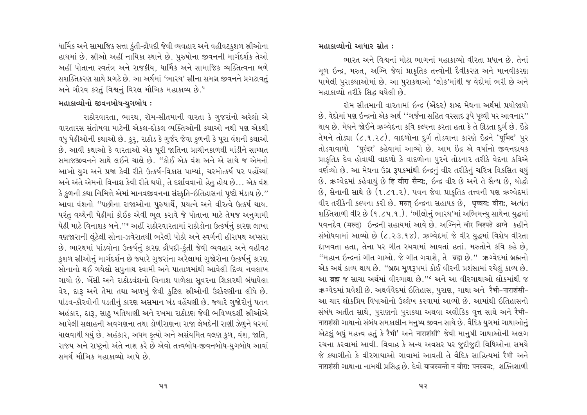ધાર્મિક અને સામાજિક સત્તા કુંતી-દ્રૌપદી જેવી વ્યવહાર અને વહીવટકુશળ સ્રીઓના હાથમાં છે. સ્રીઓ અહીં નાયિકા સ્થાને છે. પુરુષોના જીવનની માર્ગદર્શક તેઓ અહીં પોતાના સ્વતંત્ર અને રાજકીય. ધાર્મિક અને સામાજિક વ્યક્તિત્વના બળે સશક્તિકરણ સાથે પ્રગટે છે. આ અર્થમાં 'ભારથ' સ્રીના સમગ્ર જીવનને પ્રગટાવતું અને ગૌરવ કરતું વિશ્વનું વિરલ મૌખિક મહાકાવ્ય છે.<sup>૫</sup>

# મહાકાવ્યોનો જીવનબોધ-યુગબોધ :

રાઠોરવારતા, ભારથ, રૉમ-સીતમાની વારતા કે ગુજરાંનો અરેલો એ વારતારસ સંતોષવા માટેની એકલ-દોકલ વ્યક્તિઓની કથાઓ નથી પણ એકથી વધુ પેઢીઓની કથાઓ છે. કુરૂ, રાઠોડ કે ગુર્જર જેવા કુળની કે પુરા વંશની કથાઓ છે. આવી કથાઓ કે વારતાઓ એક પરી જાતિના પ્રાચીનકાળથી માંડીને સામ્પ્રત સમાજજીવનને સાથે લઈને ચાલે છે. "કોઈ એક વંશ અને એ સાથે જ એમનો આખો યુગ અને પ્રજા કેવી રીતે ઉત્કર્ષ-વિકાસ પામ્યાં, ચરમોત્કર્ષ પર પહોંચ્યાં અને અંતે એમનો વિનાશ કેવી રીતે થયો, તે દર્શાવવાનો હેતુ હોય છે... એક વંશ કે કુળની કથા નિમિત્તે એમાં માનવજીવનના સંસ્કૃતિ-ઇતિહાસનાં પૃષ્ટો મંડાય છે." આવા વંશનો "પછીના રાજાઓના પુરુષાર્થે, પ્રયત્ને અને વીરત્વે ઉત્કર્ષ થાય. પરંતુ વચ્ચેની પેઢીમાં કોઈક એવી ભલ કરાવે જે પોતાના માટે તેમજ અનુગામી પેઢી માટે વિનાશક બને.''<sup>દ</sup> અહીં રાઠોરવારતામાં રાઠોડોના ઉત્કર્ષનું કારણ લાખા વણજારાની લંટેલી સોના-ઝવેરાતથી ભરેલી પોઠો અને સ્વર્ગની હીરાપથ અપ્સરા છે. ભારથમાં પાંડવોના ઉત્કર્ષનું કારણ દ્રૌપદી-કુંતી જેવી વ્યવહાર અને વહીવટ કુશળ સ્રીઓનું માર્ગદર્શન છે જ્યારે ગુજરાંના અરેલામાં ગુજોરોના ઉત્કર્ષનું કારણ સોનાનો થઈ ગયેલો સપુનાથ સ્વામી અને પાતાળમાંથી આવેલી દિવ્ય નવલાખ ગાયો છે. ખેંસી અને રાઠોડવંશનો વિનાશ પાળેલા સુવરના શિકારથી બંધાયેલા વેર, દારૂ અને તેમા તથા અળખું જેવી કુટિલ સ્રીઓની ઉશ્કેરણીના લીધે છે. પાંડવ-કૌરવોની પડતીનું કારણ અસમાન ખંડ વહેંચણી છે. જ્યારે ગુજોરોનું પતન અહંકાર, દારૂ, સાઢુ ખતિયાણી અને રખમા રાઠોડણ જેવી ભવિષ્યદર્શી સ્રીઓએ આપેલી સલાહની અવગણના તથા ડોળીરાણના રાજા લેબદેની રાણી ઝેળુને ઘરમાં ઘાલવાથી થયું છે. અહંકાર, અધમ કૃત્યો અને અસંયમિત વલણ કુળ, વંશ, જાતિ, રાજય અને રાષ્ટ્રનો અંતે નાશ કરે છે એવો તત્ત્વબોધ-જીવનબોધ-યુગબોધ આવાં સમર્થ મૌખિક મહાકાવ્યો આપે છે.

#### મહાકાવ્યોનો આધાર સ્રોત :

ભારત અને વિશ્વનાં મોટા ભાગનાં મહાકાવ્યો વીરતા પ્રધાન છે. તેનાં મળ ઇન્દ્ર, મરુત, અગ્નિ જેવાં પ્રાકૃતિક તત્ત્વોની દૈવીકરણ અને માનવીકરણ પામેલી પુરાકથાઓમાં છે. આ પુરાકથાઓ 'લોક'માંથી જ વેદોમાં ભરી છે અને મહાકાવ્યો તરીકે સિદ્ધ થયેલી છે.

રૉમ સીતમાની વારતામાં ઇન્દ્ર (એંદર) શબ્દ મેઘના અર્થમાં પ્રયોજાયો છે. વેદોમાં પણ ઇન્દ્રનો એક અર્થ ''ગર્જના સહિત વરસાદ રૂપે પૃથ્વી પર આવનાર'' થાય છે. મેઘને જોઈને ઋગ્વેદના કવિ કલ્પના કરતા હતા કે તે ઊડતા દુર્ગ છે. ઈંદ્રે તેમને તોડ્યા (૮.૧.૨૮). વાદળોના દુર્ગ તોડવાના કારણે ઇંદ્રને 'पूर्भिद' પુર તોડવાવાળો 'पुरंदर' કહેવામાં આવ્યો છે. આમ ઇંદ્ર એ વર્ષાનો જીવનદાયક પ્રાકૃતિક દેવ હોવાથી વાદળો કે વાદળોના પુરને તોડનાર તરીકે વેદના કવિએ વર્ણવ્યો છે. આ મેઘના ઉગ્ર રૂપકમાંથી ઇન્દ્રનું વીર તરીકેનું ચરિત્ર વિકસિત થયું છે. ઋગ્વેદમાં કહેવાયું છે हि वीरा सैन्य: ઇન્દ્ર વીર છે અને તે સૈન્ય છે. યોદ્ધો છે, સેનાની સાથે છે (૧.૮૧.૨). પવન જેવા પ્રાકૃતિક તત્ત્વની પણ ઋગ્વેદમાં વીર તરીકેની કલ્પના કરી છે. मरुत् ઇન્દ્રના સહાયક છે, धृष्वय: वीरा:, અત્યંત શક્તિશાળી વીર છે (૧.૮૫.૧.). 'ભીલોનું ભારથ'માં અભિમન્યુ સાથેના યુદ્ધમાં पवनदेव (मरुत्) ઇन्द्रनी सहायमां આવે છે. અગ્નિને वीर विश्पते अग्ने કहीने સંબોધવામાં આવ્યો છે (૮.૨૩.૧૪). ઋગ્વેદમાં જે વીર યુદ્ધમાં વિશેષ વીરતા દાખવતા હતા, તેના પર ગીત રચવામાં આવતાં હતાં. મરુતોને કવિ કહે છે, "મહાન ઇન્દ્રનાં ગીત ગાઓ. જે ગીત ગવાશે, તે ब्रह्म છે." ઋગ્વેદમાં બ્રહ્મનો એક અર્થ કાવ્ય થાય છે. "બ્રહ્મ મૂળરૂપમાં કોઈ વીરની પ્રશંસામાં રચેલું કાવ્ય છે. આ ब्रह्म જ સાચા અર્થમાં વીરગાથા છે." અને આ વીરગાથાઓ લોકમાંથી જ ઋગ્વેદમાં પ્રવેશી છે. અથર્વવેદમાં ઇતિહાસ, પુરાણ, ગાથા અને રૈમી-नाराशंसी-આ ચાર લોકપ્રિય વિધાઓનો ઉલ્લેખ કરવામાં આવ્યો છે. આમાંથી ઇતિહાસનો સંબંધ અતીત સાથે, પુરાણનો પુરાકથા અથવા અલૌકિક વૃત્ત સાથે અને રૈમી-नाराशंसी ગાથાનો સંબંધ સમકાલીન મનુષ્ય જીવન સાથે છે. વૈદિક યુગમાં ગાથાઓનું એટલું બધું મહત્ત્વ હતું કે रैभी' અને नाराशंसी જેવી માનુષી ગાથાઓની અલગ રચના કરવામાં આવી. વિવાહ કે અન્ય અવસર પર જુદીજુદી વિધિઓના સમયે જે કથાગીતો કે વીરગાથાઓ ગાવામાં આવતી તે વૈદિક સાહિત્યમાં રૈમી અને नाराशंसी ગાથાના નામથી પ્રસિદ્ધ છે. દેવો याजस्वन्तो न वीरा: पनस्यव:, શક્તિશાળી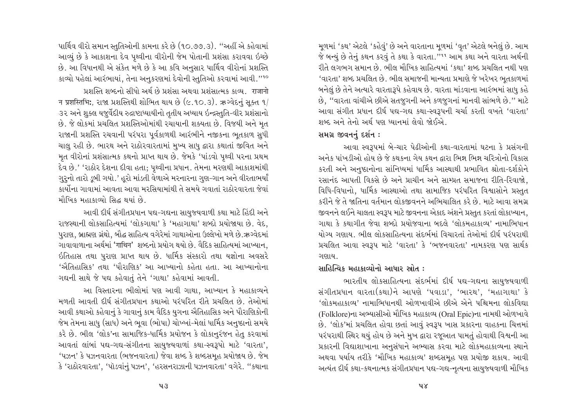પાર્થિવ વીરો સમાન સ્તુતિઓની કામના કરે છે (૧૦.૭૭.૩). ''અહીં એ કહેવામાં આવ્યું છે કે આકાશના દેવ પૃથ્વીના વીરોની જેમ પોતાની પ્રશંસા કરાવવા ઇચ્છે છે. આ વિધાનથી એ સંકેત મળે છે કે આ કવિ અનુસાર પાર્થિવ વીરોનાં પ્રશસ્તિ કાવ્યો પહેલાં આરંભાયાં, તેના અનુકરણમાં દેવોની સ્તુતિઓ કરવામાં આવી."10

प्रशस्ति शक्तनो सीधो અर्थ छे प्रशंसा अथवा प्रशंसात्मक हाव्य । राजानो न प्रशस्तिभिः, राश्न प्रशस्तिथी शोलित थाय છे (૯.૧૦.૩). ઋગ્વેદનું સૂક્ત ૧/ ૩૨ અને શુક્લ યજુર્વેદીય રુદ્રાષ્ટાધ્યાયીનો તૃતીય અધ્યાય ઇન્દ્રસ્તુતિ-વીર પ્રશંસાનો છે. જે લોકમાં પ્રચલિત પ્રશસ્તિઓમાંથી રચાયાની શક્યતા છે. વિજયી અને મૃત રાજાની પ્રશસ્તિ રચવાની પરંપરા પૂર્વકાળથી આરંભીને નજીકના ભૂતકાળ સુધી ચાલુ રહી છે. ભારથ અને રાઠોરવારતામાં મુખ્ય સાધુ દ્વારા કથાતાં જીવિત અને મૃત વીરોનાં પ્રશંસાત્મક કથનો પ્રાપ્ત થાય છે. જેમકે 'પાંડવો પૃથ્વી પરના પ્રથમ દેવ છે.' 'રાઠોર દેશના દીવા હતા; પૃથ્વીના પ્રધાન. તેમના મરણથી આકાશમાંથી ગુરૂનો તારો ડુબી ગયો.' હરો માંડતી વેળાએ મરનારના ગુણ-ગાન અને વીરતાભર્યાં કાર્યોના ગાવામાં આવતા આવા મરસિયામાંથી તે સમયે ગવાતાં રાઠોરવારતા જેવાં મૌખિક મહાકાવ્યો સિદ્ધ થયાં છે.

આવી દીર્ઘ સંગીતપ્રધાન પદ્ય-ગદ્યના સાયુજ્યવાળી કથા માટે હિંદી અને રાજસ્થાની લોકસાહિત્યમાં 'લોકગાથા' કે 'મહાગાથા' શબ્દો પ્રયોજાયા છે. વેદ. પુરાણ, બ્રાહ્મણ ગ્રંથો, બૌદ્ધ સાહિત્ય વગેરેમાં ગાથાઓના ઉલ્લેખો મળે છે.ઋગ્વેદમાં ગાવાવાળાના અર્થમાં 'गाथिन' શબ્દનો પ્રયોગ થયો છે. વૈદિક સાહિત્યમાં આખ્યાન, ઇતિહાસ તથા પુરાણ પ્રાપ્ત થાય છે. ધાર્મિક સંસ્કારો તથા યજ્ઞોના અવસરે 'ઐતિહાસિક' તથા 'પૌરાણિક' આ આખ્યાનો કહેતા હતા. આ આખ્યાનોના ગદ્યની સાથે જે પદ્ય કહેવાતું તેને 'ગાથા' કહેવામાં આવતી.

આ વિસ્તારના ભીલોમાં પણ આવી ગાથા, આખ્યાન કે મહાકાવ્યને મળતી આવતી દીર્ઘ સંગીતપ્રધાન કથાઓ પરંપરિત રીતે પ્રચલિત છે. તેઓમાં આવી કથાઓ કહેવાનું કે ગાવાનું કામ વૈદિક યુગના ઐતિહાસિક અને પૌરાણિકોની જેમ તેમના સાધુ (સાધ) અને ભુવા (ભોપા) ચોખ્ખાં-મેલાં ધાર્મિક અનુષ્ઠાનો સમયે કરે છે. ભીલ 'લોક'ના સામાજિક-ધાર્મિક પ્રયોજન કે લોકાનુરંજન હેતુ કરવામાં આવતાં લાંબાં પદ્ય-ગદ્ય-સંગીતના સાયુજયવાળાં કથા-સ્વરૂપો માટે 'વારતા', 'પઝન' કે પઝનવારતા (ભજનવારતા) જેવા શબ્દ કે શબ્દસમૂહ પ્રયોજાય છે. જેમ કે 'રાઠોરવારતા', 'પૉડવાંનું પઝન', 'હરસનરાઝાની પઝનવારતા' વગેરે. ''કથાના

મુળમાં 'કથ' એટલે 'કહેવું' છે અને વારતાના મુળમાં 'વૃત' એટલે બનેલું છે. આમ જે બન્યું છે તેનું કથન કરવું તે કથા કે વારતા."<sup>11</sup> આમ કથા અને વારતા અર્થની રીતે લગભગ સમાન છે. ભીલ મૌખિક સાહિત્યમાં 'કથા' શબ્દ પ્રચલિત નથી પણ 'વારતા' શબ્દ પ્રચલિત છે. ભીલ સમાજની માન્યતા પ્રમાણે જે ખરેખર ભૂતકાળમાં બનેલું છે તેને અત્યારે વારતારૂપે કહેવાય છે. વારતા માંડવાના આરંભમાં સાધુ કહે છે, "વારતા વાંચીએ છીએ સતજુગની અને કળજુગનાં માનવી સાંભળે છે." માટે આવા સંગીત પ્રધાન દીર્ઘ પદ્ય-ગદ્ય કથા-સ્વરૂપની ચર્ચા કરતી વખતે 'વારતા' શબ્દ અને તેનો અર્થ પણ ધ્યાનમાં લેવો જોઈએ

## સમગ્ર જીવનનું દર્શન:

આવા સ્વરૂપમાં બે-ચાર પેઢીઓની કથા-વારતામાં ઘટના કે પ્રસંગની અનેક પાંખડીઓ હોય છે જે કથકના ગેય કથન દ્વારા ભિન્ન ભિન્ન ચરિત્રોનો વિકાસ કરતી અને અનુષ્ઠાનોના સાંનિધ્યમાં ધાર્મિક આસ્થાથી પ્રભાવિત શ્રોતા-દર્શકોને રસાનંદ આપતી વિકસે છે અને પ્રાચીન અને સામ્પ્રત સમાજના રીતિ-રિવાજો. વિધિ-વિધાનો. ધાર્મિક આસ્થાઓ તથા સામાજિક પરંપરિત વિશ્વાસોને પ્રસ્તત કરીને જે તે જાતિના વર્તમાન લોકજીવનને અભિચાલિત કરે છે. માટે આવા સમગ્ર જીવનને લઈને ચાલતા સ્વરૂપ માટે જીવનના એકાદ અંશને પ્રસ્તુત કરતાં લોકાખ્યાન. ગાથા કે કથાગીત જેવા શબ્દો પ્રયોજવાના બદલે 'લોકમહાકાવ્ય' નામાભિધાન યોગ્ય ગણાય. ભીલ લોકસાહિત્યના સંદર્ભમાં વિચારતાં તેઓમાં દીર્ઘ પરંપરાથી પ્રચલિત આવા સ્વરૂપ માટે 'વારતા' કે 'ભજનવારતા' નામકરણ પણ સાર્થક ગણાય.

# સાહિત્યિક મહાકાવ્યોનો આધાર સ્રોત :

ભારતીય લોકસાહિત્યના સંદર્ભમાં દીર્ઘ પદ્ય-ગદ્યના સાયુજ્યવાળી સંગીતપ્રધાન વારતા(કથા)ને આપણે 'પવાડા', 'ભારથ', 'મહાગાથા' કે 'લોકમહાકાવ્ય' નામાભિધાનથી ઓળખાવીએ છીએ એને પશ્ચિમના લોકવિદ્યા (Folklore)ના અભ્યાસીઓ મૌખિક મહાકાવ્ય (Oral Epic)ના નામથી ઓળખાવે છે. 'લોક'માં પ્રચલિત હોવા છતાં આવું સ્વરૂપ ખાસ પ્રકારના વાહકના ચિત્તમાં પરંપરાથી સ્થિર થયું હોય છે અને મુખ દ્વારા રજૂઆત પામતું હોવાથી વિશ્વની આ પ્રકારની વિદ્યાશાખાના અનુસંધાને અભ્યાસ કરવા માટે લોકમહાકાવ્યના સ્થાને અથવા પર્યાય તરીકે 'મૌખિક મહાકાવ્ય' શબ્દસમહ પણ પ્રયોજી શકાય. આવી અત્યંત દીર્ઘ કથા-કથનાત્મક સંગીતપ્રધાન પદ્ય-ગદ્ય-નૃત્યના સાયુજયવાળી મૌખિક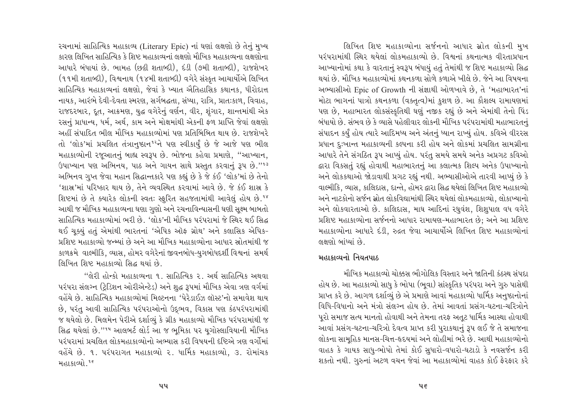રચનામાં સાહિત્યિક મહાકાવ્ય (Literary Epic) નાં ઘણાં લક્ષણો છે તેનું મુખ્ય કારણ લિખિત સાહિત્યિક કે શિષ્ટ મહાકાવ્યનાં લક્ષણો મૌખિક મહાકાવ્યના લક્ષણોના આધારે બંધાયાં છે. ભામહ (છઢ્ઠી શતાબ્દી), દંડી (૭મી શતાબ્દી), રાજશેખર (૧૧મી શતાબ્દી), વિશ્વનાથ (૧૪મી શતાબ્દી) વગેરે સંસ્કૃત આચાર્યોએ લિખિત સાહિત્યિક મહાકાવ્યનાં લક્ષણો, જેવાં કે ખ્યાત ઐતિહાસિક કથાનક, ધીરોદાત્ત નાયક, આરંભે દેવી-દેવતા સ્મરણ, સર્ગબદ્ધતા, સંધ્યા, રાત્રિ, પ્રાતઃકાળ, વિવાહ, રાજદરબાર, દુત, આક્રમણ, યુદ્ધ વગેરેનું વર્ણન, વીર, શુંગાર, શાન્તમાંથી એક રસનું પ્રાધાન્ય, ધર્મ, અર્થ, કામ અને મોક્ષમાંથી એકની ફળ પ્રાપ્તિ જેવાં લક્ષણો અહીં સંપાદિત ભીલ મૌખિક મહાકાવ્યોમાં પણ પ્રતિબિંબિત થાય છે. રાજશેખરે તો 'લોક'માં પ્રચલિત તંત્રાનુષ્ઠાન<sup>૧૨</sup>ને પણ સ્વીકાર્યું છે જે આજે પણ ભીલ મહાકાવ્યોની રજૂઆતનું બાહ્ય સ્વરૂપ છે. ભોજના કહેવા પ્રમાણે, "આખ્યાન, ઉપાખ્યાન પણ અભિનય, પાઠ અને ગાયન સાથે પ્રસ્તુત કરવાનું રૂપ છે."13 અભિનવ ગુપ્ત જેવા મહાન સિદ્ધાન્તકારે પણ કહ્યું છે કે જે કંઈ 'લોક'માં છે તેનો 'શાસ્ર'માં પરિષ્કાર થાય છે. તેને વ્યવસ્થિત કરવામાં આવે છે. જે કંઈ શાસ્ર કે શિષ્ટમાં છે તે ક્યારેક લોકની સ્વત: સ્ફૂરિત સહજતામાંથી આવેલું હોય છે.18 આથી જ મૌખિક મહાકાવ્યના ઘણા ગુણો અને રચનાવિન્યાસની ઘણી સુક્ષ્મ બાબતો સાહિત્યિક મહાકાવ્યોમાં ભરી છે. 'લોક'ની મૌખિક પરંપરામાં જે સ્થિર થઈ સિદ્ધ થઈ ચૂક્યું હતું એમાંથી ભારતનાં 'એપિક ઑફ ગ્રોથ' અને કલાસિક એપિક-પ્રશિષ્ટ મહાકાવ્યો જન્મ્યાં છે અને આ મૌખિક મહાકાવ્યોના આધાર સ્રોતમાંથી જ કાળક્રમે વાલ્મીકિ, વ્યાસ, હોમર વગેરેનાં જીવનબોધ-યુગબોધદર્શી વિશ્વનાં સમર્થ લિખિત શિષ્ટ મહાકાવ્યો સિદ્ધ થયાં છે.

"લેરી હોન્કો મહાકાવ્યના ૧. સાહિત્યિક ૨. અર્થ સાહિત્યિક અથવા પરંપરા સંલગ્ન (ટ્રેડિશન ઓરીએન્ટેડ) અને શુદ્ધ રૂપમાં મૌખિક એવા ત્રણ વર્ગમાં વહેંચે છે. સાહિત્યિક મહાકાવ્યોમાં મિલ્ટનના 'પેરેડાઈઝ લૉસ્ટ'નો સમાવેશ થાય છે, પરંતુ આવી સાહિત્યિક પરંપરાઓનો ઉદ્ભવ, વિકાસ પણ કંઠપરંપરામાંથી જ થયેલો છે. મિલમેન પેરીએ દર્શાવ્યું કે ગ્રીક મહાકાવ્યો મૌખિક પરંપરામાંથી જ સિદ્ધ થયેલાં છે.''<sup>૧૫</sup> આલબર્ટ લોર્ડ આ જ ભમિકા પર યગોસ્લાવિયાની મૌખિક પરંપરામાં પ્રચલિત લોકમહાકાવ્યોનો અભ્યાસ કરી વિષયની દષ્ટિએ ત્રણ વર્ગોમાં વહેંચે છે. ૧. પરંપરાગત મહાકાવ્યો ૨. ધાર્મિક મહાકાવ્યો, ૩. રોમાંચક મહાકાવ્યો.<sup>૧૬</sup>

લિખિત શિષ્ટ મહાકાવ્યોના સર્જનનો આધાર સ્રોત લોકની મુખ પરંપરામાંથી સ્થિર થયેલાં લોકમહાકાવ્યો છે. વિશ્વનાં કથનાત્મક વીરતાપ્રધાન આખ્યાનોમાં કથા કે વારતાનું સ્વરૂપ બંધાયું હતું તેમાંથી જ શિષ્ટ મહાકાવ્યો સિદ્ધ થયાં છે. મૌખિક મહાકાવ્યોમાં કથનકળા સોળે કળાએ ખીલે છે. જેને આ વિષયના અભ્યાસીઓ Epic of Growth ની સંજ્ઞાથી ઓળખાવે છે, તે 'મહાભારત'નાં મોટા ભાગનાં પાત્રો કથનકળા (વક્તૃત્વ)માં કુશળ છે. આ કૌશલ્ય રામાયણમાં પણ છે, મહાભારત લોકસંસ્કૃતિથી ઘણું નજીક રહ્યું છે અને એમાંથી તેનો પિંડ બંધાયો છે. સંભવ છે કે વ્યાસે પહેલીવાર લોકની મૌખિક પરંપરામાંથી મહાભારતનં સંપાદન કર્યું હોય ત્યારે આદિમધ્ય અને અંતનું ધ્યાન રાખ્યું હોય. કવિએ વીરરસ પ્રધાન દુઃખાન્ત મહાકાવ્યની કલ્પના કરી હોય અને લોકમાં પ્રચલિત સામગ્રીના આધારે તેને સંગઠિત રૂપ આપ્યું હોય. પરંતુ સમયે સમયે અનેક અપ્રગટ કવિઓ દ્વારા વિકસતું રહ્યું હોવાથી મહાભારતનું આ કલાત્મક શિલ્પ અનેક ઉપાખ્યાનો અને લોકકથાઓ જોડાવાથી પ્રગટ રહ્યું નથી. અભ્યાસીઓએ તારવી આપ્યું છે કે વાલ્મીકિ, વ્યાસ, કાલિદાસ, દાન્તે, હોમર દ્વારા સિદ્ધ થયેલાં લિખિત શિષ્ટ મહાકાવ્યો અને નાટકોનો સર્જન સ્રોત લોકવિદ્યામાંથી સ્થિર થયેલાં લોકમહાકાવ્યો, લોકાખ્યાનો અને લોકવારતાઓ છે. કાલિદાસ, માઘ આદિનાં રઘુવંશ, શિશુપાલ વધ વગેરે પ્રશિષ્ટ મહાકાવ્યોના સર્જનનો આધાર રામાયણ-મહાભારત છે; અને આ પ્રશિષ્ટ મહાકાવ્યોના આધારે દંડી, રુદ્રત જેવા આચાર્યોએ લિખિત શિષ્ટ મહાકાવ્યોનાં લક્ષણો બાંધ્યાં છે.

# મહાકાવ્યનો નિયતપાઠ

મૌખિક મહાકાવ્યો ચોક્કસ ભૌગોલિક વિસ્તાર અને જાતિની કંઠસ્થ સંપ્રદા હોય છે. આ મહાકાવ્યો સાધુ કે ભોપા (ભુવા) સાંસ્કૃતિક પરંપરા અને ગુરુ પાસેથી પ્રાપ્ત કરે છે. આગળ દર્શાવ્યું છે એ પ્રમાણે આવાં મહાકાવ્યો ધાર્મિક અનુષ્ઠાનોનાં વિધિ-વિધાનો અને મંત્રો સંલગ્ન હોય છે. તેમાં આવતાં પ્રસંગ-ઘટના-ચરિત્રોને પૂરો સમાજ સત્ય માનતો હોવાથી અને તેમના તરફ અતૂટ ધાર્મિક આસ્થા હોવાથી આવાં પ્રસંગ-ઘટના-ચરિત્રો દેવત્વ પ્રાપ્ત કરી પુરાકથાનું રૂપ લઈ જે તે સમાજના લોકના સામહિક માનસ-ચિત્ત-હૃદયમાં અને લોહીમાં ભરે છે. આથી મહાકાવ્યોનો વાહક કે ગાયક સાધુ-ભોપો તેમાં કોઈ સુધારો-વધારો-ઘટાડો કે નવસર્જન કરી શકતો નથી. ગુરુનાં અટળ વચન જેવાં આ મહાકાવ્યોમાં વાહક કોઈ ફેરફાર કરે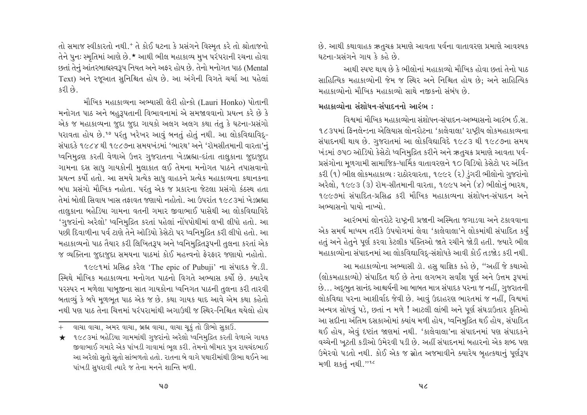તો સમાજ સ્વીકારતો નથી.<sup>+</sup> તે કોઈ ઘટના કે પ્રસંગને વિસ્મૃત કરે તો શ્રોતાજનો તેને પુનઃ સ્મૃતિમાં આણે છે.\* આથી ભીલ મહાકાવ્ય મુખ પરંપરાની રચના હોવા છતાં તેનું આંતરબાહ્યસ્વરૂપ નિયત અને અફર હોય છે. તેનો મનોગત પાઠ (Mental Text) અને રજૂઆત સુનિશ્ચિત હોય છે. આ અંગેની વિગતે ચર્ચા આ પહેલાં  $\frac{1}{2}$ 

મૌખિક મહાકાવ્યના અભ્યાસી લેરી હોન્કો (Lauri Honko) પોતાની મનોગત પાઠ અને બહુરૂપતાની વિભાવનામાં એ સમજાવવાનો પ્રયત્ન કરે છે કે એક જ મહાકાવ્યના જુદા જુદા ગાયકો અલગ અલગ કથા તંતુ કે ઘટના-પ્રસંગો ધરાવતા હોય છે.<sup>૧૭</sup> પરંતુ ખરેખર આવું બનતું હોતું નથી. આ લોકવિદ્યાવિદુ-સંપાદકે ૧૯૮૪ થી ૧૯૮૭ના સમયખંડમાં 'ભારથ' અને 'રૉમસીતમાની વારતા'નું ધ્વનિમુદ્રણ કરતી વેળાએ ઉત્તર ગુજરાતના ખેડબ્રહ્મા-દાંતા તાલુકાના જુદાજુદા ગામના દસ સાધુ ગાયકોની મુલાકાત લઈ તેમના મનોગત પાઠને તપાસવાનો પ્રયત્ન કર્યો હતો. આ સમયે પ્રત્યેક સાધુ વાહકને પ્રત્યેક મહાકાવ્યના કથાનકના બધા પ્રસંગો મૌખિક નહોતા. પરંતુ એક જ પ્રકારના જેટલા પ્રસંગો કંઠસ્થ હતા તેમાં બોલી સિવાય ખાસ તકાવત જણાયો નહોતો. આ ઉપરાંત ૧૯૮૩માં ખેડબ્રહ્મા તાલુકાના બહેડિયા ગામના વતની ગમાર જીવાભાઈ પાસેથી આ લોકવિદ્યાવિદે 'ગુજરાંનો અરેલો' ધ્વનિમુદ્રિત કરતાં પહેલાં નોંધપોથીમાં લખી લીધો હતો. આ પછી દિવાળીના પર્વ ટાણે તેને ઑડિયો કેસેટો પર ધ્વનિમુદ્રિત કરી લીધો હતો. આ મહાકાવ્યનો પાઠ તૈયાર કરી લિખિતરૂપ અને ધ્વનિમુદ્રિતરૂપની તુલના કરતાં એક જ વ્યક્તિના જુદાજુદા સમયના પાઠમાં કોઈ મહત્ત્વનો ફેરફાર જણાયો નહોતો.

૧૯૯૧માં પ્રસિદ્ધ કરેલ 'The epic of Pubuji' ના સંપાદક જે.ડી. સ્મિથે મૌખિક મહાકાવ્યના મનોગત પાઠનો વિગતે અભ્યાસ કર્યો છે. ક્યારેય પરસ્પર ન મળેલા પાબુજીના સાત ગાયકોના ધ્વનિગત પાઠની તુલના કરી તારવી બતાવ્યું કે બધે મુળભુત પાઠ એક જ છે. કથા ગાયક યાદ આવે એમ કથા કહેતો નથી પણ પાઠ તેના ચિત્તમાં પરંપરામાંથી અગાઉથી જ સ્થિર-નિશ્ચિત થયેલો હોય

+ વાચા વાચા, અમર વાચા, બ્રહ્મ વાચા, વાચા ચૂકું તો ઊભો સુકાઉં.

છે. આથી કથાવાહક ઋતુચક્ર પ્રમાણે આવતા પર્વના વાતાવરણ પ્રમાણે આવશ્યક ઘટના-પ્રસંગને ગાય કે કહે છે.

આથી સ્પષ્ટ થાય છે કે ભીલોનાં મહાકાવ્યો મૌખિક હોવા છતાં તેનો પાઠ સાહિત્યિક મહાકાવ્યોની જેમ જ સ્થિર અને નિશ્ચિત હોય છે: અને સાહિત્યિક મહાકાવ્યોનો મૌખિક મહાકાવ્યો સાથે નજીકનો સંબંધ છે.

# $\mu$ สเตอย์) ม ม่วยโยง-มุ่นเองงาน มเว้ณ $\mu$ :

વિશ્વમાં મૌખિક મહાકાવ્યોના સંશોધન-સંપાદન-અભ્યાસનો આરંભ ઈ.સ. ૧૮૩૫માં ફિનલેન્ડના એલિયાસ લોનરોટના 'કાલેવાલા' રાષ્ટીય લોકમહાકાવ્યના સંપાદનથી થાય છે. ગુજરાતમાં આ લોકવિદ્યાવિદે ૧૯૮૩ થી ૧૯૮૭ના સમય ખંડમાં ૭૫૦ ઑડિયો કેસેટો ધ્વનિમુદ્રિત કરીને અને ઋતુચક્ર પ્રમાણે આવતા પર્વ-પ્રસંગોના મુળગામી સામાજિક-ધાર્મિક વાતાવરણને ૧૦ વિડિયો કેસેટો પર અંકિત કરી (૧) ભીલ લોકમહાકાવ્ય : રાઠોરવારતા, ૧૯૯૨ (૨) ડુંગરી ભીલોનો ગુજરાંનો અરેલો, ૧૯૯૩ (૩) રૉમ-સીતમાની વારતા, ૧૯૯૫ અને (૪) ભીલોનું ભારથ, ૧૯૯૭માં સંપાદિત-પ્રસિદ્ધ કરી મૌખિક મહાકાવ્યના સંશોધન-સંપાદન અને અભ્યાસનો પાયો નાખ્યો

આરંભમાં લોનરોટે રાષ્ટ્રની પ્રજાની અસ્મિતા જગાડવા અને ટકાવવાના એક સમર્થ માધ્યમ તરીકે ઉપયોગમાં લેવા 'કાલેવાલા'ને લોકમાંથી સંપાદિત કર્યું હતું અને હેતુને પૂર્ણ કરવા કેટલીક પંક્તિઓ જાતે રચીને જોડી હતી. જયારે ભીલ મહાકાવ્યોના સંપાદનમાં આ લોકવિદ્યાવિદ-સંશોધકે આવી કોઈ તડજોડ કરી નથી.

આ મહાકાવ્યોના અભ્યાસી ડૉ. હસુ યાજ્ઞિક કહે છે, "અહીં જે કથાઓ (લોકમહાકાવ્યો) સંપાદિત થઈ છે તેના લગભગ સર્વાંશ પૂર્ણ અને ઉત્તમ રૂપમાં છે... અદભુત સાનંદ આશ્ચર્યની આ બાબત માત્ર સંપાદક પરના જ નહીં, ગુજરાતની લોકવિદ્યા પરના આશીર્વાદ જેવી છે. આવું ઉદાહરણ ભારતમાં જ નહીં, વિશ્વમાં અન્યત્ર સોધવું પડે, છતાં ન મળે ! આટલી લાંબી અને પૂર્ણ સંઘડાઉતાર કૃતિઓ આ સદીના અંતિમ દસકાઓમાં ક્યાંય મળી હોય, ધ્વનિમુદ્રિત થઈ હોય, સંપાદિત થઈ હોય, એવું દર્ષ્ટાત જાણમાં નથી. 'કાલેવાલા'ના સંપાદનમાં પણ સંપાદકને વચ્ચેની ખૂટતી કડીઓ ઉમેરવી પડી છે. અહીં સંપાદનમાં બહારનો એક શબ્દ પણ ઉમેરવો પડતો નથી. કોઈ એક જ સ્રોત અજમાવીને ક્યારેય બહત્કથાનું પર્ણરૂપ મળી શકતું નથી."16

<sup>★</sup> ૧૯૮૩માં બહેડિયા ગામમાંથી ગુજરાંનો અરેલો ધ્વનિમુદ્રિત કરતી વેળાએ ગાયક જીવાભાઈ ગમારે એક પાંખડી ગાવામાં ભૂલ કરી. તેમનો બીમાર પુત્ર રાયચંદભાઈ આ અરેલો સૂતો સૂતો સાંભળતો હતો. રાતના બે વાગે પથારીમાંથી ઊભા થઈને આ પાંખડી સુધરાવી ત્યારે જ તેના મનને શાન્તિ મળી.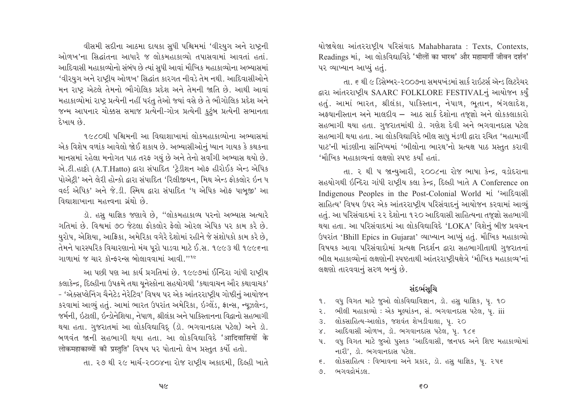વીસમી સદીના આઠમા દાયકા સુધી પશ્ચિમમાં 'વીરયુગ અને રાષ્ટ્રની ઓળખ'ના સિદ્ધાંતના આધારે જ લોકમહાકાવ્યો તપાસવામાં આવતાં હતાં. આદિવાસી મહાકાવ્યોનો સંબંધ છે ત્યાં સધી આવાં મૌખિક મહાકાવ્યોના અભ્યાસમાં 'વીરયુગ અને રાષ્ટ્રીય ઓળખ' સિદ્ધાંત કારગત નીવડે તેમ નથી. આદિવાસીઓને મન રાષ્ટ્ર એટલે તેમનો ભૌગોલિક પ્રદેશ અને તેમની જાતિ છે. આથી આવાં મહાકાવ્યોમાં રાષ્ટ્ર પ્રત્યેની નહીં પરંતુ તેઓ જ્યાં વસે છે તે ભૌગોલિક પ્રદેશ અને જન્મ આપનાર ચોક્કસ સમાજ પ્રત્યેની-ગોત્ર પ્રત્યેની કુટુંબ પ્રત્યેની સભાનતા દેખાય છે

૧૯૮૦થી પશ્ચિમની આ વિદ્યાશાખામાં લોકમહાકાવ્યોના અભ્યાસમાં એક વિશેષ વળાંક આવેલો જોઈ શકાય છે. અભ્યાસીઓનું ધ્યાન ગાયક કે કથકના માનસમાં રહેલા મનોગત પાઠ તરફ ગયું છે અને તેનો સર્વાંગી અભ્યાસ થયો છે. એ.ટી.હાટ્ટો (A.T.Hatto) દ્વારા સંપાદિત 'ટેડીશન ઑફ હીરોઈક એન્ડ એપિક પોએટી' અને લેરી હોન્કો દ્વારા સંપાદિત 'રિલીજીયન, મિથ એન્ડ ફોકલોર ઇન ધ વર્લ્ડ એપિક' અને જે.ડી. સ્મિથ દ્વારા સંપાદિત 'ધ એપિક ઑફ પાબજી' આ વિદ્યાશાખાના મહત્ત્વના ગ્રંથો છે.

ડૉ. હસ યાજ્ઞિક જણાવે છે. "લોકમહાકાવ્ય પરનો અભ્યાસ અત્યારે ગતિમાં છે. વિશ્વમાં ૭૦ જેટલા ફોકલોર ફેલો ઓરલ એપિક પર કામ કરે છે. યુરોપ, એશિયા, આફ્રિકા, અમેરિકા વગેરે દેશોમાં રહીને જે સંશોધકો કામ કરે છે, તેમને પારસ્પરિક વિચારણાનો મંચ પુરો પાડવા માટે ઈ.સ. ૧૯૯૩ થી ૧૯૯૬ના गाणामां % या२ क्षेन्डरन्स બोલाववामां आवी."<sup>16</sup>

આ પછી પણ આ કાર્ય પ્રગતિમાં છે. ૧૯૯૭માં ઈન્દિરા ગાંધી રાષ્ટ્રીય કલાકેન્દ્ર, દિલ્હીના ઉપક્રમે તથા યુનેસ્કોના સહયોગથી 'કથાવાચન ઔર કથાવાચક' - 'એક્સપ્લેનિંગ ચૈનેટેડ નેરેટિવ' વિષય પર એક આંતરરાષ્ટ્રીય ગોષ્ઠીનું આયોજન કરવામાં આવ્યું હતું. આમાં ભારત ઉપરાંત અમેરિકા, ઇગ્લેંડ, ફ્રાન્સ, ન્યૂઝલેન્ડ, જર્મની, ઇટાલી, ઇન્ડોનેશિયા, નેપાળ, શ્રીલંકા અને પાકિસ્તાનના વિદ્વાનો સહભાગી થયા હતા. ગુજરાતમાં આ લોકવિદ્યાવિદ્ (ડૉ. ભગવાનદાસ પટેલ) અને ડૉ. બળવંત જાની સહભાગી થયા હતા. આ લોકવિદ્યાવિદે 'आदिवासियों के लोकमहाकाव्यों की प्रस्तुति' विषय पर पोतानो લेખ प्रस्तुत કर्यो हतो.

તા. ૨૭ થી ૨૯ માર્ચ-૨૦૦૪ના રોજ રાષ્ટ્રીય અકાદમી, દિલ્હી ખાતે

યોજાયેલા આંતરરાષ્ટ્રીય પરિસંવાદ Mahabharata: Texts, Contexts, Readings भां, આ લોકવિદ્યાવિદે 'भीलों का भारथ' और महामार्गी जीवन दर्शन' ૫૨ વ્યાખ્યાન આપ્યું હતું.

તા. ૬ થી ૯ ડિસેમ્બર-૨૦૦૭ના સમયખંડમાં સાર્ક રાઇટર્સ ઍન્ડ લિટરેચર દ્વારા આંતરરાષ્ટ્રીય SAARC FOLKLORE FESTIVALનું આયોજન કર્યું હતું. આમાં ભારત, શ્રીલંકા, પાકિસ્તાન, નેપાળ, ભુતાન, બંગલાદેશ, અફઘાનીસ્તાન અને માલદીવ – આઠ સાર્ક દેશોના તજૂજ્ઞો અને લોકકલાકારો સહભાગી થયા હતા. ગુજરાતમાંથી ડૉ. ગણેશ દેવી અને ભગવાનદાસ પટેલ સહભાગી થયા હતા. આ લોકવિદ્યાવિદે ભીલ સાધુ મંડળી દ્વારા રચિત 'મહામાર્ગી પાટ'ની માંડણીના સાંનિધ્યમાં 'ભીલોના ભારથ'નો પ્રત્યક્ષ પાઠ પ્રસ્તુત કરાવી 'મૌખિક મહાકાવ્યનાં લક્ષણો સ્પષ્ટ કર્યાં હતાં.

તા. ૨ થી ૫ જાન્યુઆરી, ૨૦૦૮ના રોજ ભાષા કેન્દ્ર, વડોદરાના સહયોગથી ઇન્દિરા ગાંધી રાષ્ટ્રીય કલા કેન્દ્ર, દિલ્હી ખાતે A Conference on Indigenous Peoples in the Post-Colonial World માં 'આદિવાસી સાહિત્ય' વિષય ઉપર એક આંતરરાષ્ટ્રીય પરિસંવાદનું આયોજન કરવામાં આવ્યું હતું. આ પરિસંવાદમાં ૨૨ દેશોના ૧૨૦ આદિવાસી સાહિત્યના તજજ્ઞો સહભાગી થયા હતા. આ પરિસંવાદમાં આ લોકવિદ્યાવિદે 'LOKA' વિશેનું બીજ પ્રવચન ઉપરાંત 'Bhill Epics in Gujarat' વ્યાખ્યાન આપ્યું હતું. મૌખિક મહાકાવ્યો વિષયક આવા પરિસંવાદોમાં પ્રત્યક્ષ નિદર્શન દ્વારા સહભાગીતાથી ગુજરાતનાં ભીલ મહાકાવ્યોનાં લક્ષણોની સ્પષ્ટતાથી આંતરરાષ્ટ્રીયક્ષેત્રે 'મૌખિક મહાકાવ્ય'નાં લક્ષણો તારવવાનું સરળ બન્યું છે.

# સંદર્ભસૂચિ

- વધ વિગત માટે જુઓ લોકવિદ્યાવિજ્ઞાન, ડૉ. હસુ યાજ્ઞિક, પૃ. ૧૦  $9<sup>1</sup>$
- ર. ભીલી મહાકાવ્યો: એક મૂલ્યાંકન, સં. ભગવાનદાસ પટેલ, પૃ. iii
- 3. લોકસાહિત્ય-આલોક, જશવંત શેખડીવાલા, પૂ. ૨૦
- ४. આદિવાસી ઓળખ, ડૉ. ભગવાનદાસ પટેલ, પ. ૧૮૬
- વધ વિગત માટે જુઓ પુસ્તક 'આદિવાસી, જાનપદ અને શિષ્ટ મહાકાવ્યોમાં પ. નારી', ડૉ. ભગવાનદાસ પટેલ.
- ૬. લોકસાહિત્ય: વિભાવના અને પ્રકાર, ડૉ. હસુ યાજ્ઞિક, પૃ. ૨૫૬
- ૭. ભગવદ્ગોમંડલ.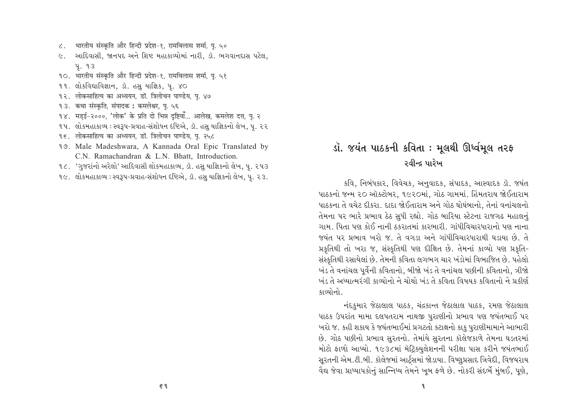- भारतीय संस्कृति और हिन्दी प्रदेश-१, रामविलास शर्मा, पृ. ५०  $\zeta$ .
- ૯. આદિવાસી, જાનપદ અને શિષ્ટ મહાકાવ્યોમાં નારી, ડૉ. ભગવાનદાસ પટેલ, **4.93**
- १०. भारतीय संस्कृति और हिन्दी प्रदेश-१. रामविलास शर्मा. प. ५१
- 99. લોકવિદ્યાવિજ્ઞાન, ડૉ. હસુ યાજ્ઞિક, પૃ. ૪૦
- १२. लोकसाहित्य का अध्ययन, डो. त्रिलोचन पाण्डेय, पृ. ४७
- १३. कथा संस्कृति, संपादक : कमलेश्वर, पृ. ५६
- १४. मडई-२०००, 'लोक' के प्रति दो भिन्न दृष्टियाँ... आलेख, कमलेश दत्त. प. २
- ૧૫. લોકમહાકાવ્ય : સ્વરૂપ-પ્રવાહ-સંશોધન દષ્ટિએ, ડૉ. હસુ યાજ્ઞિકનો લેખ, પુ. ૨૨
- १९. लोकसाहित्य का अध्ययन, डो. त्रिलोचन पाण्डेय, पृ. २५८
- 19. Male Madeshwara, A Kannada Oral Epic Translated by C.N. Ramachandran & L.N. Bhatt, Introduction.
- ૧૮. 'ગુજરાંનો અરેલો' આદિવાસી લોકમહાકાવ્ય, ડૉ. હસુ યાજ્ઞિકનો લેખ, પૃ. ૨૫૩
- ૧૯. લોકમહાકાવ્ય : સ્વરૂપ-પ્રવાહ-સંશોધન દષ્ટિએ, ડૉ. હસુ યાજ્ઞિકનો લેખ, પુ. ૨૩.

# ડૉ. જયંત પાઠકની કવિતા : મૂલથી ઊર્ધ્વમૂલ તરફ રવીન્દ્ર પારેખ

કવિ, નિબંધકાર, વિવેચક, અનુવાદક, સંપાદક, આસ્વાદક ડૉ. જયંત પાઠકનો જન્મ ૨૦ ઑક્ટોબર, ૧૯૨૦માં, ગોઠ ગામમાં. હિંમતરાય જોઈતારામ પાઠકના તે વચેટ દીકરા. દાદા જોઈતારામ અને ગોઠ ઘોઘંબાનો. તેનાં વનાંચલનો તેમના પર ભારે પ્રભાવ ઠેઠ સુધી રહ્યો. ગોઠ બારિયા સ્ટેટના રાજગઢ મહાલનું ગામ. પિતા પણ કોઈ નાની ઠકરાતમાં કારભારી. ગાંધીવિચારધારાનો પણ નાના જયંત પર પ્રભાવ ખરો જ. તે વગડા અને ગાંધીવિચારધારાથી ઘડાયા છે. તે પ્રકૃતિથી તો ખરા જ, સંસ્કૃતિથી પણ દીક્ષિત છે. તેમનાં કાવ્યો પણ પ્રકૃતિ-સંસ્કૃતિથી રસાયેલાં છે. તેમની કવિતા લગભગ ચાર ખંડોમાં વિભાજિત છે. પહેલો ખંડ તે વનાંચલ પૂર્વેની કવિતાનો, બીજો ખંડ તે વનાંચલ પછીની કવિતાનો, ત્રીજો ખંડ તે અધ્યાત્મરંગી કાવ્યોનો ને ચોથો ખંડ તે કવિતા વિષયક કવિતાનો ને પ્રકીર્ણ કાવ્યોનો.

નંદકુમાર જેઠાલાલ પાઠક, ચંદ્રકાન્ત જેઠાલાલ પાઠક, રમણ જેઠાલાલ પાઠક ઉપરાંત મામા દલપતરામ નાથજી પુરાણીનો પ્રભાવ પણ જયંતભાઈ પર ખરો જ. કહી શકાય કે જયંતભાઈમાં પ્રગટતો કટાક્ષનો કાફ પુરાણીમામાને આભારી છે. ગોઠ પછીનો પ્રભાવ સુરતનો. તેમાંયે સુરતના કૉલેજકાળે તેમના ઘડતરમાં મોટો ફાળો આપ્યો. ૧૯૩૮માં મૅટિક્યુલેશનની પરીક્ષા પાસ કરીને જયંતભાઈ સૂરતની એમ.ટી.બી. કૉલેજમાં આર્ટ્સમાં જોડાયા. વિષ્ણુપ્રસાદ ત્રિવેદી, વિજયરાય વૈદ્ય જેવા પ્રાધ્યાપકોનું સાન્નિધ્ય તેમને ખુબ ફળે છે. નોકરી સંદર્ભે મુંબઈ, પુણે,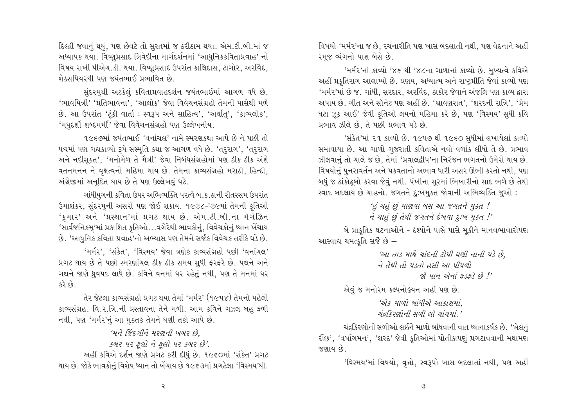દિલ્હી જવાનું થયું, પણ છેવટે તો સુરતમાં જ ઠરીઠામ થયા. એમ.ટી.બી.માં જ અધ્યાપક થયા. વિષ્ણુપ્રસાદ ત્રિવેદીના માર્ગદર્શનમાં 'આધુનિકકવિતાપ્રવાહ' નો વિષય રાખી પીએચ.ડી. થયા. વિષ્ણુપ્રસાદ ઉપરાંત કાલિદાસ. ટાગોર. અરવિંદ. શેક્સપિયરથી પણ જયંતભાઈ પ્રભાવિત છે.

સુંદરમુથી અટકેલું કવિતાપ્રવાહદર્શન જયંતભાઈમાં આગળ વધે છે. 'ભાવયિત્રી' 'પ્રતિભાવના', 'આલોક' જેવા વિવેચનસંગ્રહો તેમની પાસેથી મળે છે. આ ઉપરાંત 'ટંકી વાર્તા: સ્વરૂપ અને સાહિત્ય'. 'અર્થાત'. 'કાવ્યલોક'. 'મધુદર્શી શબ્દમર્મી' જેવા વિવેચનસંગ્રહો પણ ઉલ્લેખનીય.

૧૯૬૭માં જયંતભાઈ 'વનાંચલ' નામે સ્મરણકથા આપે છે ને પછી તો પદ્યમાં પણ ગદ્યકાવ્યો રૂપે સંસ્મૃતિ કથા જ આગળ વધે છે. 'તરૂરાગ', 'તરૂરાગ અને નદીસક્ત'. 'મનોમેળ તે મૈત્રી' જેવા નિબંધસંગ્રહોમાં પણ ઠીક ઠીક અંશે વતનમનન ને વૃક્ષત્વનો મહિમા થાય છે. તેમના કાવ્યસંગ્રહો મરાઠી, હિન્દી, અંગ્રેજીમાં અનદિત થાય છે તે પણ ઉલ્લેખવું ઘટે.

ગાંધીયગની કવિતા ઉપર અભિવ્યક્તિ પરત્વે બ.ક.ઠાની રીતરસમ ઉપરાંત ઉમાશંકર, સુંદરમૂની અસરો પણ જોઈ શકાય. ૧૯૩૮-'૩૯માં તેમની કૃતિઓ 'કુમાર' અને 'પ્રસ્થાન'માં પ્રગટ થાય છે. એમ.ટી.બી.ના મૅગેઝિન 'સાર્વજનિકમ્'માં પ્રકાશિત કૃતિઓ…વગેરેથી ભાવકોનું, વિવેચકોનું ધ્યાન ખેંચાય છે. 'આધુનિક કવિતા પ્રવાહ'નો અભ્યાસ પણ તેમને સર્જક વિવેચક તરીકે ઘડે છે.

'મર્મર', 'સંકેત', 'વિસ્મય' જેવા ત્રણેક કાવ્યસંગ્રહો પછી 'વનાંચલ' પ્રગટ થાય છે તે પછી સ્મરણાંચલ ઠીક ઠીક સમય સુધી ફરફરે છે. પદ્યને અને ગદ્યને જાણે ધ્રુવપદ લાધે છે. કવિને વનમાં ઘર રહેતું નથી, પણ તે મનમાં ઘર  $52.69.$ 

તેર જેટલા કાવ્યસંગ્રહો પ્રગટ થયા તેમાં 'મર્મર' (૧૯૫૪) તેમનો પહેલો કાવ્યસંગ્રહ. વિ.ર.ત્રિ.ની પ્રસ્તાવના તેને મળી. આમ કવિને ગઝલ બહુ ફળી નથી, પણ 'મર્મર'નું આ મુક્તક તેમને ઘણી તકો આપે છે.

'મને જિંદગીને મરણની ખબર છે.

કબર પર ફલો ને ફલો પર કબર છે'.

અહીં કવિએ દર્શન જાણે પ્રગટ કરી દીધું છે. ૧૯૬૦માં 'સંકેત' પ્રગટ થાય છે. જોકે ભાવકોનું વિશેષ ધ્યાન તો ખેંચાય છે ૧૯૬૩માં પ્રગટેલા 'વિસ્મય'થી.

વિષયો 'મર્મર'ના જ છે, રચનારીતિ પણ ખાસ બદલાતી નથી, પણ વેદનાને અહીં રમજ વ્યંગનો પાશ બેસે છે.

'મર્મર'નાં કાવ્યો '૪૬ થી '૪૮ના ગાળાનાં કાવ્યો છે. મુખ્યત્વે કવિએ અહીં પ્રકૃતિરાગ આલાપ્યો છે. પ્રણય, અધ્યાત્મ અને રાષ્ટ્રપ્રીતિ જેવાં કાવ્યો પણ 'મર્મર'માં છે જ. ગાંધી, સરદાર, અરવિંદ, ઠાકોર જેવાને અંજલિ પણ કાવ્ય દ્વારા અપાય છે. ગીત અને સૉનેટ પણ અહીં છે. 'શ્રાવણરાત', 'શરદની રાત્રિ', 'પ્રેમ ઘટા ઝૂક આઈ' જેવી કૃતિઓ લયનો મહિમા કરે છે, પણ 'વિસ્મય' સુધી કવિ પ્રભાવ ઝીલે છે. તે પછી પ્રભાવ પડે છે.

'સંકેત'માં ૨૧ કાવ્યો છે. ૧૯૫૭ થી ૧૯૬૦ સુધીમાં લખાયેલાં કાવ્યો સમાવાયા છે. આ ગાળો ગુજરાતી કવિતાએ નવો વળાંક લીધો તે છે. પ્રભાવ ઝીલવાનં તો ચાલે જ છે. તેમાં 'પ્રવાલદ્વીપ'ના નિરંજન ભગતનો ઉમેરો થાય છે. વિષયોનું પુનરાવર્તન અને પકવતાનો અભાવ ધારી અસર ઊભી કરતો નથી, પણ બધું જ ઢાંકોઢૂબો કરવા જેવું નથી. પંખીના સૂરમાં ભિખારીનો સાદ ભળે છે તેથી સ્વાદ બદલાય છે ચાહનો. જગતને દુઃખમુક્ત જોવાની અભિવ્યક્તિ જુઓ:

'હું ચહું છું માણવા બસ આ જગતને મુક્ત !

ने याहं छं तेथी ४गतने देणवा हः भभु क्त !'

બે પ્રાકૃતિક ઘટનાઓને - દેશ્યોને પાસે પાસે મૂકીને માનવભાવારોપણ આસ્વાદ્ય ચમત્કૃતિ સર્જે છે –

> 'આ તાડ માથે ચાંદની ટોપી ઘણી નાની પડે છે. ने तेथी तो पड़तो हुसी આ पीपणो <u>श्री पान એनां डउडरे छो !'</u>

એવું જ મનોરમ કલ્પનોઙુયન અહીં પણ છે.

'એક માળો બાંધીએ આકાશમાં यंतरिग्णोनी भूली लो यांयमां '

ચંદ્રકિરણોની સળીઓ લઈને માળો બાંધવાની વાત ધ્યાનાકર્ષક છે. 'ખેલનું રીંછ', 'વર્ષાગમન', 'શરદ' જેવી કૃતિઓમાં પોતીકાપણું પ્રગટાવવાની મથામણ જણાય છે.

'વિસ્મય'માં વિષયો, વૃત્તો, સ્વરૂપો ખાસ બદલાતાં નથી, પણ અહીં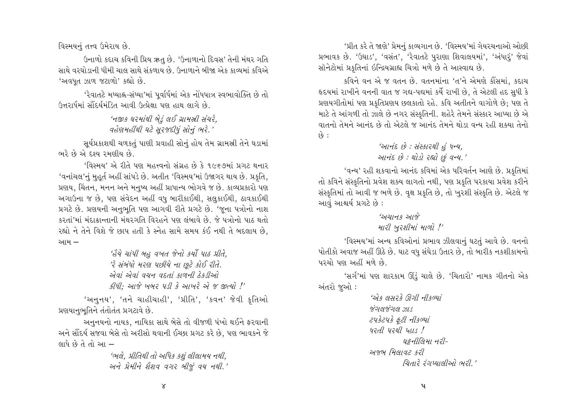વિસ્મયનું તત્ત્વ ઉમેરાય છે.

ઉનાળો કદાચ કવિની પ્રિય ઋત છે. 'ઉનાળાનો દિવસ' તેની મંથર ગતિ સાથે વરઘોડાની ધીમી ચાલ સાથે સંકળાય છે. ઉત્તાળાને બીજા એક કાવ્યમાં કવિએ 'અવધત ઝાળ જટાળો' કહ્યો છે.

'રેવાતટે મધ્યાહ્ન-સંધ્યા'માં પુર્વાર્ધમાં એક નોંધપાત્ર સ્વભાવોક્તિ છે તો ઉત્તરાર્ધમાં સૌંદર્યમંડિત આવી ઉત્પ્રેક્ષા પણ હાથ લાગે છે.

> 'નજીક ઘરમાંથી બેડું લઈ ગ્રામસ્રી સંચરે. વહેણમહીંથી ઘટે સૂરજદીધું સોનું ભરે.'

સૂર્યપ્રકાશથી ચળકતું પાણી પ્રવાહી સોનું હોય તેમ ગ્રામસ્રી તેને ઘડામાં ભરે છે એ દશ્ય રમણીય છે.

'વિસ્મય' એ રીતે પણ મહત્ત્વનો સંગ્રહ છે કે ૧૯૬૭માં પ્રગટ થનાર 'વનાંચલ'નું મુહુર્ત અહીં સાંપડે છે. અતીત 'વિસ્મય'માં ઉજાગર થાય છે. પ્રકૃતિ, પ્રણય, ચિંતન, મનન અને મનુષ્ય અહીં પ્રાધાન્ય ભોગવે જ છે. કાવ્યપ્રકારો પણ અગાઉના જ છે, પણ સંવેદન અહીં વધુ બારીકાઈથી, સલુકાઈથી, ઠાવકાઈથી પ્રગટે છે. પ્રણયની અનુભૂતિ પણ આગવી રીતે પ્રગટે છે. 'જૂના પત્રોનો નાશ કરતાં'માં મંદાકાન્તાની મંથરગતિ વિરહને પણ લંબાવે છે. જે પત્રોનો પાઠ થતો રહ્યો ને તેને વિશે જે છાપ હતી કે સ્નેહ સામે સમય કંઈ નથી તે બદલાય છે. આમ –

> 'હૈયે ચાંપી બહુ વખત જેનો કર્યો પાઠ પ્રીતે, 'રે સંબંધો મરણ પછીયે ના છટે કોઈ રીતે. એવાં એવાં વચન વદતાં કાળની ઠેકડીઓ કીધી: આજે ખબર પડી કે આખરે એ જ જીત્યો !'

'અનુનય', 'તને ચાહીચાહી', 'પ્રીતિ', 'કવન' જેવી કૃતિઓ પ્રશયાનુભુતિને તંતોતંત પ્રગટાવે છે.

અનુનયનો નાયક, નાયિકા સાથે બેસે તો વીજળી પંખો થઈને ફરવાની અને સૌંદર્ય સજવા બેસે તો અરીસો થવાની ઈચ્છા પ્રગટ કરે છે, પણ ભાવકને જે લાધે છે તે તો આ –

> 'ભલે, પ્રીતિથી તો અધિક કશું લીલામય નથી. અને પ્રેમીને શૈશવ વગર બીજું વય નથી.'

'પ્રીત કરે તે જાણે' પ્રેમનું કાવ્યગાન છે. 'વિસ્મય'માં ગેયરચનાઓ ઓછી પ્રભાવક છે. 'ઉઘાડ', 'વસંત', 'રેવાતટે પુરાણા શિવાલયમાં', 'અંધારૂં' જેવાં સૉનેટોમાં પ્રકૃતિનાં ઇન્દ્રિયગ્રાહ્ય ચિત્રો મળે છે તે આસ્વાદ્ય છે.

કવિને વન એ જ વતન છે. વતનમાંના 'ત'ને એમણે કૌંસમાં, કદાચ હૃદયમાં રાખીને વનની વાત જ ગદ્ય-પદ્યમાં કર્યે રાખી છે, તે એટલી હદ સુધી કે પ્રણયગીતોમાં પણ પ્રકૃતિપ્રણય છલકાતો રહે. કવિ અતીતને વાગોળે છે; પણ તે માટે તે આંગળી તો ઝાલે છે નગર સંસ્કૃતિની. શહેરે તેમને સંસ્કાર આપ્યા છે એ वातनो तेमने आनंद्र छे तो એટલે જ આનંદ तेमने थोड़ा वन्य रही शक्या तेनो  $\hat{\omega}$ :

# 'આનંદ છે : સંસ્કારથી હું ધન્ય, આનંદ છે : થોડો રહ્યો છું વન્ય.'

'વન્ય' રહી શકવાનો આનંદ કવિમાં એક પરિવર્તન આણે છે. પ્રકૃતિમાં તો કવિને સંસ્કૃતિનો પ્રવેશ શક્ય લાગતો નથી, પણ પ્રકૃતિ પરકાયા પ્રવેશ કરીને સંસ્કૃતિમાં તો આવી જ ભળે છે. વૃક્ષ પ્રકૃતિ છે, તો ખુરશી સંસ્કૃતિ છે. એટલે જ આવું આશ્ચર્ય પ્રગટે છે:

# $3421 + 521$

# મારી ખુરશીમાં માળો !'

'વિસ્મય'માં અન્ય કવિઓનાં પ્રભાવ ઝીલવાનું ઘટતું આવે છે. વનનો પોતીકો અવાજ અહીં ઊઠે છે. ઘાટ વધુ સંઘેડા ઉતાર છે, તો બારીક નકશીકામનો પરચો પણ અહીં મળે છે.

'સર્ગ'માં પણ શારકામ ઊંડું ચાલે છે. 'ચિતારો' નામક ગીતનો એક અંતરો જુઓ :

> $375$   $(77)$   $(100)$   $(150)$ જંગલજંગલ ઝાડ ટપકેટપકે ફટી નીકળ્યાં  $42d$   $42d$   $43d$ ઘકનીલિમા નરી-अश्रम मिलावट ६२ी ચિતારે રંગપ્યાલીઓ ભરી.'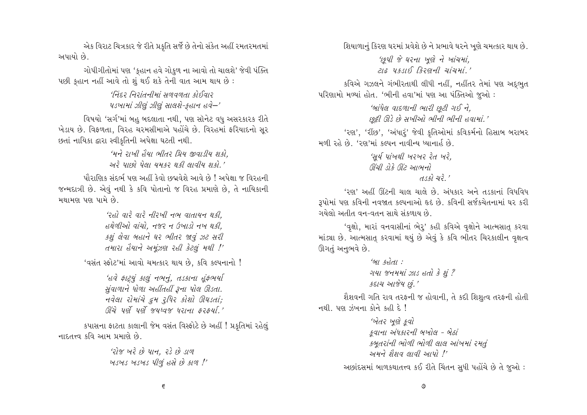એક વિરાટ ચિત્રકાર જે રીતે પ્રકૃતિ સર્જે છે તેનો સંકેત અહીં રમતરમતમાં અપાયો છે.

ગોપીગીતોમાં પણ 'કુહાન હવે ગોકુળ ના આવો તો ચાલશે' જેવી પંક્તિ પછી કુહાન નહીં આવે તો શું થઈ શકે તેની વાત આમ થાય છે:

> 'નિંદર નિરાંતનીમાં સળવળતા કોઈવાર પડખામાં ઝીણું ઝીણું સાલશે-કહાન હવે-'

વિષયો 'સર્ગ'માં બહુ બદલાતા નથી, પણ સૉનેટ વધુ અસરકારક રીતે ખેડાય છે. વિફળતા, વિરહ ચરમસીમાએ પહોંચે છે. વિરહમાં ફરિયાદનો સૂર છતાં નાયિકા દ્વારા સ્વીકૃતિની અપેક્ષા ઘટતી નથી.

> 'મને રાખી હૈયા ભીતર પ્રિય જીવાડીય શકો. અરે પાછો પેલા યમકર થકી લાવીય શકો.'

પૌરાણિક સંદર્ભ પણ અહીં કેવો છબવેશે આવે છે ! અપેક્ષા જ વિરહની જન્મદાત્રી છે. એવું નથી કે કવિ પોતાનો જ વિરહ પ્રમાણે છે, તે નાયિકાની મથામણ પણ પામે છે.

> 'રહો વારે વારે નીરખી નભ વાતાયન થકી. હથેળીઓ વાંચો. નજર ન ઉખાડો નખ થકી. કશું લેવા બહાને ઘર ભીતર જાવું ઝટ સરી તમારા હૈયાને અમુંઝણ રહી કેટલું મથી !'

'વસંત સ્ફોટ'માં આવો ચમત્કાર થાય છે. કવિ કલ્પનાનો !

'હવે ફાટ્યું કાલું નભનું, તડકાના હુંફભર્યા સુંવાળાને ધોળા અહીંતહીં રૂના પોલ ઊડતા. नवेला रोमांये द्वम रूपिर डोशो अधडता; ઊંચે પૂર્ણ પૂર્ણ જયુધ્વજ ધરાના કરકયાં.'

કપાસના ફાટતા કાલાની જેમ વસંત વિસ્ફોટે છે અહીં ! પ્રકૃતિમાં રહેલું नाहतत्त्व કवि आभ प्रभाशे छे.

> 'રોજ ખરે છે પાન. રડે છે ડાળ ખડખડ ખડખડ પીળું હસે છે કાળ !'

શિયાળાનું કિરણ ઘરમાં પ્રવેશે છે ને પ્રભાવે ઘરને ખુણે ચમત્કાર થાય છે.

'છપી જે ઘરના ખણે ને ખાંચમાં.  $212$   $4315$   $320 - 7$   $212 + 7$ 

કવિએ ગઝલને ગંભીરતાથી લીધી નહીં, નહીંતર તેમાં પણ અદ્ભુત પરિણામો મળ્યાં હોત. 'ભીની હવા'માં પણ આ પંક્તિઓ જુઓ :

> 'બાંધેલ વાદળાની ભારી છૂટી ગઈ ને. છુટ્ટી ઊડે છે સખીઓ ભીની ભીની હવામાં.'

'રણ', 'રીંછ', 'અંધારૂં' જેવી કૃતિઓમાં કવિકર્મનો હિસાબ બરાબર મળી રહે છે. 'રણ'માં કલ્પન નાવીન્ય ધ્યાનાર્હ છે.

> 'સર્ય પાંખથી ખરખર રેત ખરે. ઊંચી ડોકે ઊંટ આભનો  $\frac{d}{3}$   $\frac{d}{3}$   $\frac{d}{3}$   $\frac{d}{3}$

'२७' અહીં ઊંટની ચાલ ચાલે છે. અંધકાર અને તડકાનાં વિધવિધ રૂપોમાં પણ કવિની નવજાત કલ્પનાઓ હૃદ છે. કવિની સર્જકચેતનામાં ઘર કરી ગયેલો અતીત વન–વતન સાથે સંકળાય છે.

'વૃક્ષો, મારાં વનવાસીનાં ભેરૂ' કહી કવિએ વૃક્ષોને આત્મસાતુ કરવા માંડ્યા છે. આત્મસાતુ કરવામાં થયું છે એવું કે કવિ ભીતર ચિરકાલીન વૃક્ષત્વ ઊગતું અનુભવે છે.

> $6$ H  $5$  $6$  $d$ ગયા જનમમાં ઝાડ હતો કે શું ? કદાચ આજેય છં.'

શૈશવની ગતિ રાવ તરફની જ હોવાની, તે કદી શિશુત્વ તરફની હોતી નથી. પણ ઝંખના કોને કહી દે $!$ 

> 'ખેતર ખણે કવો કવાના અંધકારની બખોલ - બેઠાં કબતરાંની ભોળી ભોળી લાલ આંખમાં રમતું અમને શૈશવ લાવી આપો !' અછાંદસમાં બાળકથાતત્ત્વ કઈ રીતે ચિંતન સુધી પહોંચે છે તે જુઓ :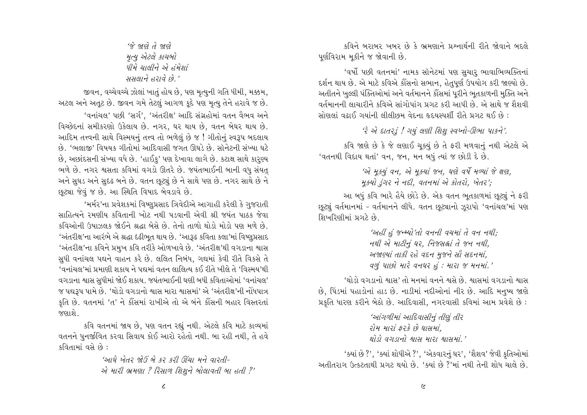'જે જાણે તે જાણે મૃત્ય એટલે કાચબો धीमे यातीने એ उंमेशां સમલાને હરાવે છે.'

જીવન, વચ્ચેવચ્ચે ઝોલાં ખાતું હોય છે, પણ મૃત્યુની ગતિ ધીમી, મક્કમ, અટલ અને અતૂટ છે. જીવન ગમે તેટલું આગળ કૂદે પણ મૃત્યુ તેને હરાવે જ છે. 'વનાંચલ' પછી 'સર્ગ'. 'અંતરીક્ષ' આદિ સંગ્રહોમાં વતન વૈભવ અને વિચ્છેદનાં સમીકરણો ઉકેલાય છે. નગર. ઘર થાય છે, વતન બેઘર થાય છે. આદિમ તત્ત્વની સાથે વિસ્મયનું તત્ત્વ તો ભળેલું છે જ ! ગીતોનું સ્વરૂપ બદલાય છે. 'ભલાજી' વિષયક ગીતોમાં આદિવાસી જગત ઊઘડે છે. સૉનેટની સંખ્યા ઘટે છે, અછાંદસની સંખ્યા વધે છે. 'હાઈકુ' પણ દેખાવા લાગે છે. કટાક્ષ સાથે કારૃણ્ય ભળે છે. નગર શ્વસતા કવિમાં વગડો ઊતરે છે. જયંતભાઈની બાની વધુ સંયત અને સુઘડ અને સુદઢ બને છે. વતન છુટ્યું છે ને સાથે પણ છે. નગર સાથે છે ને છૂટ્યા જેવું જ છે. આ સ્થિતિ વિષાદ બેવડાવે છે.

'મર્મર'ના પ્રવેશકમાં વિષ્ણુપ્રસાદ ત્રિવેદીએ આગાહી કરેલી કે ગુજરાતી સાહિત્યને રમણીય કવિતાની ખોટ નથી પડવાની એવી શ્રી જયંત પાઠક જેવા કવિઓની ઉષાઝલક જોઈને શ્રદ્ધા બેસે છે. તેનો તાળો થોડો મોડો પણ મળે છે. 'અંતરીક્ષ'ના આરંભે એ શ્રદ્ધા દઢીભૂત થાય છે. 'આરૂઢ કવિતા કલા'માં વિષ્ણુપ્રસાદ 'અંતરીક્ષ'ના કવિને પ્રમુખ કવિ તરીકે ઓળખાવે છે. 'અંતરીક્ષ'થી વગડાના શ્વાસ સુધી વનાંચલ પદ્યને વાહન કરે છે. લલિત નિબંધ, ગદ્યમાં કેવી રીતે વિકસે તે 'વનાંચલ'માં પ્રમાણી શકાય ને પદ્યમાં વતન લાલિત્ય કઈ રીતે ખીલે તે 'વિસ્મય'થી વગડાના શ્વાસ સુધીમાં જોઈ શકાય. જયંતભાઈની ઘણી બધી કવિતાઓમાં 'વનાંચલ' જ પદ્યરૂપ પામે છે. 'થોડો વગડાનો શ્વાસ મારા શ્વાસમાં' એ 'અંતરીક્ષ'ની નોંધપાત્ર કૃતિ છે. વતનમાં 'ત' ને કૌંસમાં રાખીએ તો એ બંને કૌંસની બહાર વિસ્તરતાં જણાશે.

કવિ વતનમાં જાય છે, પણ વતન રહ્યું નથી. એટલે કવિ માટે કાવ્યમાં વતનને પુનર્જીવિત કરવા સિવાય કોઈ આરો રહેતો નથી. બા રહી નથી, તે હવે  $\frac{1}{2}$ વિતામાં વસે છે :

> 'આઘે ખેતર જોઉં બે કર કરી ઊંચા મને વારતી-એ મારી ભ્રમણા ? રિસાળ શિશને બોલાવતી બા હતી ?'

કવિને બરાબર ખબર છે કે ભ્રમણાને પ્રશ્નાર્થની રીતે જોવાને બદલે પૂર્ણવિરામ મૂકીને જ જોવાની છે.

'વર્ષો પછી વતનમાં' નામક સૉનેટમાં પણ સચાર ભાવાભિવ્યક્તિનાં દર્શન થાય છે. એ માટે કવિએ કૌંસનો સભાન, હેતુપર્ણ ઉપયોગ કરી જાણ્યો છે. અતીતને ખુલ્લી પંક્તિઓમાં અને વર્તમાનને કૌંસમાં પરીને ભતકાળની મુક્તિ અને વર્તમાનની લાચારીને કવિએ સાંગોપાંગ પ્રગટ કરી આપી છે. એ સાથે જ શૈશવી સોણલાં વઢાઈ ગયાંની લીલીછમ વેદના હૃદયસ્પર્શી રીતે પ્રગટ થઈ છે:

'રે એ દાતરડં ! ગયં લણી શિશ સ્વપ્નો-ઊભા પાકને'.

કવિ જાણે છે કે જે લણાઈ ચક્યું છે તે ફરી મળવાનું નથી એટલે એ 'વતનથી વિદાય થતાં' વન, જન, મન બધું ત્યાં જ છોડી દે છે.

> 'એ મૂક્યું વન, એ મૂક્યાં જન, ઘણે વર્ષે મળ્યાં જે ક્ષણ, મુક્યો ડુંગર ને નદી, વતનમાં એ કોતરો, ખેતર';

આ બધું કવિ ભારે હૈયે છોડે છે. એક વતન ભતકાળમાં છુટ્યું ને ફરી છૂટ્યું વર્તમાનમાં - વર્તમાનને લીધે. વતન છૂટ્યાનો ઝુરાપો 'વનાંચલ'માં પણ શિખરિણીમાં પ્રગટે છે

> 'અહીં હું જન્મ્યો'તો વનની વચમાં તે વન નથી; नथी से भाटीनुं घर, निश्सल्लां ते ४न नथी, અજાણ્યાં તાકી રહે વદન મુજને સૌ સદનમાં, વળું પાછો મારે વનઘર હું : મારા જ મનમાં.'

'થોડો વગડાનો શ્વાસ' તો મનમાં વનને શ્વસે છે. શ્વાસમાં વગડાનો શ્વાસ છે, પિંડમાં પહાડોનાં હાડ છે. નાડીમાં નદીઓનાં નીર છે. આદિ મનુષ્ય જાણે પ્રકૃતિ ધારણ કરીને બેઠો છે. આદિવાસી, નગરવાસી કવિમાં આમ પ્રવેશે છે:

> 'આંગળીમાં આદિવાસીનું તીર્થું તીર રોમ મારાં કરકે છે ઘાસમાં. થોડો વગડાનો શ્વાસ મારા શ્વાસમાં '

'ક્યાં છે ?', 'ક્યાં શોધીએ ?', 'એકવારનું ઘર', 'શૈશવ' જેવી કુતિઓમાં અતીતરાગ ઉત્કટતાથી પ્રગટ થયો છે. 'ક્યાં છે ?'માં નથી તેની શોધ ચાલે છે.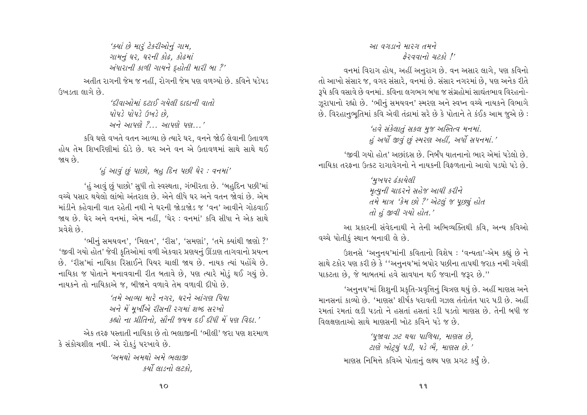'ક્યાં છે મારૂં ટેકરીઓનું ગામ, गामनुं घर, घरनी डोढ, डोढमां અંધારાની કાળી ગાયને દહોતી મારી બા?' અતીત રાગની જેમ જ નહીં. રોગની જેમ પણ વળગ્યો છે. કવિને પડેપડ ઉખડતા લાગે છે.

'દીવાઓમાં દરાઈ ગયેલી દાદાની વાતો  $y_1y_3$   $y_1y_3$   $(y_2, y_3, y_2)$ અને આપણે ? આપણે પણ '

કવિ ઘણે વખતે વતન આવ્યા છે ત્યારે ઘર, વનને જોઈ લેવાની ઉતાવળ હોય તેમ શિખરિણીમાં દોડે છે. ઘર અને વન એ ઉતાવળમાં સાથે સાથે થઈ જાય છે

'હું આવું છું પાછો. બહુ દિન પછી ઘેર: વનમાં'

'હું આવું છું પાછો' સુધી તો સ્વસ્થતા, ગંભીરતા છે. 'બહુદિન પછી'માં વચ્ચે પસાર થયેલો લાંબો અંતરાલ છે. એને લીધે ઘર અને વતન જોવાં છે. એમ માંડીને કહેવાની વાત રહેતી નથી ને ઘરની જોડાજોડ જ 'વન' આવીને ગોઠવાઈ જાય છે. ઘેર અને વનમાં, એમ નહીં, 'ઘેર : વનમાં' કવિ સીધા ને એક સાથે પ્રવેશે છે.

'ભીનું સમયવન', 'મિલન', 'રીસ', 'સમર્ણા', 'તમે ક્યાંથી જાણો ?' 'જીવી ગયો હોત' જેવી કુતિઓમાં વળી એકવાર પ્રણયનું ઊંડાણ તાગવાનો પ્રયત્ન છે. 'રીસ'માં નાયિકા રિસાઈને પિયર ચાલી જાય છે. નાયક ત્યાં પહોંચે છે. નાયિકા જ પોતાને મનાવવાની રીત બતાવે છે, પણ ત્યારે મોડું થઈ ગયું છે. નાયકને તો નાયિકાએ જ, બીજાને વળાવે તેમ વળાવી દીધો છે.

> 'તમે આવ્યા મારે નગર. ઘરને આંગણ પિયા અને મેં મૂખીએ રીસની રગમાં શબ્દ સરખો કહ્યો ના પ્રીતિનો. સૌની જયમ દઈ દીધી મેં પણ વિદા.'

એક તરફ પસ્તાતી નાયિકા છે તો ભલાજીની 'ભીલી' જરા પણ શરમાળ કે સંકોચશીલ નથી. એ રોકડું પરખાવે છે.

> 'અમથો અમથો અમે ભલાજી કર્યો લાડનો લટકો.

# આ વગડાને મારગ તમને  $32qq/d$   $22q'$

વનમાં વિરાગ હોય, અહીં અનુરાગ છે. વન અસાર લાગે, પણ કવિનો તો આખો સંસાર જ. વગર સંસારે, વનમાં છે. સંસાર નગરમાં છે. પણ અનેક રીતે ૩૫ે કવિ વસાવે છે વનમાં. કવિના લગભગ બધા જ સંગ્રહોમાં સાઘંતભાવ વિરહનો-ઝુરાપાનો રહ્યો છે. 'ભીનું સમયવન' સ્મરણ અને સ્વપ્ન વચ્ચે નાયકને વિભાગે છે. વિરહાનભતિમાં કવિ એવી તંદ્રામાં સરે છે કે પોતાને તે કંઈક આમ જએ છે:

> 'હવે સંકેલાતું સકલ મુજ અસ્તિત્વ મનમાં. હું અર્ધા જીવું છું સ્મરણ અહીં. અર્ધા સપનમાં.'

'જીવી ગયો હોત' અછાંદસ છે. નિર્બંધ યાતનાનો ભાર એમાં પડેલો છે. નાયિકા તરફના ઉત્કટ રાગાવેગનો ને નાયકની વિકળતાનો આવો પડધો પડે છે.

> 'મુખપર ઢંકાયેલી મૃત્યુની ચાદરને સહેજ આધી કરીને તમે માત્ર 'કેમ છો ?' એટલું જ પૂછ્યું હોત તો હું જીવી ગયો હોત.'

આ પ્રકારની સંવેદનાથી ને તેની અભિવ્યક્તિથી કવિ, અન્ય કવિઓ વચ્ચે પોતીક સ્થાન બનાવી લે છે.

ઉશનસે 'અનુનય'માંની કવિતાનો વિશેષ: 'વન્યતા'-એમ કહ્યું છે ને સાથે ટકોર પણ કરી છે કે ''અનુનય'માં બપોર પછીના તાપથી જરાક નમી ગયેલી પાકટતા છે, જે બાબતમાં હવે સાવધાન થઈ જવાની જરૂર છે."

'અનુનય'માં શિશુની પ્રકૃતિ-પ્રવૃત્તિનું ચિત્રણ થયું છે. અહીં માણસ અને માનસનાં કાવ્યો છે. 'માણસ' શીર્ષક ધરાવતી ગઝલ તંતોતંત પાર પડી છે. અહીં રમતાં રમતાં લડી પડતો ને હસતાં હસતાં રડી પડતો માણસ છે. તેની બધી જ વિલક્ષણતાઓ સાથે માણસની ખોટ કવિને પડે જ છે.

> 'પુજાવા ઝટ થયા પાળિયા. માણસ છે. ટાણે ખોટ્યું પડી, પડે ભે, માણસ છે.' માણસ નિમિત્તે કવિએ પોતાનું લક્ષ્ય પણ પ્રગટ કર્યું છે.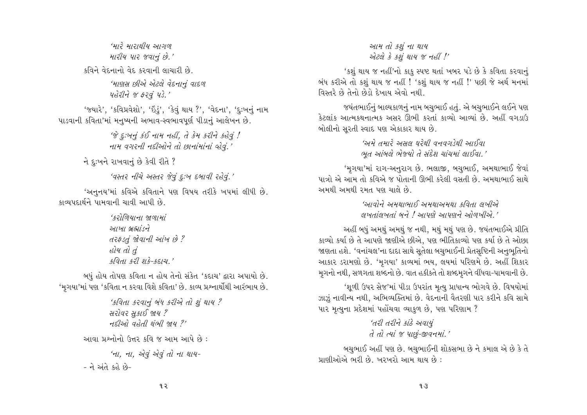'મારે મારાથીય આગળ મારીય પાર જવાનું છે.' <u>કવિને વેદનાનો વેદ કરવાની લાચારી છે.</u> 'માણસ છીએ એટલે વેદનાનું વાદળ પહેરીને જ ફરવું પડે.' 'જયારે', 'કવિપ્રવેશો', 'ઇંડું', 'કેવું થાય ?', 'વેદના', 'દુ:ખનું નામ પાડવાની કવિતા'માં મનુષ્યની અભાવ-સ્વભાવપર્ણ પીડાનું આલેખન છે.  $\hat{\mathscr{C}}$   $\varepsilon$ :ખૂનું કંઈ નામ નહીં. તે કેમ કરીને કહેવું !

નામ વગરની નદીઓને તો છાનાંમાંનાં લેવું.'

ને દુઃખને રાખવાનું છે કેવી રીતે ?

'વસ્તર નીચે અસ્તર જેવું દુઃખ દબાવી રહેવું.'

'અનુનય'માં કવિએ કવિતાને પણ વિષય તરીકે ખપમાં લીધી છે. કાવ્યપદાર્થને પામવાની ચાવી આપી છે

> $(3)$ ળિયાના જાળામાં આખા બ્રહ્માંડને તરફડતું જોવાની આંખ છે? હોય તો તું  $49d + 4298 - 4812$

બધું હોય તોપણ કવિતા ન હોય તેનો સંકેત 'કદાચ' દ્વારા અપાયો છે. 'મૃગયા'માં પણ 'કવિતા ન કરવા વિશે કવિતા' છે. કાવ્ય પ્રશ્નાર્થોથી આરંભાય છે.

> 'કવિતા કરવાનું બંધ કરીએ તો શું થાય ? સરોવર સુકાઈ જાય ?  $H2$ ) and  $H2$

આવા પ્રશ્નોનો ઉત્તર કવિ જ આમ આપે છે:

'ના, ના, એવું એવું તો ના થાય-- ને અંતે કહે છે-

# આમ તો કશું ના થાય એટલે કે કશું થાય જ નહીં !'

'કશું થાય જ નહીં'નો કાકુ સ્પષ્ટ થતાં ખબર પડે છે કે કવિતા કરવાનું બંધ કરીએ તો કશું થાય જ નહીં ! 'કશું થાય જ નહીં !' પછી જે અર્થ મનમાં વિસ્તરે છે તેનો છેડો દેખાય એવો નથી.

જયંતભાઈનું બાલ્યકાળનું નામ બચુભાઈ હતું. એ બચુભાઈને લઈને પણ કેટલાંક આત્મકથનાત્મક અસર ઊભી કરતાં કાવ્યો આવ્યાં છે. અહીં વગડાઉ બોલીનો સરતી સ્વાદ પણ એકાકાર થાય છે.

> 'અમે તમારે અસલ ઘરેથી વનવગડેથી આઈવા ભૂત આંબલે ભેજ્યો તે સંદેશ ચાંચમાં લાઈવા.'

'મૃગયા'માં રાગ-અનુરાગ છે. ભલાજી, બચુભાઈ, અમથાભાઈ જેવાં પાત્રો એ આમ તો કવિએ જ પોતાની ઊભી કરેલી વસતી છે. અમથાભાઈ સાથે અમથી અમથી રમત પણ ચાલે છે.

> 'આવોને અમથાભાઈ અમથાઅમથા કવિતા લખીએ લખતાંલખતાં બને ! આપણે આપણને ઓળખીએ '

અહીં બધું અમથું અમથું જ નથી. મથું મથું પણ છે. જયંતભાઈએ પ્રીતિ કાવ્યો કર્યા છે તે આપણે જાણીએ છીએ. પણ ભીતિકાવ્યો પણ કર્યા છે તે ઓછા જાણતા હશે. 'વનાંચલ'ના દાદા સાથે સૂતેલા બચુભાઈની પ્રેતસૃષ્ટિની અનુભૂતિનો આકાર ડરામણો છે. 'મૃગયા' કાવ્યમાં ભય, લયમાં પરિણમે છે. અહીં શિકાર મુગનો નથી, સળગતા શબ્દનો છે. વાત હકીકતે તો શબ્દમુગને વીંધવા-પામવાની છે.

'શૂળી ઉપર સેજ'માં પીડા ઉપરાંત મૃત્યુ પ્રાધાન્ય ભોગવે છે. વિષયોમાં ઝાઝું નાવીન્ય નથી, અભિવ્યક્તિમાં છે. વેદનાની વૈતરણી પાર કરીને કવિ સામે પાર મૃત્યુના પ્રદેશમાં પહોંચવા વ્યાકુળ છે, પણ પરિણામ ?

> 'તરી તરીને કાંઠે અવાયું તે તો ત્યાં જ પાછું-જીવનમાં.'

બચુભાઈ અહીં પણ છે. બચુભાઈની શોકસભા છે ને કમાલ એ છે કે તે પ્રાણીઓએ ભરી છે. ખરખરો આમ થાય છે: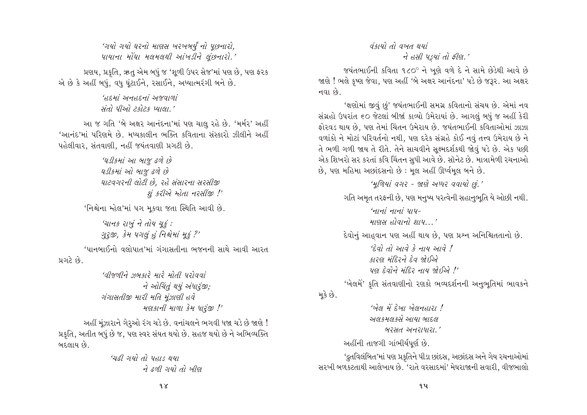'ગયો ગયો ઘરનો માણસ ખરખબર્યું નો પૂછનારો, પાયાના મોંઘા મલમલથી આંખડીને લંછનારો.'

પ્રણય. પ્રકૃતિ. ઋત એમ બધું જ 'શળી ઉપર સેજ'માં પણ છે. પણ ફરક એ છે કે અહીં બધું, વધુ ઘૂંટાઈને, રસાઈને, અધ્યાત્મરંગી બને છે.

> $'$ BEHI 2118EHI 21981011 સંતો પીઓ ટકોટક પ્યાલા.'

આ જ ગતિ 'બે અક્ષર આનંદના'માં પણ ચાલુ રહે છે. 'મર્મર' અહીં 'આનંદ'માં પરિણમે છે. મધ્યકાલીન ભક્તિ કવિતાના સંસ્કારો ઝીલીને અહીં પહેલીવાર, સંતવાણી, નહીં જયંતવાણી પ્રગટી છે.

> 'ઘડીકમાં આ બાજુ ઢળે છે ઘડીકમાં ઓ બાજુ ઢળે છે ઘાટવગરની લોટી છે. રહે સંસારના સરસીજી શં કરીએ મ્હેતા નરસીંજી !'

'નિશ્ચેના મ્હેલ'માં ૫ગ મકવા જતા સ્થિતિ આવી છે.

'ચાનક રાખું ને તોય ચૂકં: ગુરૂજી, કેમ પગલું હું નિશ્ચેમાં મૂકું ?'

'પાનબાઈનો વલોપાત'માં ગંગાસતીના ભજનની સાથે આવી આરત પ્રગટે છે.

> 'વીજળીને ઝબકારે મારે મોતી પરોવવાં ને ઓચિંતું થયું અંધારૂંજી; ગંગાસતીજી મારી મતિ મંઝાણી હવે મણકાની માળા કેમ ધારૂંજી !'

અહીં મુંઝારાને ગેરૂઓ રંગ ચડે છે. વનાંચલને ભગવી ધજા ચડે છે જાણે ! પ્રકૃતિ, અતીત બધું છે જ, પણ સ્વર સંયત થયો છે. સહજ થયો છે ને અભિવ્યક્તિ બદલાય છે.

> 'ચઢી ગયો તો પહાડ થયા ने हूली गयो तो ખीण

## વંકાયો તો વખત થયાં ने हसी पड़यां तो झीश.'

જયંતભાઈની કવિતા ૧૮૦º ને ખણે વળે દે ને સામે છેડેથી આવે છે જાણે ! ભલે કૃષ્ણ જેવા, પણ અહીં 'બે અક્ષર આનંદના' પડે છે જરૂર. આ અક્ષર નવા છે.

'ક્ષણોમાં જીવું છું' જયંતભાઈની સમગ્ર કવિતાનો સંચય છે. એમાં નવ સંગ્રહો ઉપરાંત ૬૦ જેટલાં બીજાં કાવ્યો ઉમેરાયાં છે. આગલું બધું જ અહીં કેરી ફોરવડ થાય છે. પણ તેમાં ચિંતન ઉમેરાય છે. જયંતભાઈની કવિતાઓમાં ઝાઝા વળાંકો ને મોટાં પરિવર્તનો નથી, પણ દરેક સંગ્રહે કોઈ નવું તત્ત્વ ઉમેરાય છે ને તે ભળી ગળી જાય તે રીતે. તેને સાચવીને સુક્ષ્મદર્શકથી જોવું પડે છે. એક પછી એક શિખરો સર કરતાં કવિ ચિંતન સધી આવે છે. સૉનેટ છે. માત્રામેળી રચનાઓ છે, પણ મહિમા અછાંદસનો છે: મૂલ અહીં ઊર્ધ્વમૂલ બને છે.

'મૂળિયાં વગર - જાણે અધ્ધર વવાયો છું.' ગતિ અમૃત તરફની છે, પણ મનુષ્ય પરત્વેની સહાનુભૂતિ યે ઓછી નથી.  $4/71/71/71/71/71/7-$ માણસ હોવાનો શાપ ' દેવોનું આહુવાન પણ અહીં થાય છે, પણ પ્રશ્ન અનિશ્ચિતતાનો છે. 'દેવો તો આવે કે નાય આવે ! કારણ મંદિરને દેવ જોઈએ पुण हेवोने मंहिर नाय श्रेछ्ये !' 'ખેલમેં' કૃતિ સંતવાણીનો રણકો ભવ્યદર્શનની અનુભતિમાં ભાવકને મૂકે છે. 'ખેલ મેં દેખા ખેલનહારા !

અલકમલકસે આયા બાદલ બરસત અનરાધારા.'

અહીંની તાજગી ગાંભીર્યપર્ણ છે.

'દ્રુતવિલંબિત'માં પણ પ્રકૃતિને પીડા છાંદસ, અછાંદસ અને ગેય રચનાઓમાં સરખી બળકટતાથી આલેખાય છે. 'રાતે વરસાદમાં' મેઘરાજાની સવારી, વીજભાલો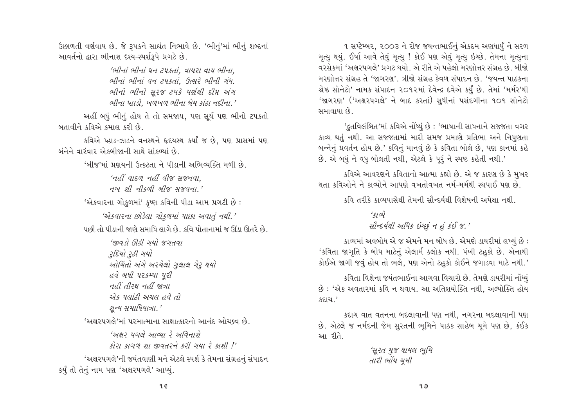ઉછાળતી વર્ણવાય છે. જે રૂપકને સાઘંત નિભાવે છે. 'ભીનું'માં ભીનું શબ્દનાં આવર્તનો દ્વારા ભીનાશ દશ્ય-સ્પર્શરૂપે પ્રગટે છે.

> 'ભીનાં ભીનાં ધન ટપકતાં. વાયરા વાય ભીના. ભીનાં ભીનાં વન ટપકતાં. ઉત્સરે ભીની ગંધ. ભીનો ભીનો સુરજ ટપકે પર્ણથી દીમ અંગ ભીના પ્હાડો. ખળખળ ભીના બેય કાંઠા નદીના.'

અહીં બધું ભીનું હોય તે તો સમજાય, પણ સૂર્ય પણ ભીનો ટપકતો બતાવીને કવિએ કમાલ કરી છે.

કવિએ પ્હાડ-ઝાડને વનસ્થને હૃદયસ્થ કર્યાં જ છે, પણ પ્રાસમાં પણ બંનેને વારંવાર એકબીજાની સાથે સાંકળ્યાં છે

'બીજ'માં પ્રણયની ઉત્કટતા ને પીડાની અભિવ્યક્તિ મળી છે.

'નહીં વાદળ નહીં વીજ સજનવા.  $Hw$   $\Omega$   $Hw$   $\Omega$   $\Omega$   $\Omega$   $\Omega$   $\Omega$   $\Omega$ 

'એકવારના ગોકુળમાં' કૃષ્ણ કવિની પીડા આમ પ્રગટી છે:

'એકવારના છોડેલા ગોકુળમાં પાછા અવાતું નથી.' પછી તો પીડાની જાણે સમાધિ લાગે છે. કવિ પોતાનામાં જ ઊંડા ઊતરે છે.

> 'જીવડો ઊઠી ગયો જગતવા ્રદિયો રૂઠી ગયો ઓચિંતો અંગે અરચેલો ગુલાલ ગેરૂ થયો હવે બધી પરકમ્પા પરી મુણુ પુરુષ મળુ થયા એક પલાંઠી અચલ હવે તો શન્ય સમાધિયાત્રા.'

'અક્ષરપગલે'માં પરમાત્માના સાક્ષાત્કારનો આનંદ ઓચ્છવ છે.

'અક્ષર પગલે આવ્યા રે અવિનાશે કોરા કાગળ શા જીવતરને કરી ગયા રે કાશી !' 'અક્ષરપગલે'ની જયંતવાણી મને એટલે સ્પર્શ કે તેમના સંગ્રહનું સંપાદન કર્યું તો તેનું નામ પણ 'અક્ષરપગલે' આપ્યું.

૧ સપ્ટેમ્બર, ૨૦૦૩ ને રોજ જયન્તભાઈનું એકદમ અણધાર્યું ને સરળ મૃત્યુ થયું. ઈર્ષા આવે તેવું મૃત્યુ ! કોઈ પણ એવું મૃત્યુ ઇચ્છે. તેમના મૃત્યુના વરસેકમાં 'અક્ષરપગલે' પ્રગટ થયો. એ રીતે એ પહેલો મરણોત્તર સંગ્રહ છે. બીજો મરણોત્તર સંગ્રહ તે 'જાગરણ'. ત્રીજો સંગ્રહ કેવળ સંપાદન છે. 'જયન્ત પાઠકના શ્રેષ્ઠ સૉનેટો' નામક સંપાદન ૨૦૧૨માં દેવેન્દ્ર દવેએ કર્યું છે. તેમાં 'મર્મર'થી 'જાગરણ' ('અક્ષરપગલે' ને બાદ કરતાં) સુધીનાં પસંદગીના ૧૦૧ સૉનેટો સમાવાયા છે.

'દ્રતવિલંબિત'માં કવિએ નોંધ્યું છે : 'ભાષાની સાધનાને સજ્જતા વગર કાવ્ય થતું નથી. આ સજ્જતામાં મારી સમજ પ્રમાણે પ્રતિભા અને નિપુણતા બન્નેનું પ્રવર્તન હોય છે.' કવિનું માનવું છે કે કવિતા બોલે છે, પણ કાનમાં કહે છે. એ બધું ને વધુ બોલતી નથી, એટલે કે પુરૂં ને સ્પષ્ટ કહેતી નથી.'

કવિએ આવરણને કવિતાનો આત્મા કહ્યો છે. એ જ કારણ છે કે મુખર થતા કવિઓને ને કાવ્યોને આપણે વખતોવખત નર્મ-મર્મથી સ્થપાઈ પણ છે.

કવિ તરીકે કાવ્યપાસેથી તેમની સૌન્દર્યથી વિશેષની અપેક્ષા નથી.

 $402$ સૌન્દર્યથી અધિક ઇચ્છું ન હું કંઈ જ.'

કાવ્યમાં અવબોધ એ જ એમને મન બોધ છે. એમણે ડાયરીમાં લખ્યું છે : 'કવિતા જાગૃતિ કે બોધ માટેનું એલાર્મ ક્લોક નથી. પંખી ટહુકો છે. એનાથી કોઈએ જાગી જવું હોય તો ભલે. પણ એનો ટહુકો કોઈને જગાડવા માટે નથી.'

કવિતા વિશેના જયંતભાઈના આગવા વિચારો છે. તેમણે ડાયરીમાં નોંધ્યું છે : 'એક અવતારમાં કવિ ન થવાય. આ અતિશયોક્તિ નથી, અલ્પોક્તિ હોય કદાચ $.$ '

કદાચ વાત વતનના બદલાવાની પણ નથી, નગરના બદલાવાની પણ છે. એટલે જ નર્મદની જેમ સુરતની ભૂમિને પાઠક સાહેબ ચૂમે પણ છે, કંઈક આ રીતે.

> 'સુરત મુજ ઘાયલ ભૂમિ તારી ભોંય ચુમી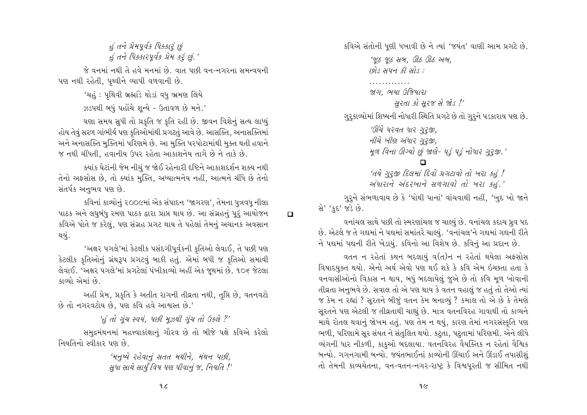# હું તને પ્રેમપૂર્વક ધિક્કાર છું હું તને ધિક્કારપૂર્વક પ્રેમ કરૂં છું.'

જે વનમાં નથી તે હવે મનમાં છે. વાત પછી વન-નગરના સમન્વયની પણ નથી રહેતી, પૃથ્વીને વ્યાપી વળવાની છે.

> 'ચહું : પુથિવી બ્રહ્માંડે થોડાં વધુ ભ્રમણ લિયે ઝડપથી બધું પહોંચે શન્યે - ઉતાવળ છે મને.'

ઘણા સમય સુધી તો પ્રકૃતિ જ કૃતિ રહી છે. જીવન વિશેનું સત્ય લાધ્યું હોય તેવું સરળ ગાંભીર્ય પણ કૃતિઓમાંથી પ્રગટતું આવે છે. આસક્તિ, અનાસક્તિમાં અને અનાસક્તિ મુક્તિમાં પરિણમે છે. આ મુક્તિ પરપોટામાંથી મુક્ત થતી હવાને જ નથી ચીંધતી, હવાનીય ઉપર રહેતા આકાશનેય તાગે છે ને તાકે છે.

ક્યાંક ઘેટાંની જેમ નીચું જ જોઈ રહેનારી દષ્ટિને આકાશદર્શન શક્ય નથી તેનો અફસોસ છે, તો ક્યાંક મુક્તિ, અધ્યાત્મનેય નહીં, આત્મને ચીંધે છે તેનો સંતર્પક અનુભવ પણ છે.

કવિનાં કાવ્યોનું ૨૦૦૯માં એક સંપાદન 'જાગરણ', તેમના પુત્રવધુ નીલા પાઠક અને લઘુબંધુ રમણ પાઠક દ્વારા પ્રાપ્ત થાય છે. આ સંગ્રહનું પુરૂં આયોજન કવિએ પોતે જ કરેલું, પણ સંગ્રહ પ્રગટ થાય તે પહેલાં તેમનું અચાનક અવસાન થયું.

'અક્ષર પગલે'માં કેટલીક પસંદગીપૂર્વકની કૃતિઓ લેવાઈ, તે પછી પણ કેટલીક કૃતિઓનું ગ્રંથરૂપ પ્રગટવું બાકી હતું. એમાં બધી જ કૃતિઓ સમાવી લેવાઈ. 'અક્ષર પગલે'માં પ્રગટેલાં પંખીકાવ્યો અહીં એક જુથમાં છે. ૧૦૬ જેટલા કાવ્યો એમાં છે.

અહીં પ્રેમ, પ્રકૃતિ કે અતીત રાગની તીવ્રતા નથી, તૃપ્તિ છે, વતનવટો છે તો નગરવટોય છે. પણ કવિ હવે આશ્વસ્ત છે.'

'હું તો ગુંચ સ્વયં, પછી મુઝથી ગુંચ તો ઉકલે?'

સમુદ્રમંથનમાં મહત્ત્વાકાંક્ષાનું ગૌરવ છે તો બીજે પક્ષે કવિએ કરેલો નિયતિનો સ્વીકાર પણ છે.

> 'મનુષ્યે રહેવાનું સતત મથીને, મંથન પછી, સુધા સાથે સાર્યું વિષ પણ પીવાનું જ, નિયતિ !'

કવિએ સંતોની ધુણી ધખાવી છે ને ત્યાં 'જયંત' વાણી આમ પ્રગટે છે.

'જ જ સબ. ઊઠ ઊઠ અબ.  $\mathfrak{soR}$  244  $\mathfrak{A}$  20  $\mathfrak{t}$  :

. . . . . . . . . . . . .

 $\Box$ 

જાગ. ભયા ઉજિયારા સુરતા કો સુરજ સે જોડ !'

ગુરૂકાવ્યોમાં શિષ્યની નોધારી સ્થિતિ પ્રગટે છે તો ગુરૂને પડકારાય પણ છે.

'ઊંચે પરવત ધાર ગુરૂજી, નીચે ખીણ અંધાર ગુરૂજી,

મૂળ વિના ઊગ્યો છું જાણે- પડું પડું નોધાર ગુરૂજી.'

'તયે ગુરૂજી દિલમાં દિવો પ્રગટાવો તો ખરા કહં ! અંધારાને અંદરખાને સળગાવો તો ખરા કહું.'

ગુરૂને સંભળાવાય છે કે 'પોથી પાનાં' વાંચવાથી નહીં, 'ખુદ ખો જાને સે' 'કદ' જડે છે.

વનાંચલ સાથે પછી તો સ્મરણાંચલ જ ચાલ્યું છે. વનાંચલ કદાચ ધ્રુવ પદ છે. એટલે જ તે ગદ્યમાં ને પદ્યમાં સમાંતરે ચાલ્યું. 'વનાંચલ'ને ગદ્યમાં ગદ્યની રીતે ને પદ્યમાં પદ્યની રીતે ખેડાયું. કવિનો આ વિશેષ છે. કવિનું આ પ્રદાન છે.

વતન ન રહેતાં કથન બદલાયું વ(ત)ન ન રહેતાં થયેલા અફસોસ વિષાદયુક્ત થયો. એનો અર્થ એવો પણ થઈ શકે કે કવિ એમ ઇચ્છતા હતા કે વનવાસીઓનો વિકાસ ન થાય, બધું બદલાયેલું જુએ છે તો કવિ મૂળ ખોવાની તીવ્રતા અનુભવે છે. સવાલ તો એ પણ થાય કે વતન વહાલું જ હતું તો તેઓ ત્યાં જ કેમ ન રહ્યાં ? સૂરતને બીજું વતન કેમ બનાવ્યું ? કમાલ તો એ છે કે તેમણે સૂરતને પણ એટલી જ તીવ્રતાથી ચાહ્યું છે. માત્ર વતનવિરહ ગાવાથી તો કાવ્યને માથે રોતલ થવાનું જોખમ હતું. પણ તેમ ન થયું, કારણ તેમાં નગરસંસ્કૃતિ પણ ભળી, પરિણામે સૂર સંયત ને સંતુલિત થયો. કટુતા, પટુતામાં પરિણમી. એને લીધે વ્યંગની ધાર નીકળી, કાકુઓ બદલાયા. વતનવિરહ વૈયક્તિક ન રહેતાં વૈશ્વિક બન્યો. ગગનગામી બન્યો. જયંતભાઈનાં કાવ્યોની ઊંચાઈ અને ઊંડાઈ તપાસીશું તો તેમની કાવ્યચેતના, વન-વતન-નગર-રાષ્ટ્ર કે વિશ્વપૂરતી જ સીમિત નથી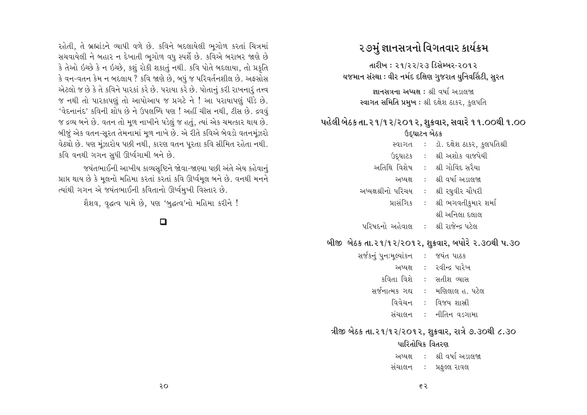# ૨૭મું જ્ઞાનસત્રનો વિગતવાર કાર્યક્રમ

તારીખ : ૨૧/૨૨/૨૩ ડિસેમ્બર-૨૦૧૨ યજમાન સંસ્થા : વીર નર્મદ દક્ષિણ ગુજરાત યુનિવર્સિટી, સુરત

> <u> झानभत्रना અધ્યક્ષ : શ્री वर्षा અरातल</u> સ્વાગત સમિતિ પ્રમુખ : શ્રી દક્ષેશ ઠાકર, કુલપતિ

# પહેલી બેઠક તા. ૨૧/૧૨/૨૦૧૨, શુક્રવાર, સવારે ૧૧.૦૦થી ૧.૦૦ ઉદઘાટન બેઠક

| સ્વાગત              | $\mathcal{L}$             | ડૉ. દક્ષેશ ઠાકર, કુલપતિશ્રી |
|---------------------|---------------------------|-----------------------------|
| ઉદ્ઘાટક             | $\mathcal{L}$             | શ્રી અશોક વાજપેયી           |
| અતિથિ વિશેષ         | $\mathbb{R}^{\mathbb{Z}}$ | શ્રી ગોવિંદ સરૈયા           |
| અધ્યક્ષ             | $\mathbb{R}^{\mathbb{Z}}$ | શ્રી વર્ષા અડાલજા           |
| અધ્યક્ષશ્રીનો પરિચય | $\mathbb{C}^{\times}$     | શ્રી રઘુવીર ચૌધરી           |
| પ્રાસંગિક           |                           | :   શ્રી ભગવતીકુમાર શર્મા   |
|                     |                           | શ્રી અનિલા દલાલ             |
| $\frac{1}{2}$       |                           | المجران حرمات ال            |

પરિષદનાં અહેવાલ : શ્રી રાજેન્દ્ર પટલ

# બીજી બેઠક તા.૨૧/૧૨/૨૦૧૨, શુક્રવાર, બપોરે ૨.૩૦થી પ.૩૦

| સર્જકનું પુનઃમૂલ્યાંકન |               | :    જયંત પાઠક    |
|------------------------|---------------|-------------------|
| અધ્યક્ષ                | $\mathcal{L}$ | રવીન્દ્ર પારેખ    |
| કવિતા વિશે             | $\pm$ .       | સતીશ વ્યાસ        |
| સર્જનાત્મક ગઘ          |               | મણિલાલ હ. પટેલ    |
| વિવેચન                 |               | વિજય શાસ્ત્રી     |
| સંચાલન                 |               | :    નીતિન વડગામા |
|                        |               |                   |

# ત્રીજી બેઠક તા.૨૧/૧૨/૨૦૧૨, શુક્રવાર, રાત્રે ૭.૩૦થી ૮.૩૦

### પારિતોષિક વિતરણ

| અધ્યક્ષ | શ્રી વર્ષા અડાલજા |
|---------|-------------------|
| સંચાલન  | પ્રફુલ્લ રાવલ     |

રહેતી, તે બ્રહ્માંડને વ્યાપી વળે છે. કવિને બદલાયેલી ભુગોળ કરતાં ચિત્રમાં સચવાયેલી ને બહાર ન દેખાતી ભુગોળ વધુ સ્પર્શે છે. કવિએ બરાબર જાણે છે કે તેઓ ઇચ્છે કે ન ઇચ્છે. કશું રોકી શકાતું નથી. કવિ પોતે બદલાયા. તો પ્રકૃતિ કે વન-વતન કેમ ન બદલાય ? કવિ જાણે છે, બધું જ પરિવર્તનશીલ છે. અફસોસ એટલો જ છે કે તે કવિને પારકાં કરે છે. પરાયા કરે છે. પોતાનું કરી રાખનારું તત્ત્વ જ નથી તો પારકાપણું તો આપોઆપ જ પ્રગટે ને ! આ પરાયાપણું પીડે છે. 'વેદનાનંદ' કવિની શોધ છે ને ઉપલબ્ધિ પણ ! અહીં ચીસ નથી, ટીસ છે. દ્રવવું જ દ્રવ્ય બને છે. વતન તો મુળ નાખીને પડેલું જ હતું, ત્યાં એક ચમત્કાર થાય છે. બીજું એક વતન-સૂરત તેમનામાં મૂળ નાખે છે. એ રીતે કવિએ બેવડો વતનમૂંઝરો વેઠ્યો છે. પણ મૂંઝારોય પછી નથી, કારણ વતન પૂરતા કવિ સીમિત રહેતા નથી. કવિ વનથી ગગન સુધી ઊર્ધ્વગામી બને છે.

જયંતભાઈની આખીય કાવ્યસૃષ્ટિને જોવા-જાણ્યા પછી અંતે એય કહેવાનું પ્રાપ્ત થાય છે કે મૂલનો મહિમા કરતાં કરતાં કવિ ઊર્ધ્વમૂલ બને છે. વનથી મનને ત્યાંથી ગગન એ જયંતભાઈની કવિતાનો ઊર્ધ્વમુખી વિસ્તાર છે.

શૈશવ, વૃદ્ધત્વ પામે છે, પણ 'બુદ્ધત્વ'નો મહિમા કરીને !

# $\Box$